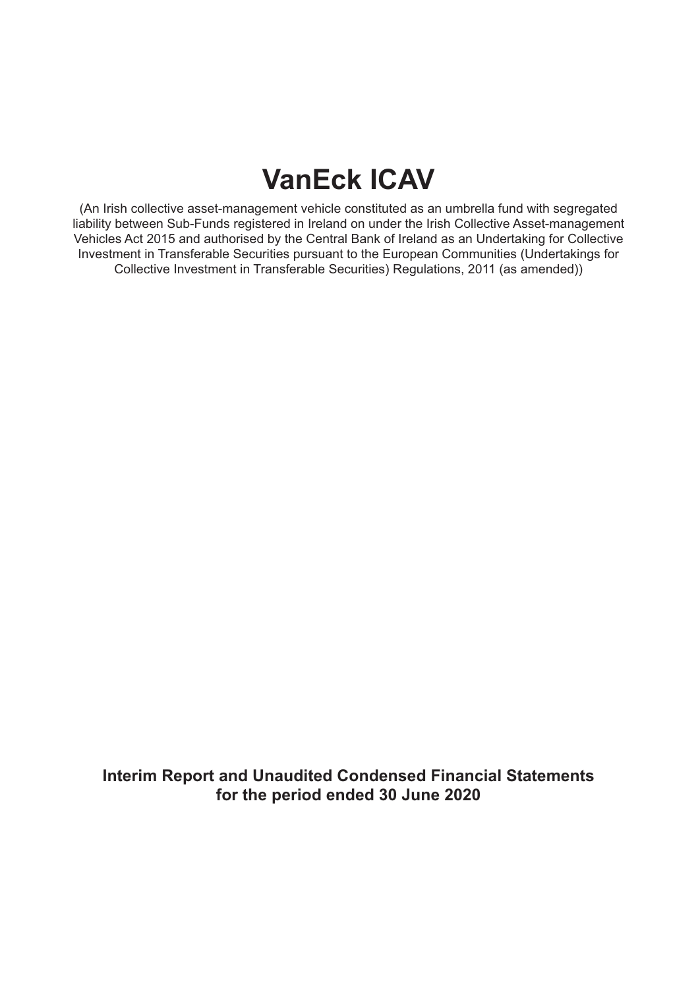# **VanEck ICAV**

(An Irish collective asset-management vehicle constituted as an umbrella fund with segregated liability between Sub-Funds registered in Ireland on under the Irish Collective Asset-management Vehicles Act 2015 and authorised by the Central Bank of Ireland as an Undertaking for Collective Investment in Transferable Securities pursuant to the European Communities (Undertakings for Collective Investment in Transferable Securities) Regulations, 2011 (as amended))

**Interim Report and Unaudited Condensed Financial Statements for the period ended 30 June 2020**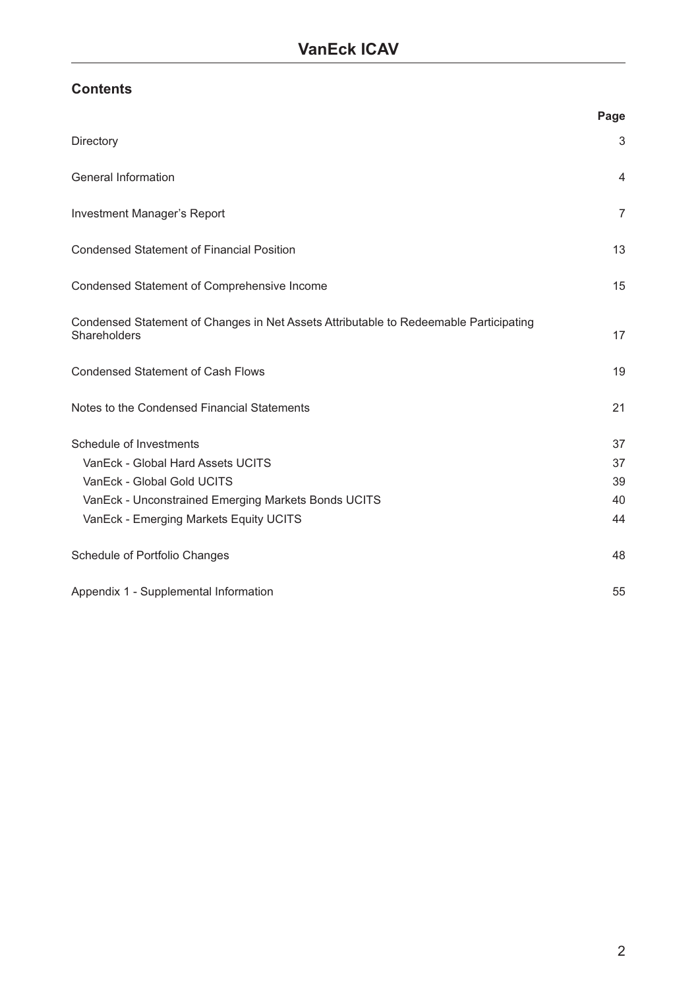## **Contents**

|                                                                                                       | Page           |
|-------------------------------------------------------------------------------------------------------|----------------|
| Directory                                                                                             | 3              |
| General Information                                                                                   | $\overline{4}$ |
| Investment Manager's Report                                                                           | $\overline{7}$ |
| <b>Condensed Statement of Financial Position</b>                                                      | 13             |
| Condensed Statement of Comprehensive Income                                                           | 15             |
| Condensed Statement of Changes in Net Assets Attributable to Redeemable Participating<br>Shareholders | 17             |
| <b>Condensed Statement of Cash Flows</b>                                                              | 19             |
| Notes to the Condensed Financial Statements                                                           | 21             |
| Schedule of Investments                                                                               | 37             |
| VanEck - Global Hard Assets UCITS                                                                     | 37             |
| VanEck - Global Gold UCITS                                                                            | 39             |
| VanEck - Unconstrained Emerging Markets Bonds UCITS                                                   | 40             |
| VanEck - Emerging Markets Equity UCITS                                                                | 44             |
| Schedule of Portfolio Changes                                                                         | 48             |
| Appendix 1 - Supplemental Information                                                                 | 55             |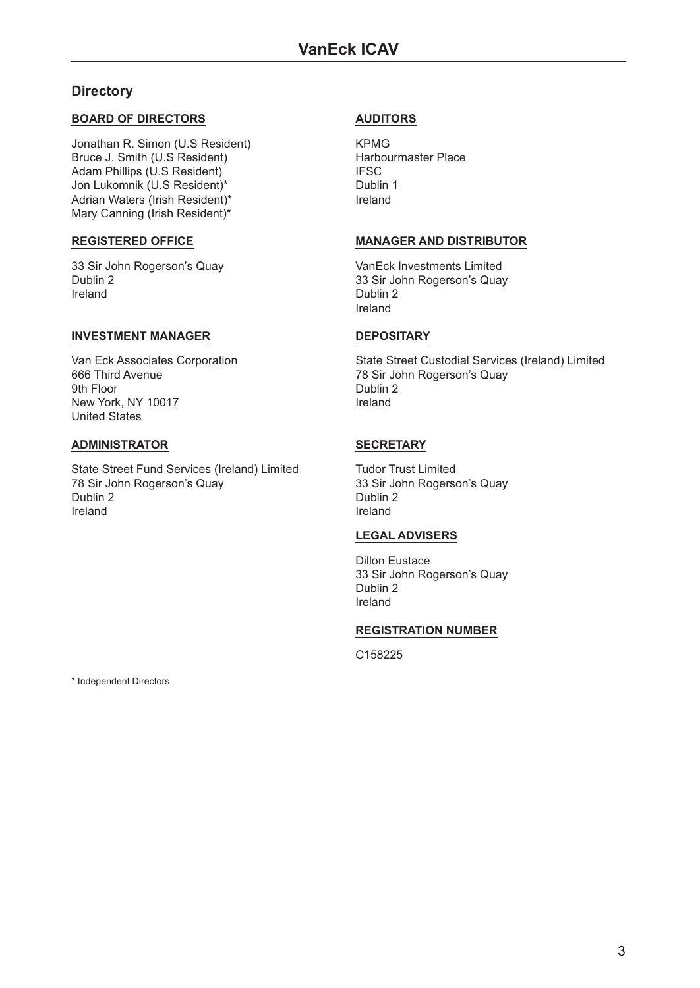### <span id="page-2-0"></span>**Directory**

#### **BOARD OF DIRECTORS**

Jonathan R. Simon (U.S Resident) Bruce J. Smith (U.S Resident) Adam Phillips (U.S Resident) Jon Lukomnik (U.S Resident)\* Adrian Waters (Irish Resident)\* Mary Canning (Irish Resident)\*

#### **REGISTERED OFFICE**

33 Sir John Rogerson's Quay Dublin 2 Ireland

#### **INVESTMENT MANAGER**

Van Eck Associates Corporation 666 Third Avenue 9th Floor New York, NY 10017 United States

#### **ADMINISTRATOR**

State Street Fund Services (Ireland) Limited 78 Sir John Rogerson's Quay Dublin 2 Ireland

#### **AUDITORS**

KPMG Harbourmaster Place IFSC Dublin 1 Ireland

#### **MANAGER AND DISTRIBUTOR**

VanEck Investments Limited 33 Sir John Rogerson's Quay Dublin 2 Ireland

#### **DEPOSITARY**

State Street Custodial Services (Ireland) Limited 78 Sir John Rogerson's Quay Dublin 2 Ireland

#### **SECRETARY**

Tudor Trust Limited 33 Sir John Rogerson's Quay Dublin 2 Ireland

#### **LEGAL ADVISERS**

Dillon Eustace 33 Sir John Rogerson's Quay Dublin 2 Ireland

#### **REGISTRATION NUMBER**

C158225

\* Independent Directors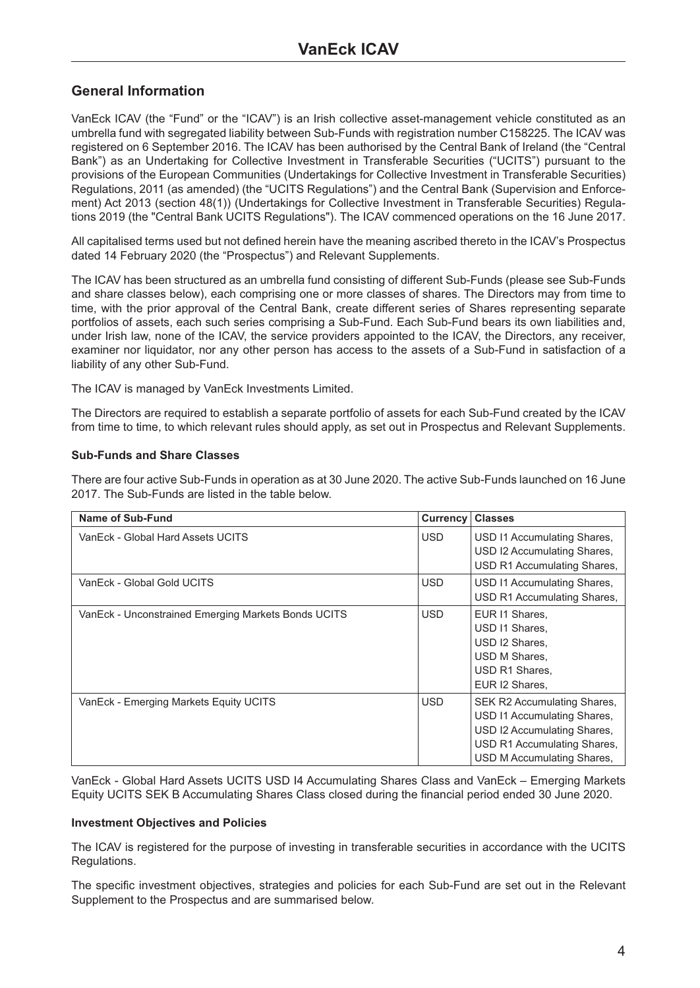### <span id="page-3-0"></span>**General Information**

VanEck ICAV (the "Fund" or the "ICAV") is an Irish collective asset-management vehicle constituted as an umbrella fund with segregated liability between Sub-Funds with registration number C158225. The ICAV was registered on 6 September 2016. The ICAV has been authorised by the Central Bank of Ireland (the "Central Bank") as an Undertaking for Collective Investment in Transferable Securities ("UCITS") pursuant to the provisions of the European Communities (Undertakings for Collective Investment in Transferable Securities) Regulations, 2011 (as amended) (the "UCITS Regulations") and the Central Bank (Supervision and Enforcement) Act 2013 (section 48(1)) (Undertakings for Collective Investment in Transferable Securities) Regulations 2019 (the "Central Bank UCITS Regulations"). The ICAV commenced operations on the 16 June 2017.

All capitalised terms used but not defined herein have the meaning ascribed thereto in the ICAV's Prospectus dated 14 February 2020 (the "Prospectus") and Relevant Supplements.

The ICAV has been structured as an umbrella fund consisting of different Sub-Funds (please see Sub-Funds and share classes below), each comprising one or more classes of shares. The Directors may from time to time, with the prior approval of the Central Bank, create different series of Shares representing separate portfolios of assets, each such series comprising a Sub-Fund. Each Sub-Fund bears its own liabilities and, under Irish law, none of the ICAV, the service providers appointed to the ICAV, the Directors, any receiver, examiner nor liquidator, nor any other person has access to the assets of a Sub-Fund in satisfaction of a liability of any other Sub-Fund.

The ICAV is managed by VanEck Investments Limited.

The Directors are required to establish a separate portfolio of assets for each Sub-Fund created by the ICAV from time to time, to which relevant rules should apply, as set out in Prospectus and Relevant Supplements.

#### **Sub-Funds and Share Classes**

There are four active Sub-Funds in operation as at 30 June 2020. The active Sub-Funds launched on 16 June 2017. The Sub-Funds are listed in the table below.

| Name of Sub-Fund                                    | <b>Currency</b> | <b>Classes</b>                                                                                                                                         |
|-----------------------------------------------------|-----------------|--------------------------------------------------------------------------------------------------------------------------------------------------------|
| VanEck - Global Hard Assets UCITS                   | <b>USD</b>      | USD 11 Accumulating Shares,<br>USD I2 Accumulating Shares,<br>USD R1 Accumulating Shares,                                                              |
| VanEck - Global Gold UCITS                          | <b>USD</b>      | USD 11 Accumulating Shares,<br>USD R1 Accumulating Shares,                                                                                             |
| VanEck - Unconstrained Emerging Markets Bonds UCITS | <b>USD</b>      | EUR I1 Shares,<br>USD 11 Shares,<br>USD I2 Shares.<br>USD M Shares,<br>USD R1 Shares.<br>EUR I2 Shares.                                                |
| VanEck - Emerging Markets Equity UCITS              | <b>USD</b>      | SEK R2 Accumulating Shares,<br>USD 11 Accumulating Shares,<br>USD I2 Accumulating Shares,<br>USD R1 Accumulating Shares,<br>USD M Accumulating Shares, |

VanEck - Global Hard Assets UCITS USD I4 Accumulating Shares Class and VanEck – Emerging Markets Equity UCITS SEK B Accumulating Shares Class closed during the financial period ended 30 June 2020.

#### **Investment Objectives and Policies**

The ICAV is registered for the purpose of investing in transferable securities in accordance with the UCITS Regulations.

The specific investment objectives, strategies and policies for each Sub-Fund are set out in the Relevant Supplement to the Prospectus and are summarised below.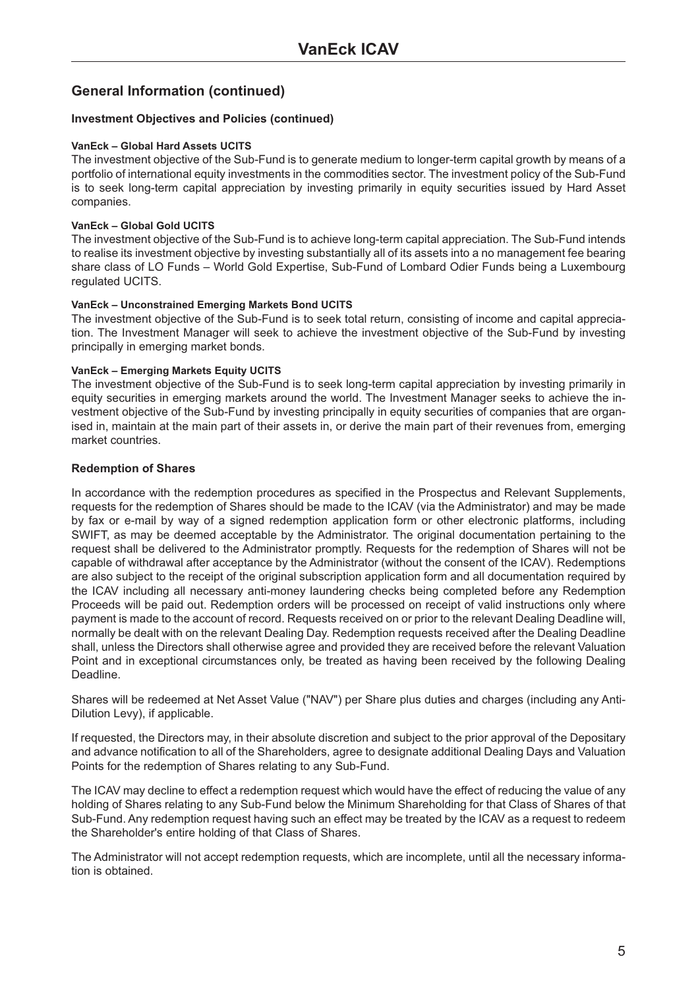### **General Information (continued)**

#### **Investment Objectives and Policies (continued)**

#### **VanEck – Global Hard Assets UCITS**

The investment objective of the Sub-Fund is to generate medium to longer-term capital growth by means of a portfolio of international equity investments in the commodities sector. The investment policy of the Sub-Fund is to seek long-term capital appreciation by investing primarily in equity securities issued by Hard Asset companies.

#### **VanEck – Global Gold UCITS**

The investment objective of the Sub-Fund is to achieve long-term capital appreciation. The Sub-Fund intends to realise its investment objective by investing substantially all of its assets into a no management fee bearing share class of LO Funds – World Gold Expertise, Sub-Fund of Lombard Odier Funds being a Luxembourg regulated UCITS.

#### **VanEck – Unconstrained Emerging Markets Bond UCITS**

The investment objective of the Sub-Fund is to seek total return, consisting of income and capital appreciation. The Investment Manager will seek to achieve the investment objective of the Sub-Fund by investing principally in emerging market bonds.

#### **VanEck – Emerging Markets Equity UCITS**

The investment objective of the Sub-Fund is to seek long-term capital appreciation by investing primarily in equity securities in emerging markets around the world. The Investment Manager seeks to achieve the investment objective of the Sub-Fund by investing principally in equity securities of companies that are organised in, maintain at the main part of their assets in, or derive the main part of their revenues from, emerging market countries.

#### **Redemption of Shares**

In accordance with the redemption procedures as specified in the Prospectus and Relevant Supplements, requests for the redemption of Shares should be made to the ICAV (via the Administrator) and may be made by fax or e-mail by way of a signed redemption application form or other electronic platforms, including SWIFT, as may be deemed acceptable by the Administrator. The original documentation pertaining to the request shall be delivered to the Administrator promptly. Requests for the redemption of Shares will not be capable of withdrawal after acceptance by the Administrator (without the consent of the ICAV). Redemptions are also subject to the receipt of the original subscription application form and all documentation required by the ICAV including all necessary anti-money laundering checks being completed before any Redemption Proceeds will be paid out. Redemption orders will be processed on receipt of valid instructions only where payment is made to the account of record. Requests received on or prior to the relevant Dealing Deadline will, normally be dealt with on the relevant Dealing Day. Redemption requests received after the Dealing Deadline shall, unless the Directors shall otherwise agree and provided they are received before the relevant Valuation Point and in exceptional circumstances only, be treated as having been received by the following Dealing Deadline.

Shares will be redeemed at Net Asset Value ("NAV") per Share plus duties and charges (including any Anti-Dilution Levy), if applicable.

If requested, the Directors may, in their absolute discretion and subject to the prior approval of the Depositary and advance notification to all of the Shareholders, agree to designate additional Dealing Days and Valuation Points for the redemption of Shares relating to any Sub-Fund.

The ICAV may decline to effect a redemption request which would have the effect of reducing the value of any holding of Shares relating to any Sub-Fund below the Minimum Shareholding for that Class of Shares of that Sub-Fund. Any redemption request having such an effect may be treated by the ICAV as a request to redeem the Shareholder's entire holding of that Class of Shares.

The Administrator will not accept redemption requests, which are incomplete, until all the necessary information is obtained.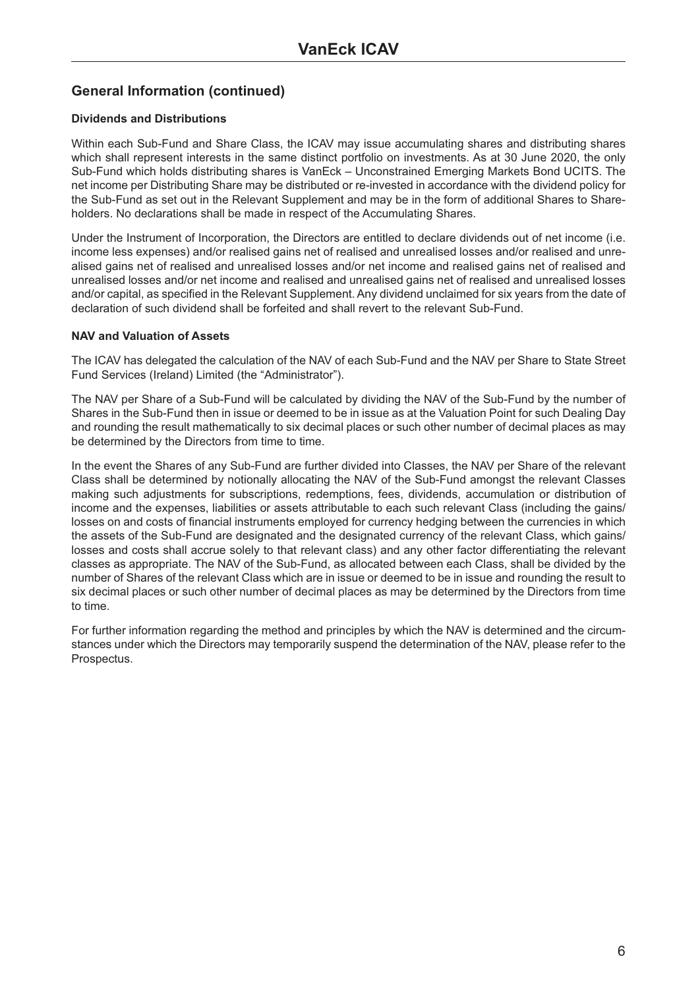### **General Information (continued)**

#### **Dividends and Distributions**

Within each Sub-Fund and Share Class, the ICAV may issue accumulating shares and distributing shares which shall represent interests in the same distinct portfolio on investments. As at 30 June 2020, the only Sub-Fund which holds distributing shares is VanEck – Unconstrained Emerging Markets Bond UCITS. The net income per Distributing Share may be distributed or re-invested in accordance with the dividend policy for the Sub-Fund as set out in the Relevant Supplement and may be in the form of additional Shares to Shareholders. No declarations shall be made in respect of the Accumulating Shares.

Under the Instrument of Incorporation, the Directors are entitled to declare dividends out of net income (i.e. income less expenses) and/or realised gains net of realised and unrealised losses and/or realised and unrealised gains net of realised and unrealised losses and/or net income and realised gains net of realised and unrealised losses and/or net income and realised and unrealised gains net of realised and unrealised losses and/or capital, as specified in the Relevant Supplement. Any dividend unclaimed for six years from the date of declaration of such dividend shall be forfeited and shall revert to the relevant Sub-Fund.

#### **NAV and Valuation of Assets**

The ICAV has delegated the calculation of the NAV of each Sub-Fund and the NAV per Share to State Street Fund Services (Ireland) Limited (the "Administrator").

The NAV per Share of a Sub-Fund will be calculated by dividing the NAV of the Sub-Fund by the number of Shares in the Sub-Fund then in issue or deemed to be in issue as at the Valuation Point for such Dealing Day and rounding the result mathematically to six decimal places or such other number of decimal places as may be determined by the Directors from time to time.

In the event the Shares of any Sub-Fund are further divided into Classes, the NAV per Share of the relevant Class shall be determined by notionally allocating the NAV of the Sub-Fund amongst the relevant Classes making such adjustments for subscriptions, redemptions, fees, dividends, accumulation or distribution of income and the expenses, liabilities or assets attributable to each such relevant Class (including the gains/ losses on and costs of financial instruments employed for currency hedging between the currencies in which the assets of the Sub-Fund are designated and the designated currency of the relevant Class, which gains/ losses and costs shall accrue solely to that relevant class) and any other factor differentiating the relevant classes as appropriate. The NAV of the Sub-Fund, as allocated between each Class, shall be divided by the number of Shares of the relevant Class which are in issue or deemed to be in issue and rounding the result to six decimal places or such other number of decimal places as may be determined by the Directors from time to time.

For further information regarding the method and principles by which the NAV is determined and the circumstances under which the Directors may temporarily suspend the determination of the NAV, please refer to the Prospectus.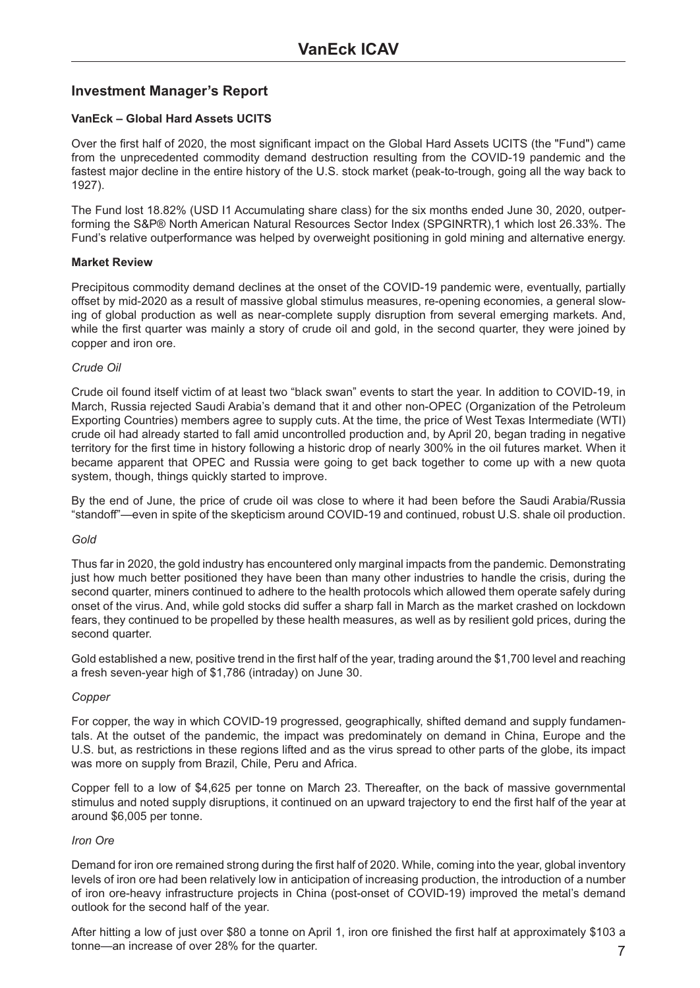### <span id="page-6-0"></span>**Investment Manager's Report**

#### **VanEck – Global Hard Assets UCITS**

Over the first half of 2020, the most significant impact on the Global Hard Assets UCITS (the "Fund") came from the unprecedented commodity demand destruction resulting from the COVID-19 pandemic and the fastest major decline in the entire history of the U.S. stock market (peak-to-trough, going all the way back to 1927).

The Fund lost 18.82% (USD I1 Accumulating share class) for the six months ended June 30, 2020, outperforming the S&P® North American Natural Resources Sector Index (SPGINRTR),1 which lost 26.33%. The Fund's relative outperformance was helped by overweight positioning in gold mining and alternative energy.

#### **Market Review**

Precipitous commodity demand declines at the onset of the COVID-19 pandemic were, eventually, partially offset by mid-2020 as a result of massive global stimulus measures, re-opening economies, a general slowing of global production as well as near-complete supply disruption from several emerging markets. And, while the first quarter was mainly a story of crude oil and gold, in the second quarter, they were joined by copper and iron ore.

#### *Crude Oil*

Crude oil found itself victim of at least two "black swan" events to start the year. In addition to COVID-19, in March, Russia rejected Saudi Arabia's demand that it and other non-OPEC (Organization of the Petroleum Exporting Countries) members agree to supply cuts. At the time, the price of West Texas Intermediate (WTI) crude oil had already started to fall amid uncontrolled production and, by April 20, began trading in negative territory for the first time in history following a historic drop of nearly 300% in the oil futures market. When it became apparent that OPEC and Russia were going to get back together to come up with a new quota system, though, things quickly started to improve.

By the end of June, the price of crude oil was close to where it had been before the Saudi Arabia/Russia "standoff"—even in spite of the skepticism around COVID-19 and continued, robust U.S. shale oil production.

#### *Gold*

Thus far in 2020, the gold industry has encountered only marginal impacts from the pandemic. Demonstrating just how much better positioned they have been than many other industries to handle the crisis, during the second quarter, miners continued to adhere to the health protocols which allowed them operate safely during onset of the virus. And, while gold stocks did suffer a sharp fall in March as the market crashed on lockdown fears, they continued to be propelled by these health measures, as well as by resilient gold prices, during the second quarter.

Gold established a new, positive trend in the first half of the year, trading around the \$1,700 level and reaching a fresh seven-year high of \$1,786 (intraday) on June 30.

#### *Copper*

For copper, the way in which COVID-19 progressed, geographically, shifted demand and supply fundamentals. At the outset of the pandemic, the impact was predominately on demand in China, Europe and the U.S. but, as restrictions in these regions lifted and as the virus spread to other parts of the globe, its impact was more on supply from Brazil, Chile, Peru and Africa.

Copper fell to a low of \$4,625 per tonne on March 23. Thereafter, on the back of massive governmental stimulus and noted supply disruptions, it continued on an upward trajectory to end the first half of the year at around \$6,005 per tonne.

#### *Iron Ore*

Demand for iron ore remained strong during the first half of 2020. While, coming into the year, global inventory levels of iron ore had been relatively low in anticipation of increasing production, the introduction of a number of iron ore-heavy infrastructure projects in China (post-onset of COVID-19) improved the metal's demand outlook for the second half of the year.

After hitting a low of just over \$80 a tonne on April 1, iron ore finished the first half at approximately \$103 a tonne—an increase of over 28% for the quarter. 7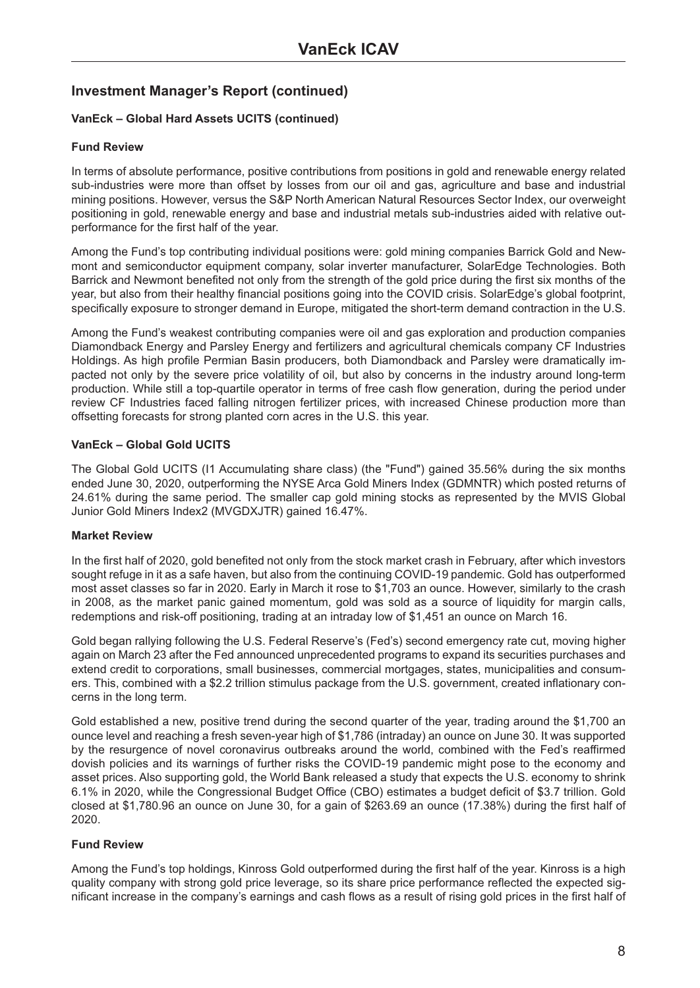#### **VanEck – Global Hard Assets UCITS (continued)**

#### **Fund Review**

In terms of absolute performance, positive contributions from positions in gold and renewable energy related sub-industries were more than offset by losses from our oil and gas, agriculture and base and industrial mining positions. However, versus the S&P North American Natural Resources Sector Index, our overweight positioning in gold, renewable energy and base and industrial metals sub-industries aided with relative outperformance for the first half of the year.

Among the Fund's top contributing individual positions were: gold mining companies Barrick Gold and Newmont and semiconductor equipment company, solar inverter manufacturer, SolarEdge Technologies. Both Barrick and Newmont benefited not only from the strength of the gold price during the first six months of the year, but also from their healthy financial positions going into the COVID crisis. SolarEdge's global footprint, specifically exposure to stronger demand in Europe, mitigated the short-term demand contraction in the U.S.

Among the Fund's weakest contributing companies were oil and gas exploration and production companies Diamondback Energy and Parsley Energy and fertilizers and agricultural chemicals company CF Industries Holdings. As high profile Permian Basin producers, both Diamondback and Parsley were dramatically impacted not only by the severe price volatility of oil, but also by concerns in the industry around long-term production. While still a top-quartile operator in terms of free cash flow generation, during the period under review CF Industries faced falling nitrogen fertilizer prices, with increased Chinese production more than offsetting forecasts for strong planted corn acres in the U.S. this year.

#### **VanEck – Global Gold UCITS**

The Global Gold UCITS (I1 Accumulating share class) (the "Fund") gained 35.56% during the six months ended June 30, 2020, outperforming the NYSE Arca Gold Miners Index (GDMNTR) which posted returns of 24.61% during the same period. The smaller cap gold mining stocks as represented by the MVIS Global Junior Gold Miners Index2 (MVGDXJTR) gained 16.47%.

#### **Market Review**

In the first half of 2020, gold benefited not only from the stock market crash in February, after which investors sought refuge in it as a safe haven, but also from the continuing COVID-19 pandemic. Gold has outperformed most asset classes so far in 2020. Early in March it rose to \$1,703 an ounce. However, similarly to the crash in 2008, as the market panic gained momentum, gold was sold as a source of liquidity for margin calls, redemptions and risk-off positioning, trading at an intraday low of \$1,451 an ounce on March 16.

Gold began rallying following the U.S. Federal Reserve's (Fed's) second emergency rate cut, moving higher again on March 23 after the Fed announced unprecedented programs to expand its securities purchases and extend credit to corporations, small businesses, commercial mortgages, states, municipalities and consumers. This, combined with a \$2.2 trillion stimulus package from the U.S. government, created inflationary concerns in the long term.

Gold established a new, positive trend during the second quarter of the year, trading around the \$1,700 an ounce level and reaching a fresh seven-year high of \$1,786 (intraday) an ounce on June 30. It was supported by the resurgence of novel coronavirus outbreaks around the world, combined with the Fed's reaffirmed dovish policies and its warnings of further risks the COVID-19 pandemic might pose to the economy and asset prices. Also supporting gold, the World Bank released a study that expects the U.S. economy to shrink 6.1% in 2020, while the Congressional Budget Office (CBO) estimates a budget deficit of \$3.7 trillion. Gold closed at \$1,780.96 an ounce on June 30, for a gain of \$263.69 an ounce (17.38%) during the first half of 2020.

#### **Fund Review**

Among the Fund's top holdings, Kinross Gold outperformed during the first half of the year. Kinross is a high quality company with strong gold price leverage, so its share price performance reflected the expected significant increase in the company's earnings and cash flows as a result of rising gold prices in the first half of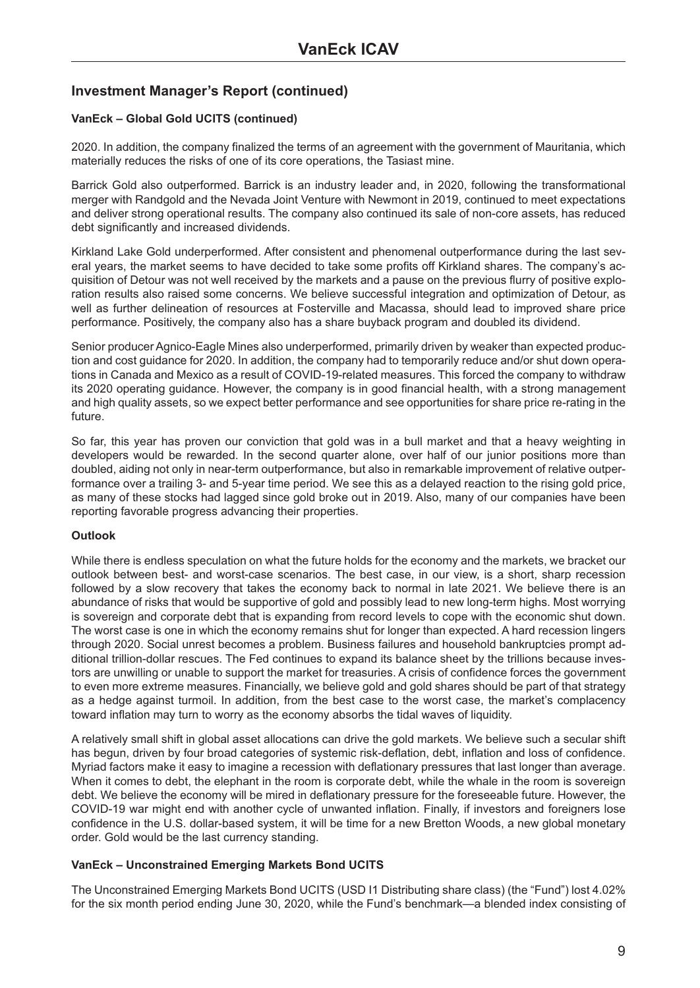#### **VanEck – Global Gold UCITS (continued)**

2020. In addition, the company finalized the terms of an agreement with the government of Mauritania, which materially reduces the risks of one of its core operations, the Tasiast mine.

Barrick Gold also outperformed. Barrick is an industry leader and, in 2020, following the transformational merger with Randgold and the Nevada Joint Venture with Newmont in 2019, continued to meet expectations and deliver strong operational results. The company also continued its sale of non-core assets, has reduced debt significantly and increased dividends.

Kirkland Lake Gold underperformed. After consistent and phenomenal outperformance during the last several years, the market seems to have decided to take some profits off Kirkland shares. The company's acquisition of Detour was not well received by the markets and a pause on the previous flurry of positive exploration results also raised some concerns. We believe successful integration and optimization of Detour, as well as further delineation of resources at Fosterville and Macassa, should lead to improved share price performance. Positively, the company also has a share buyback program and doubled its dividend.

Senior producer Agnico-Eagle Mines also underperformed, primarily driven by weaker than expected production and cost guidance for 2020. In addition, the company had to temporarily reduce and/or shut down operations in Canada and Mexico as a result of COVID-19-related measures. This forced the company to withdraw its 2020 operating guidance. However, the company is in good financial health, with a strong management and high quality assets, so we expect better performance and see opportunities for share price re-rating in the future.

So far, this year has proven our conviction that gold was in a bull market and that a heavy weighting in developers would be rewarded. In the second quarter alone, over half of our junior positions more than doubled, aiding not only in near-term outperformance, but also in remarkable improvement of relative outperformance over a trailing 3- and 5-year time period. We see this as a delayed reaction to the rising gold price, as many of these stocks had lagged since gold broke out in 2019. Also, many of our companies have been reporting favorable progress advancing their properties.

#### **Outlook**

While there is endless speculation on what the future holds for the economy and the markets, we bracket our outlook between best- and worst-case scenarios. The best case, in our view, is a short, sharp recession followed by a slow recovery that takes the economy back to normal in late 2021. We believe there is an abundance of risks that would be supportive of gold and possibly lead to new long-term highs. Most worrying is sovereign and corporate debt that is expanding from record levels to cope with the economic shut down. The worst case is one in which the economy remains shut for longer than expected. A hard recession lingers through 2020. Social unrest becomes a problem. Business failures and household bankruptcies prompt additional trillion-dollar rescues. The Fed continues to expand its balance sheet by the trillions because investors are unwilling or unable to support the market for treasuries. A crisis of confidence forces the government to even more extreme measures. Financially, we believe gold and gold shares should be part of that strategy as a hedge against turmoil. In addition, from the best case to the worst case, the market's complacency toward inflation may turn to worry as the economy absorbs the tidal waves of liquidity.

A relatively small shift in global asset allocations can drive the gold markets. We believe such a secular shift has begun, driven by four broad categories of systemic risk-deflation, debt, inflation and loss of confidence. Myriad factors make it easy to imagine a recession with deflationary pressures that last longer than average. When it comes to debt, the elephant in the room is corporate debt, while the whale in the room is sovereign debt. We believe the economy will be mired in deflationary pressure for the foreseeable future. However, the COVID-19 war might end with another cycle of unwanted inflation. Finally, if investors and foreigners lose confidence in the U.S. dollar-based system, it will be time for a new Bretton Woods, a new global monetary order. Gold would be the last currency standing.

#### **VanEck – Unconstrained Emerging Markets Bond UCITS**

The Unconstrained Emerging Markets Bond UCITS (USD I1 Distributing share class) (the "Fund") lost 4.02% for the six month period ending June 30, 2020, while the Fund's benchmark—a blended index consisting of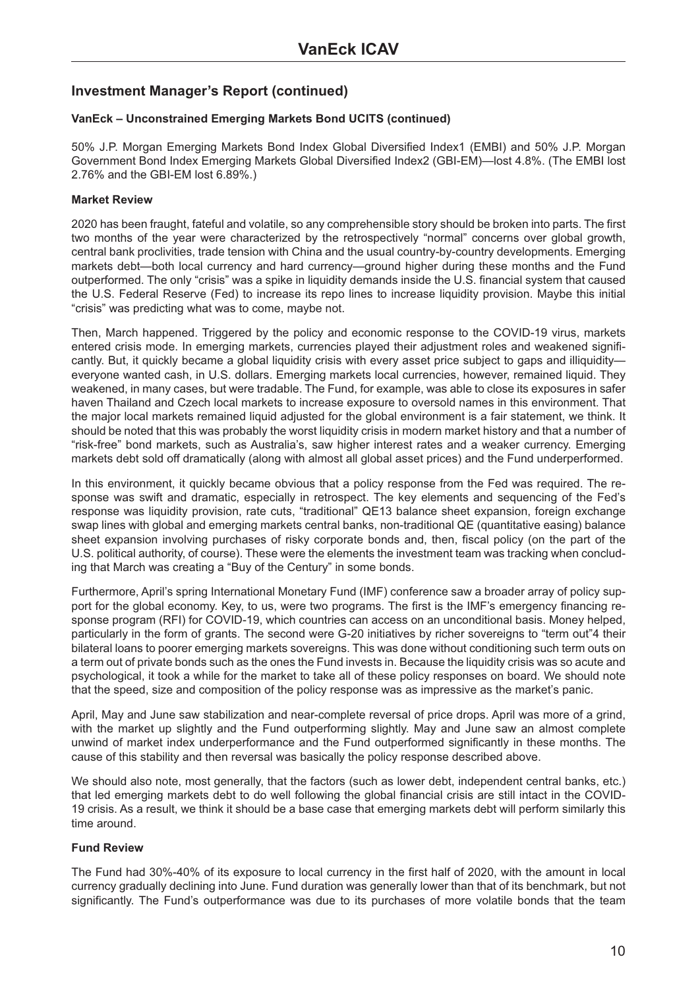### **VanEck – Unconstrained Emerging Markets Bond UCITS (continued)**

50% J.P. Morgan Emerging Markets Bond Index Global Diversified Index1 (EMBI) and 50% J.P. Morgan Government Bond Index Emerging Markets Global Diversified Index2 (GBI-EM)—lost 4.8%. (The EMBI lost 2.76% and the GBI-EM lost 6.89%.)

### **Market Review**

2020 has been fraught, fateful and volatile, so any comprehensible story should be broken into parts. The first two months of the year were characterized by the retrospectively "normal" concerns over global growth, central bank proclivities, trade tension with China and the usual country-by-country developments. Emerging markets debt—both local currency and hard currency—ground higher during these months and the Fund outperformed. The only "crisis" was a spike in liquidity demands inside the U.S. financial system that caused the U.S. Federal Reserve (Fed) to increase its repo lines to increase liquidity provision. Maybe this initial "crisis" was predicting what was to come, maybe not.

Then, March happened. Triggered by the policy and economic response to the COVID-19 virus, markets entered crisis mode. In emerging markets, currencies played their adjustment roles and weakened significantly. But, it quickly became a global liquidity crisis with every asset price subject to gaps and illiquidity everyone wanted cash, in U.S. dollars. Emerging markets local currencies, however, remained liquid. They weakened, in many cases, but were tradable. The Fund, for example, was able to close its exposures in safer haven Thailand and Czech local markets to increase exposure to oversold names in this environment. That the major local markets remained liquid adjusted for the global environment is a fair statement, we think. It should be noted that this was probably the worst liquidity crisis in modern market history and that a number of "risk-free" bond markets, such as Australia's, saw higher interest rates and a weaker currency. Emerging markets debt sold off dramatically (along with almost all global asset prices) and the Fund underperformed.

In this environment, it quickly became obvious that a policy response from the Fed was required. The response was swift and dramatic, especially in retrospect. The key elements and sequencing of the Fed's response was liquidity provision, rate cuts, "traditional" QE13 balance sheet expansion, foreign exchange swap lines with global and emerging markets central banks, non-traditional QE (quantitative easing) balance sheet expansion involving purchases of risky corporate bonds and, then, fiscal policy (on the part of the U.S. political authority, of course). These were the elements the investment team was tracking when concluding that March was creating a "Buy of the Century" in some bonds.

Furthermore, April's spring International Monetary Fund (IMF) conference saw a broader array of policy support for the global economy. Key, to us, were two programs. The first is the IMF's emergency financing response program (RFI) for COVID-19, which countries can access on an unconditional basis. Money helped, particularly in the form of grants. The second were G-20 initiatives by richer sovereigns to "term out"4 their bilateral loans to poorer emerging markets sovereigns. This was done without conditioning such term outs on a term out of private bonds such as the ones the Fund invests in. Because the liquidity crisis was so acute and psychological, it took a while for the market to take all of these policy responses on board. We should note that the speed, size and composition of the policy response was as impressive as the market's panic.

April, May and June saw stabilization and near-complete reversal of price drops. April was more of a grind, with the market up slightly and the Fund outperforming slightly. May and June saw an almost complete unwind of market index underperformance and the Fund outperformed significantly in these months. The cause of this stability and then reversal was basically the policy response described above.

We should also note, most generally, that the factors (such as lower debt, independent central banks, etc.) that led emerging markets debt to do well following the global financial crisis are still intact in the COVID-19 crisis. As a result, we think it should be a base case that emerging markets debt will perform similarly this time around.

### **Fund Review**

The Fund had 30%-40% of its exposure to local currency in the first half of 2020, with the amount in local currency gradually declining into June. Fund duration was generally lower than that of its benchmark, but not significantly. The Fund's outperformance was due to its purchases of more volatile bonds that the team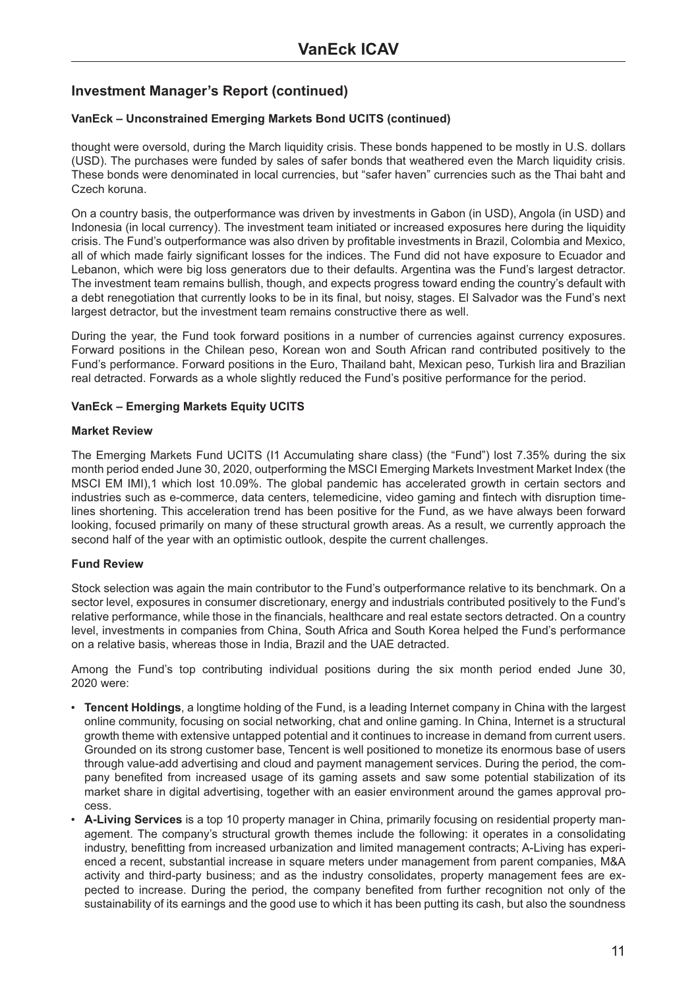#### **VanEck – Unconstrained Emerging Markets Bond UCITS (continued)**

thought were oversold, during the March liquidity crisis. These bonds happened to be mostly in U.S. dollars (USD). The purchases were funded by sales of safer bonds that weathered even the March liquidity crisis. These bonds were denominated in local currencies, but "safer haven" currencies such as the Thai baht and Czech koruna.

On a country basis, the outperformance was driven by investments in Gabon (in USD), Angola (in USD) and Indonesia (in local currency). The investment team initiated or increased exposures here during the liquidity crisis. The Fund's outperformance was also driven by profitable investments in Brazil, Colombia and Mexico, all of which made fairly significant losses for the indices. The Fund did not have exposure to Ecuador and Lebanon, which were big loss generators due to their defaults. Argentina was the Fund's largest detractor. The investment team remains bullish, though, and expects progress toward ending the country's default with a debt renegotiation that currently looks to be in its final, but noisy, stages. El Salvador was the Fund's next largest detractor, but the investment team remains constructive there as well.

During the year, the Fund took forward positions in a number of currencies against currency exposures. Forward positions in the Chilean peso, Korean won and South African rand contributed positively to the Fund's performance. Forward positions in the Euro, Thailand baht, Mexican peso, Turkish lira and Brazilian real detracted. Forwards as a whole slightly reduced the Fund's positive performance for the period.

#### **VanEck – Emerging Markets Equity UCITS**

#### **Market Review**

The Emerging Markets Fund UCITS (I1 Accumulating share class) (the "Fund") lost 7.35% during the six month period ended June 30, 2020, outperforming the MSCI Emerging Markets Investment Market Index (the MSCI EM IMI),1 which lost 10.09%. The global pandemic has accelerated growth in certain sectors and industries such as e-commerce, data centers, telemedicine, video gaming and fintech with disruption timelines shortening. This acceleration trend has been positive for the Fund, as we have always been forward looking, focused primarily on many of these structural growth areas. As a result, we currently approach the second half of the year with an optimistic outlook, despite the current challenges.

#### **Fund Review**

Stock selection was again the main contributor to the Fund's outperformance relative to its benchmark. On a sector level, exposures in consumer discretionary, energy and industrials contributed positively to the Fund's relative performance, while those in the financials, healthcare and real estate sectors detracted. On a country level, investments in companies from China, South Africa and South Korea helped the Fund's performance on a relative basis, whereas those in India, Brazil and the UAE detracted.

Among the Fund's top contributing individual positions during the six month period ended June 30, 2020 were:

- **Tencent Holdings**, a longtime holding of the Fund, is a leading Internet company in China with the largest online community, focusing on social networking, chat and online gaming. In China, Internet is a structural growth theme with extensive untapped potential and it continues to increase in demand from current users. Grounded on its strong customer base, Tencent is well positioned to monetize its enormous base of users through value-add advertising and cloud and payment management services. During the period, the company benefited from increased usage of its gaming assets and saw some potential stabilization of its market share in digital advertising, together with an easier environment around the games approval process.
- **A-Living Services** is a top 10 property manager in China, primarily focusing on residential property management. The company's structural growth themes include the following: it operates in a consolidating industry, benefitting from increased urbanization and limited management contracts; A-Living has experienced a recent, substantial increase in square meters under management from parent companies, M&A activity and third-party business; and as the industry consolidates, property management fees are expected to increase. During the period, the company benefited from further recognition not only of the sustainability of its earnings and the good use to which it has been putting its cash, but also the soundness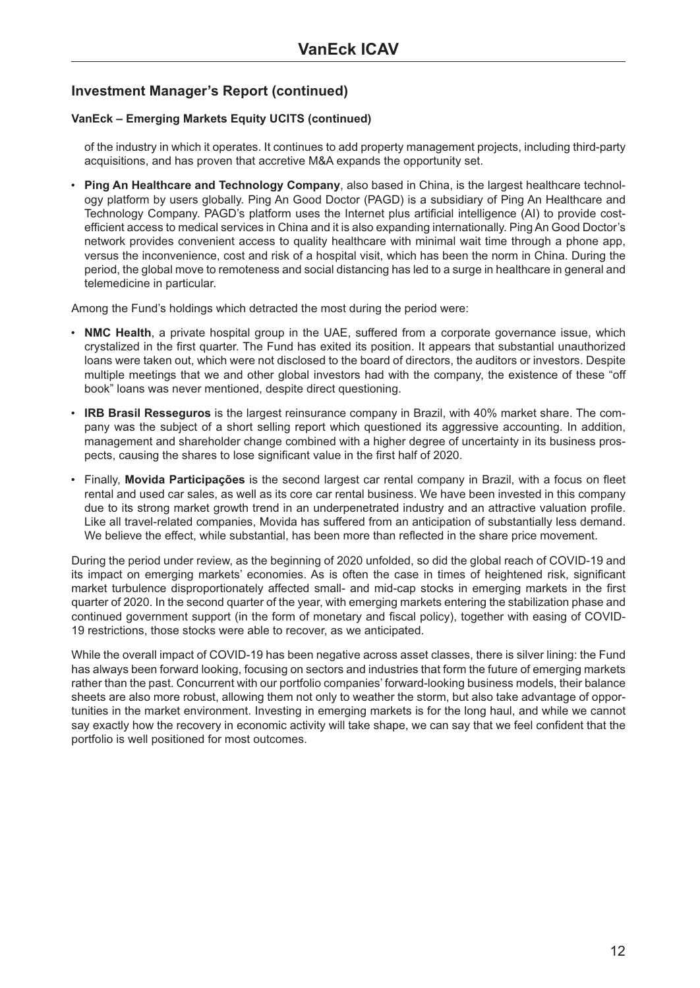#### **VanEck – Emerging Markets Equity UCITS (continued)**

of the industry in which it operates. It continues to add property management projects, including third-party acquisitions, and has proven that accretive M&A expands the opportunity set.

• **Ping An Healthcare and Technology Company**, also based in China, is the largest healthcare technology platform by users globally. Ping An Good Doctor (PAGD) is a subsidiary of Ping An Healthcare and Technology Company. PAGD's platform uses the Internet plus artificial intelligence (AI) to provide costefficient access to medical services in China and it is also expanding internationally. Ping An Good Doctor's network provides convenient access to quality healthcare with minimal wait time through a phone app, versus the inconvenience, cost and risk of a hospital visit, which has been the norm in China. During the period, the global move to remoteness and social distancing has led to a surge in healthcare in general and telemedicine in particular.

Among the Fund's holdings which detracted the most during the period were:

- **NMC Health**, a private hospital group in the UAE, suffered from a corporate governance issue, which crystalized in the first quarter. The Fund has exited its position. It appears that substantial unauthorized loans were taken out, which were not disclosed to the board of directors, the auditors or investors. Despite multiple meetings that we and other global investors had with the company, the existence of these "off book" loans was never mentioned, despite direct questioning.
- **IRB Brasil Resseguros** is the largest reinsurance company in Brazil, with 40% market share. The company was the subject of a short selling report which questioned its aggressive accounting. In addition, management and shareholder change combined with a higher degree of uncertainty in its business prospects, causing the shares to lose significant value in the first half of 2020.
- Finally, **Movida Participações** is the second largest car rental company in Brazil, with a focus on fleet rental and used car sales, as well as its core car rental business. We have been invested in this company due to its strong market growth trend in an underpenetrated industry and an attractive valuation profile. Like all travel-related companies, Movida has suffered from an anticipation of substantially less demand. We believe the effect, while substantial, has been more than reflected in the share price movement.

During the period under review, as the beginning of 2020 unfolded, so did the global reach of COVID-19 and its impact on emerging markets' economies. As is often the case in times of heightened risk, significant market turbulence disproportionately affected small- and mid-cap stocks in emerging markets in the first quarter of 2020. In the second quarter of the year, with emerging markets entering the stabilization phase and continued government support (in the form of monetary and fiscal policy), together with easing of COVID-19 restrictions, those stocks were able to recover, as we anticipated.

While the overall impact of COVID-19 has been negative across asset classes, there is silver lining: the Fund has always been forward looking, focusing on sectors and industries that form the future of emerging markets rather than the past. Concurrent with our portfolio companies' forward-looking business models, their balance sheets are also more robust, allowing them not only to weather the storm, but also take advantage of opportunities in the market environment. Investing in emerging markets is for the long haul, and while we cannot say exactly how the recovery in economic activity will take shape, we can say that we feel confident that the portfolio is well positioned for most outcomes.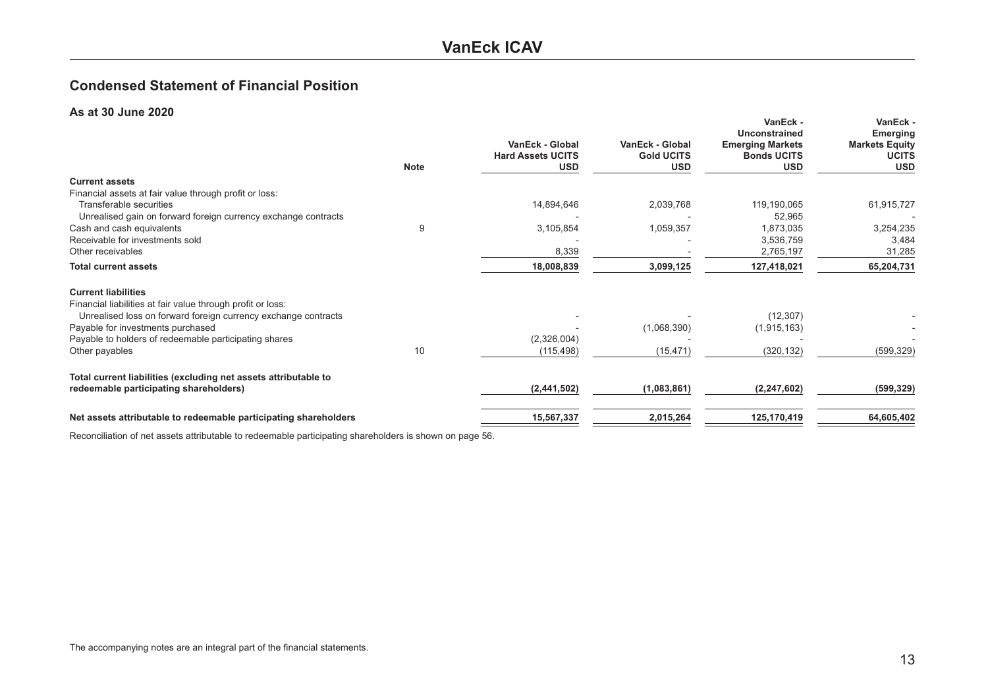### **VanEck ICAV**

### <span id="page-12-0"></span>**Condensed Statement of Financial Position**

#### **As at 30 June 2020**

| <b>Note</b> | VanEck - Global<br><b>Hard Assets UCITS</b><br><b>USD</b> | <b>VanEck - Global</b><br><b>Gold UCITS</b><br><b>USD</b> | VanEck -<br><b>Unconstrained</b><br><b>Emerging Markets</b><br><b>Bonds UCITS</b><br><b>USD</b> | VanEck -<br><b>Emerging</b><br><b>Markets Equity</b><br><b>UCITS</b><br><b>USD</b> |
|-------------|-----------------------------------------------------------|-----------------------------------------------------------|-------------------------------------------------------------------------------------------------|------------------------------------------------------------------------------------|
|             |                                                           |                                                           |                                                                                                 |                                                                                    |
|             |                                                           |                                                           |                                                                                                 |                                                                                    |
|             | 14,894,646                                                | 2,039,768                                                 | 119,190,065                                                                                     | 61,915,727                                                                         |
|             |                                                           |                                                           | 52,965                                                                                          |                                                                                    |
| 9           | 3,105,854                                                 | 1,059,357                                                 | 1,873,035                                                                                       | 3,254,235                                                                          |
|             |                                                           |                                                           | 3,536,759                                                                                       | 3,484                                                                              |
|             |                                                           |                                                           |                                                                                                 | 31,285                                                                             |
|             | 18,008,839                                                | 3,099,125                                                 | 127,418,021                                                                                     | 65,204,731                                                                         |
|             |                                                           |                                                           |                                                                                                 |                                                                                    |
|             |                                                           |                                                           |                                                                                                 |                                                                                    |
|             |                                                           | (1,068,390)                                               |                                                                                                 |                                                                                    |
|             | (2,326,004)                                               |                                                           |                                                                                                 |                                                                                    |
| 10          | (115, 498)                                                | (15, 471)                                                 | (320, 132)                                                                                      | (599, 329)                                                                         |
|             |                                                           |                                                           |                                                                                                 |                                                                                    |
|             | (2,441,502)                                               | (1,083,861)                                               | (2, 247, 602)                                                                                   | (599, 329)                                                                         |
|             | 15,567,337                                                | 2,015,264                                                 | 125,170,419                                                                                     | 64,605,402                                                                         |
|             |                                                           | 8,339                                                     |                                                                                                 | 2,765,197<br>(12, 307)<br>(1, 915, 163)                                            |

Reconciliation of net assets attributable to redeemable participating shareholders is shown on page 56.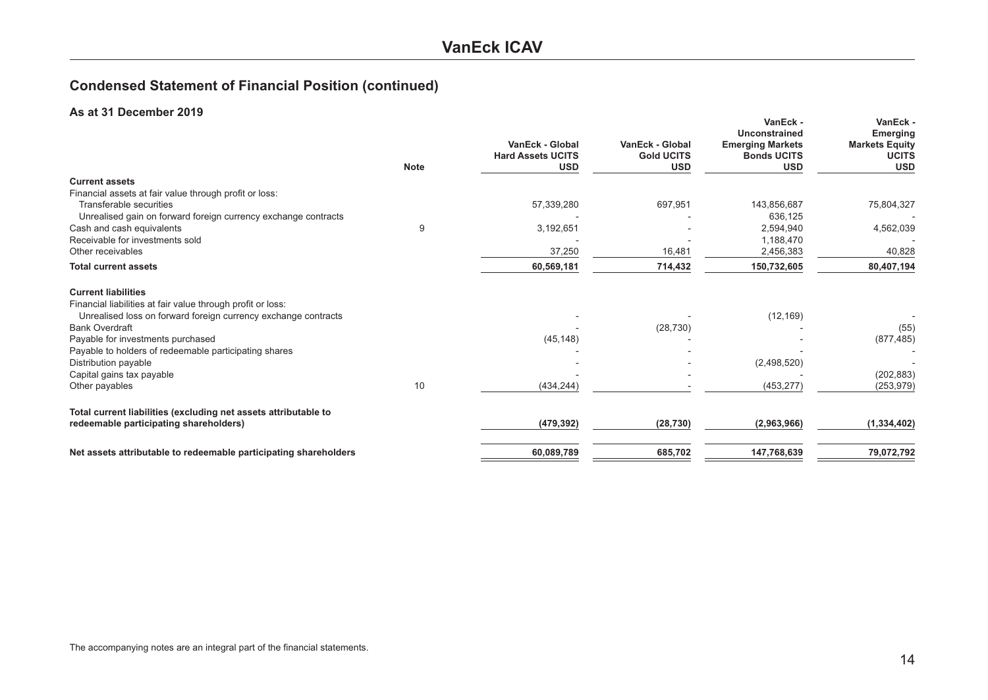## **Condensed Statement of Financial Position (continued)**

#### **As at 31 December 2019**

|                                                                  | <b>Note</b> | VanEck - Global<br><b>Hard Assets UCITS</b><br><b>USD</b> | VanEck - Global<br><b>Gold UCITS</b><br><b>USD</b> | VanEck -<br>Unconstrained<br><b>Emerging Markets</b><br><b>Bonds UCITS</b><br><b>USD</b> | VanEck -<br><b>Emerging</b><br><b>Markets Equity</b><br><b>UCITS</b><br><b>USD</b> |
|------------------------------------------------------------------|-------------|-----------------------------------------------------------|----------------------------------------------------|------------------------------------------------------------------------------------------|------------------------------------------------------------------------------------|
| <b>Current assets</b>                                            |             |                                                           |                                                    |                                                                                          |                                                                                    |
| Financial assets at fair value through profit or loss:           |             |                                                           |                                                    |                                                                                          |                                                                                    |
| Transferable securities                                          |             | 57,339,280                                                | 697,951                                            | 143,856,687                                                                              | 75,804,327                                                                         |
| Unrealised gain on forward foreign currency exchange contracts   |             |                                                           |                                                    | 636,125                                                                                  |                                                                                    |
| Cash and cash equivalents                                        | 9           | 3,192,651                                                 |                                                    | 2,594,940                                                                                | 4,562,039                                                                          |
| Receivable for investments sold                                  |             |                                                           |                                                    | 1,188,470                                                                                |                                                                                    |
| Other receivables                                                |             | 37,250                                                    | 16,481                                             | 2,456,383                                                                                | 40,828                                                                             |
| <b>Total current assets</b>                                      |             | 60,569,181                                                | 714,432                                            | 150,732,605                                                                              | 80,407,194                                                                         |
| <b>Current liabilities</b>                                       |             |                                                           |                                                    |                                                                                          |                                                                                    |
| Financial liabilities at fair value through profit or loss:      |             |                                                           |                                                    |                                                                                          |                                                                                    |
| Unrealised loss on forward foreign currency exchange contracts   |             |                                                           |                                                    | (12, 169)                                                                                |                                                                                    |
| <b>Bank Overdraft</b>                                            |             |                                                           | (28, 730)                                          |                                                                                          | (55)                                                                               |
| Payable for investments purchased                                |             | (45, 148)                                                 |                                                    |                                                                                          | (877, 485)                                                                         |
| Payable to holders of redeemable participating shares            |             |                                                           |                                                    |                                                                                          |                                                                                    |
| Distribution payable                                             |             |                                                           |                                                    | (2,498,520)                                                                              |                                                                                    |
| Capital gains tax payable                                        |             |                                                           |                                                    |                                                                                          | (202, 883)                                                                         |
| Other payables                                                   | 10          | (434, 244)                                                |                                                    | (453, 277)                                                                               | (253, 979)                                                                         |
| Total current liabilities (excluding net assets attributable to  |             |                                                           |                                                    |                                                                                          |                                                                                    |
| redeemable participating shareholders)                           |             | (479, 392)                                                | (28, 730)                                          | (2,963,966)                                                                              | (1, 334, 402)                                                                      |
| Net assets attributable to redeemable participating shareholders |             | 60,089,789                                                | 685,702                                            | 147,768,639                                                                              | 79,072,792                                                                         |
|                                                                  |             |                                                           |                                                    |                                                                                          |                                                                                    |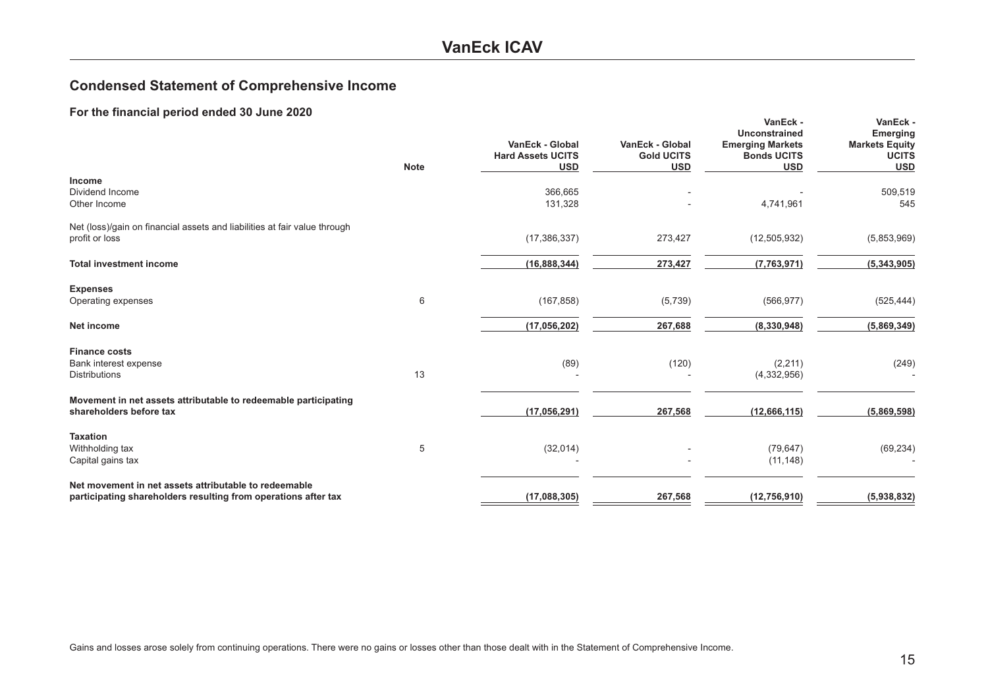### **VanEck ICAV**

### <span id="page-14-0"></span>**Condensed Statement of Comprehensive Income**

|                                                                                                                         | <b>Note</b> | VanEck - Global<br><b>Hard Assets UCITS</b><br><b>USD</b> | VanEck - Global<br><b>Gold UCITS</b><br><b>USD</b> | VanEck -<br><b>Unconstrained</b><br><b>Emerging Markets</b><br><b>Bonds UCITS</b><br><b>USD</b> | VanEck -<br><b>Emerging</b><br><b>Markets Equity</b><br><b>UCITS</b><br><b>USD</b> |
|-------------------------------------------------------------------------------------------------------------------------|-------------|-----------------------------------------------------------|----------------------------------------------------|-------------------------------------------------------------------------------------------------|------------------------------------------------------------------------------------|
| <b>Income</b><br>Dividend Income<br>Other Income                                                                        |             | 366,665<br>131,328                                        |                                                    | 4,741,961                                                                                       | 509,519<br>545                                                                     |
| Net (loss)/gain on financial assets and liabilities at fair value through<br>profit or loss                             |             | (17, 386, 337)                                            | 273,427                                            | (12, 505, 932)                                                                                  | (5,853,969)                                                                        |
| <b>Total investment income</b>                                                                                          |             | (16, 888, 344)                                            | 273,427                                            | (7,763,971)                                                                                     | (5,343,905)                                                                        |
| <b>Expenses</b><br>Operating expenses                                                                                   | 6           | (167, 858)                                                | (5,739)                                            | (566, 977)                                                                                      | (525, 444)                                                                         |
| Net income                                                                                                              |             | (17,056,202)                                              | 267,688                                            | (8,330,948)                                                                                     | (5,869,349)                                                                        |
| <b>Finance costs</b><br>Bank interest expense<br><b>Distributions</b>                                                   | 13          | (89)                                                      | (120)                                              | (2, 211)<br>(4,332,956)                                                                         | (249)                                                                              |
| Movement in net assets attributable to redeemable participating<br>shareholders before tax                              |             | (17, 056, 291)                                            | 267,568                                            | (12,666,115)                                                                                    | (5,869,598)                                                                        |
| <b>Taxation</b><br>Withholding tax<br>Capital gains tax                                                                 | 5           | (32,014)                                                  |                                                    | (79, 647)<br>(11, 148)                                                                          | (69, 234)                                                                          |
| Net movement in net assets attributable to redeemable<br>participating shareholders resulting from operations after tax |             | (17,088,305)                                              | 267,568                                            | (12,756,910)                                                                                    | (5,938,832)                                                                        |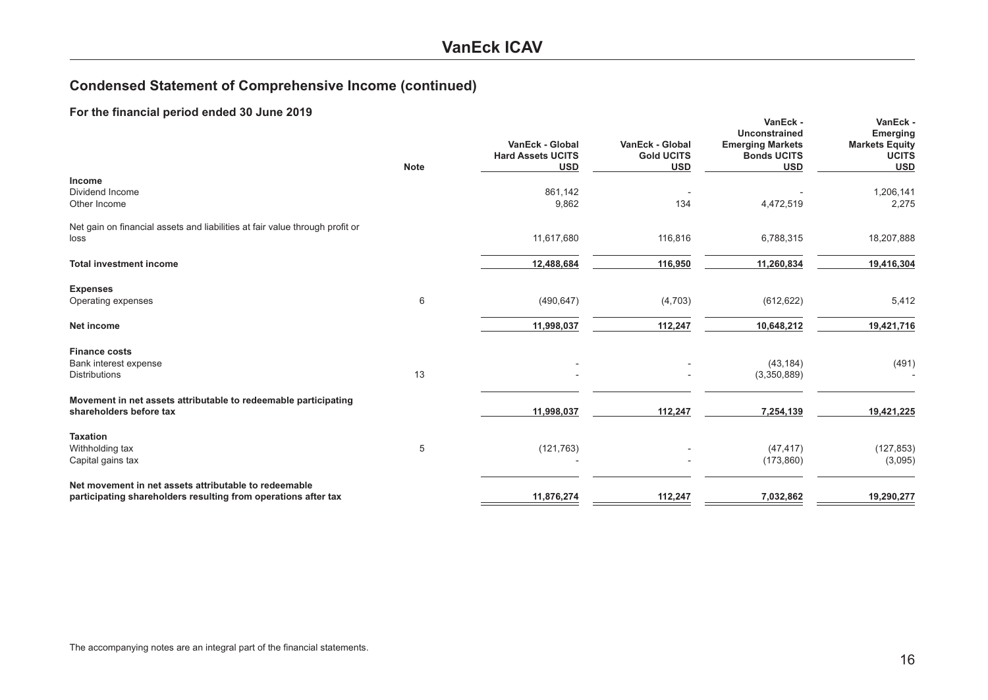## **Condensed Statement of Comprehensive Income (continued)**

| $\sim$ $\sim$ $\sim$ $\sim$ possessor $\sim$                                                                            | <b>Note</b> | VanEck - Global<br><b>Hard Assets UCITS</b><br><b>USD</b> | VanEck - Global<br><b>Gold UCITS</b><br><b>USD</b> | VanEck -<br>Unconstrained<br><b>Emerging Markets</b><br><b>Bonds UCITS</b><br><b>USD</b> | VanEck -<br><b>Emerging</b><br><b>Markets Equity</b><br><b>UCITS</b><br><b>USD</b> |
|-------------------------------------------------------------------------------------------------------------------------|-------------|-----------------------------------------------------------|----------------------------------------------------|------------------------------------------------------------------------------------------|------------------------------------------------------------------------------------|
| Income<br>Dividend Income<br>Other Income                                                                               |             | 861,142<br>9,862                                          | 134                                                | 4,472,519                                                                                | 1,206,141<br>2,275                                                                 |
| Net gain on financial assets and liabilities at fair value through profit or<br>loss                                    |             | 11,617,680                                                | 116,816                                            | 6,788,315                                                                                | 18,207,888                                                                         |
| <b>Total investment income</b>                                                                                          |             | 12,488,684                                                | 116,950                                            | 11,260,834                                                                               | 19,416,304                                                                         |
| <b>Expenses</b><br>Operating expenses                                                                                   | 6           | (490, 647)                                                | (4,703)                                            | (612, 622)                                                                               | 5,412                                                                              |
| <b>Net income</b>                                                                                                       |             | 11,998,037                                                | 112,247                                            | 10,648,212                                                                               | 19,421,716                                                                         |
| <b>Finance costs</b><br>Bank interest expense<br><b>Distributions</b>                                                   | 13          |                                                           |                                                    | (43, 184)<br>(3,350,889)                                                                 | (491)                                                                              |
| Movement in net assets attributable to redeemable participating<br>shareholders before tax                              |             | 11,998,037                                                | 112,247                                            | 7,254,139                                                                                | 19,421,225                                                                         |
| <b>Taxation</b><br>Withholding tax<br>Capital gains tax                                                                 | 5           | (121, 763)                                                |                                                    | (47, 417)<br>(173, 860)                                                                  | (127, 853)<br>(3,095)                                                              |
| Net movement in net assets attributable to redeemable<br>participating shareholders resulting from operations after tax |             | 11,876,274                                                | 112,247                                            | 7,032,862                                                                                | 19,290,277                                                                         |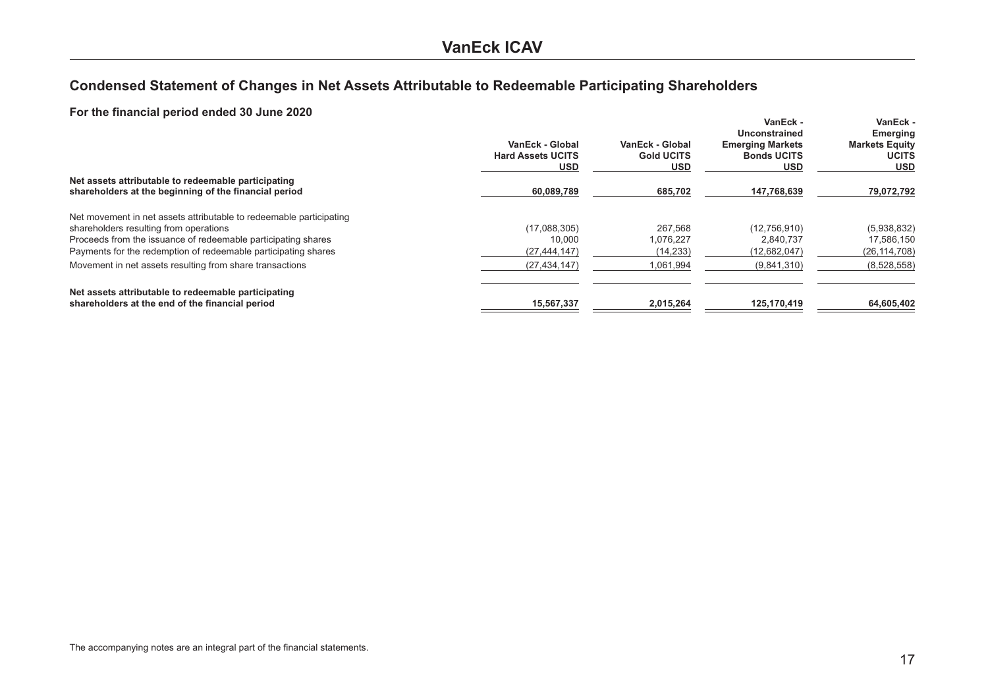## <span id="page-16-0"></span>Condensed Statement of Changes in Net Assets Attributable to Redeemable Participating Shareholders

|                                                                                                              | VanEck - Global<br><b>Hard Assets UCITS</b><br><b>USD</b> | VanEck - Global<br><b>Gold UCITS</b><br><b>USD</b> | VanEck -<br>Unconstrained<br><b>Emerging Markets</b><br><b>Bonds UCITS</b><br><b>USD</b> | <b>VanEck -</b><br><b>Emerging</b><br><b>Markets Equity</b><br><b>UCITS</b><br><b>USD</b> |
|--------------------------------------------------------------------------------------------------------------|-----------------------------------------------------------|----------------------------------------------------|------------------------------------------------------------------------------------------|-------------------------------------------------------------------------------------------|
| Net assets attributable to redeemable participating<br>shareholders at the beginning of the financial period | 60.089.789                                                | 685.702                                            | 147.768.639                                                                              | 79.072.792                                                                                |
| Net movement in net assets attributable to redeemable participating                                          |                                                           |                                                    |                                                                                          |                                                                                           |
| shareholders resulting from operations                                                                       | (17,088,305)                                              | 267,568                                            | (12,756,910)                                                                             | (5,938,832)                                                                               |
| Proceeds from the issuance of redeemable participating shares                                                | 10.000                                                    | 1,076,227                                          | 2.840.737                                                                                | 17,586,150                                                                                |
| Payments for the redemption of redeemable participating shares                                               | (27, 444, 147)                                            | (14, 233)                                          | (12,682,047)                                                                             | (26, 114, 708)                                                                            |
| Movement in net assets resulting from share transactions                                                     | (27, 434, 147)                                            | 1,061,994                                          | (9,841,310)                                                                              | (8,528,558)                                                                               |
| Net assets attributable to redeemable participating                                                          |                                                           |                                                    |                                                                                          |                                                                                           |
| shareholders at the end of the financial period                                                              | 15.567.337                                                | 2.015.264                                          | 125.170.419                                                                              | 64,605,402                                                                                |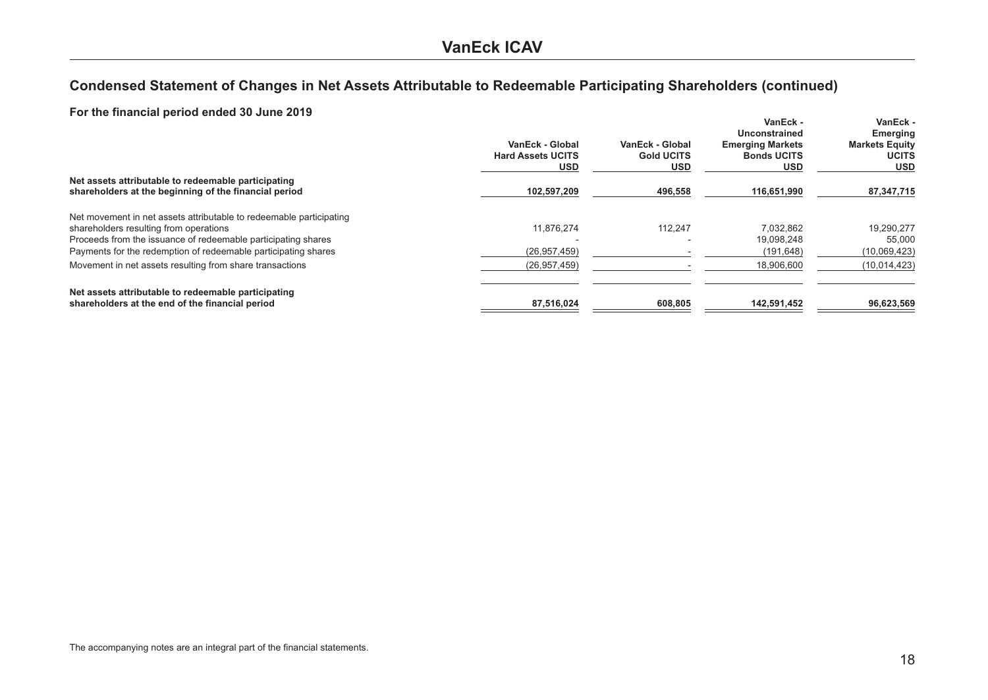## Condensed Statement of Changes in Net Assets Attributable to Redeemable Participating Shareholders (continued)

| $\overline{1}$ of the imancial period ended 50 June 2013            | VanEck - Global<br><b>Hard Assets UCITS</b><br><b>USD</b> | VanEck - Global<br><b>Gold UCITS</b><br><b>USD</b> | VanEck -<br>Unconstrained<br><b>Emerging Markets</b><br><b>Bonds UCITS</b><br><b>USD</b> | VanEck -<br>Emerging<br><b>Markets Equity</b><br><b>UCITS</b><br><b>USD</b> |
|---------------------------------------------------------------------|-----------------------------------------------------------|----------------------------------------------------|------------------------------------------------------------------------------------------|-----------------------------------------------------------------------------|
| Net assets attributable to redeemable participating                 |                                                           |                                                    |                                                                                          |                                                                             |
| shareholders at the beginning of the financial period               | 102.597.209                                               | 496.558                                            | 116.651.990                                                                              | 87,347,715                                                                  |
| Net movement in net assets attributable to redeemable participating |                                                           |                                                    |                                                                                          |                                                                             |
| shareholders resulting from operations                              | 11.876.274                                                | 112,247                                            | 7,032,862                                                                                | 19,290,277                                                                  |
| Proceeds from the issuance of redeemable participating shares       |                                                           |                                                    | 19.098.248                                                                               | 55,000                                                                      |
| Payments for the redemption of redeemable participating shares      | (26, 957, 459)                                            |                                                    | (191, 648)                                                                               | (10,069,423)                                                                |
| Movement in net assets resulting from share transactions            | (26, 957, 459)                                            |                                                    | 18.906.600                                                                               | (10, 014, 423)                                                              |
| Net assets attributable to redeemable participating                 |                                                           |                                                    |                                                                                          |                                                                             |
| shareholders at the end of the financial period                     | 87,516,024                                                | 608.805                                            | 142,591,452                                                                              | 96,623,569                                                                  |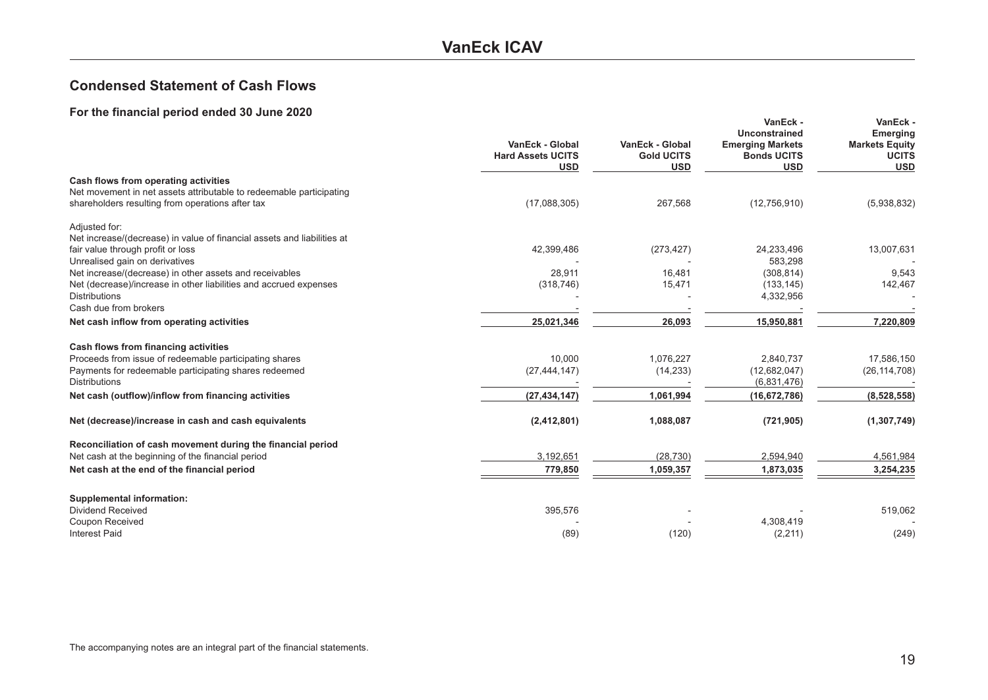### **VanEck ICAV**

### <span id="page-18-0"></span>**Condensed Statement of Cash Flows**

|                                                                                           | VanEck - Global<br><b>Hard Assets UCITS</b><br><b>USD</b> | <b>VanEck - Global</b><br><b>Gold UCITS</b><br><b>USD</b> | VanEck -<br><b>Unconstrained</b><br><b>Emerging Markets</b><br><b>Bonds UCITS</b><br><b>USD</b> | VanEck -<br><b>Emerging</b><br><b>Markets Equity</b><br><b>UCITS</b><br><b>USD</b> |
|-------------------------------------------------------------------------------------------|-----------------------------------------------------------|-----------------------------------------------------------|-------------------------------------------------------------------------------------------------|------------------------------------------------------------------------------------|
| Cash flows from operating activities                                                      |                                                           |                                                           |                                                                                                 |                                                                                    |
| Net movement in net assets attributable to redeemable participating                       |                                                           |                                                           |                                                                                                 |                                                                                    |
| shareholders resulting from operations after tax                                          | (17,088,305)                                              | 267,568                                                   | (12,756,910)                                                                                    | (5,938,832)                                                                        |
| Adjusted for:                                                                             |                                                           |                                                           |                                                                                                 |                                                                                    |
| Net increase/(decrease) in value of financial assets and liabilities at                   |                                                           |                                                           |                                                                                                 |                                                                                    |
| fair value through profit or loss                                                         | 42,399,486                                                | (273, 427)                                                | 24,233,496                                                                                      | 13,007,631                                                                         |
| Unrealised gain on derivatives                                                            |                                                           |                                                           | 583,298                                                                                         |                                                                                    |
| Net increase/(decrease) in other assets and receivables                                   | 28,911                                                    | 16,481                                                    | (308, 814)                                                                                      | 9,543                                                                              |
| Net (decrease)/increase in other liabilities and accrued expenses<br><b>Distributions</b> | (318, 746)                                                | 15,471                                                    | (133, 145)                                                                                      | 142,467                                                                            |
| Cash due from brokers                                                                     |                                                           |                                                           | 4,332,956                                                                                       |                                                                                    |
|                                                                                           | 25,021,346                                                | 26,093                                                    | 15,950,881                                                                                      | 7,220,809                                                                          |
| Net cash inflow from operating activities                                                 |                                                           |                                                           |                                                                                                 |                                                                                    |
| Cash flows from financing activities                                                      |                                                           |                                                           |                                                                                                 |                                                                                    |
| Proceeds from issue of redeemable participating shares                                    | 10,000                                                    | 1,076,227                                                 | 2,840,737                                                                                       | 17,586,150                                                                         |
| Payments for redeemable participating shares redeemed                                     | (27, 444, 147)                                            | (14, 233)                                                 | (12,682,047)                                                                                    | (26, 114, 708)                                                                     |
| <b>Distributions</b>                                                                      |                                                           |                                                           | (6,831,476)                                                                                     |                                                                                    |
| Net cash (outflow)/inflow from financing activities                                       | (27, 434, 147)                                            | 1,061,994                                                 | (16, 672, 786)                                                                                  | (8,528,558)                                                                        |
| Net (decrease)/increase in cash and cash equivalents                                      | (2, 412, 801)                                             | 1,088,087                                                 | (721, 905)                                                                                      | (1, 307, 749)                                                                      |
| Reconciliation of cash movement during the financial period                               |                                                           |                                                           |                                                                                                 |                                                                                    |
| Net cash at the beginning of the financial period                                         | 3,192,651                                                 | (28, 730)                                                 | 2,594,940                                                                                       | 4,561,984                                                                          |
| Net cash at the end of the financial period                                               | 779,850                                                   | 1,059,357                                                 | 1,873,035                                                                                       | 3,254,235                                                                          |
|                                                                                           |                                                           |                                                           |                                                                                                 |                                                                                    |
| <b>Supplemental information:</b>                                                          |                                                           |                                                           |                                                                                                 |                                                                                    |
| <b>Dividend Received</b>                                                                  | 395,576                                                   |                                                           |                                                                                                 | 519,062                                                                            |
| Coupon Received                                                                           |                                                           |                                                           | 4,308,419                                                                                       |                                                                                    |
| <b>Interest Paid</b>                                                                      | (89)                                                      | (120)                                                     | (2, 211)                                                                                        | (249)                                                                              |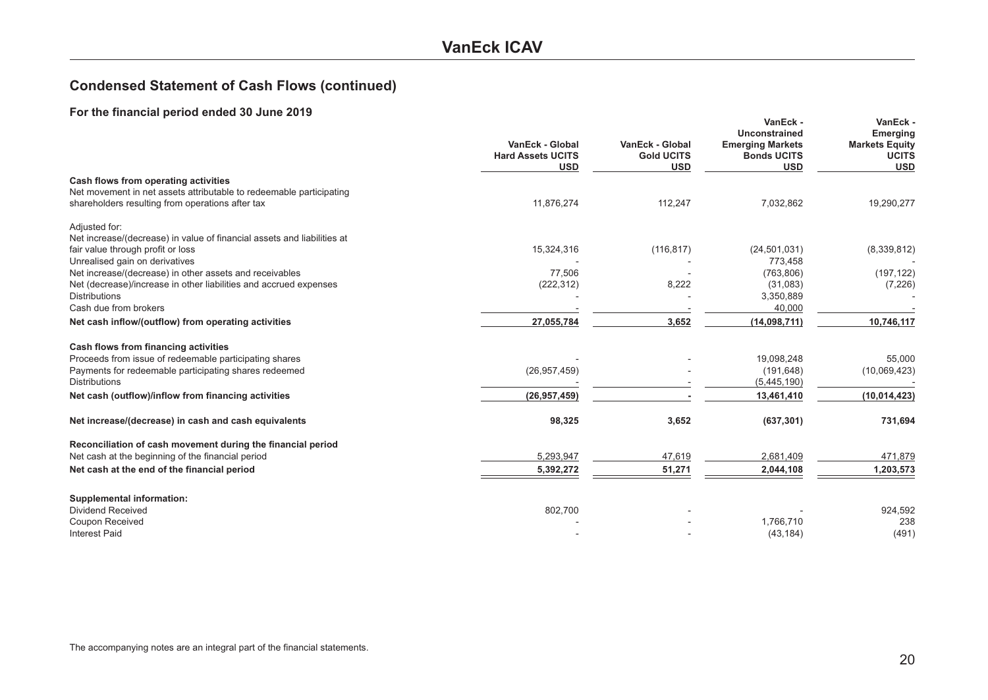### **VanEck ICAV**

## **Condensed Statement of Cash Flows (continued)**

| or the midnoidle period chaca of band 2019                              | VanEck - Global<br><b>Hard Assets UCITS</b><br><b>USD</b> | VanEck - Global<br><b>Gold UCITS</b><br><b>USD</b> | VanEck -<br>Unconstrained<br><b>Emerging Markets</b><br><b>Bonds UCITS</b><br><b>USD</b> | VanEck -<br><b>Emerging</b><br><b>Markets Equity</b><br><b>UCITS</b><br><b>USD</b> |
|-------------------------------------------------------------------------|-----------------------------------------------------------|----------------------------------------------------|------------------------------------------------------------------------------------------|------------------------------------------------------------------------------------|
| Cash flows from operating activities                                    |                                                           |                                                    |                                                                                          |                                                                                    |
| Net movement in net assets attributable to redeemable participating     |                                                           |                                                    |                                                                                          |                                                                                    |
| shareholders resulting from operations after tax                        | 11,876,274                                                | 112,247                                            | 7,032,862                                                                                | 19,290,277                                                                         |
| Adjusted for:                                                           |                                                           |                                                    |                                                                                          |                                                                                    |
| Net increase/(decrease) in value of financial assets and liabilities at |                                                           |                                                    |                                                                                          |                                                                                    |
| fair value through profit or loss                                       | 15,324,316                                                | (116, 817)                                         | (24, 501, 031)                                                                           | (8,339,812)                                                                        |
| Unrealised gain on derivatives                                          |                                                           |                                                    | 773,458                                                                                  |                                                                                    |
| Net increase/(decrease) in other assets and receivables                 | 77,506                                                    |                                                    | (763, 806)                                                                               | (197, 122)                                                                         |
| Net (decrease)/increase in other liabilities and accrued expenses       | (222, 312)                                                | 8,222                                              | (31,083)                                                                                 | (7, 226)                                                                           |
| <b>Distributions</b>                                                    |                                                           |                                                    | 3,350,889                                                                                |                                                                                    |
| Cash due from brokers                                                   |                                                           |                                                    | 40,000                                                                                   |                                                                                    |
| Net cash inflow/(outflow) from operating activities                     | 27,055,784                                                | 3,652                                              | (14,098,711)                                                                             | 10,746,117                                                                         |
| Cash flows from financing activities                                    |                                                           |                                                    |                                                                                          |                                                                                    |
| Proceeds from issue of redeemable participating shares                  |                                                           |                                                    | 19,098,248                                                                               | 55,000                                                                             |
| Payments for redeemable participating shares redeemed                   | (26, 957, 459)                                            |                                                    | (191, 648)                                                                               | (10,069,423)                                                                       |
| <b>Distributions</b>                                                    |                                                           |                                                    | (5,445,190)                                                                              |                                                                                    |
| Net cash (outflow)/inflow from financing activities                     | (26, 957, 459)                                            |                                                    | 13,461,410                                                                               | (10, 014, 423)                                                                     |
| Net increase/(decrease) in cash and cash equivalents                    | 98,325                                                    | 3,652                                              | (637, 301)                                                                               | 731,694                                                                            |
| Reconciliation of cash movement during the financial period             |                                                           |                                                    |                                                                                          |                                                                                    |
| Net cash at the beginning of the financial period                       | 5,293,947                                                 | 47,619                                             | 2,681,409                                                                                | 471,879                                                                            |
|                                                                         |                                                           |                                                    |                                                                                          |                                                                                    |
| Net cash at the end of the financial period                             | 5,392,272                                                 | 51,271                                             | 2,044,108                                                                                | 1,203,573                                                                          |
| <b>Supplemental information:</b>                                        |                                                           |                                                    |                                                                                          |                                                                                    |
| <b>Dividend Received</b>                                                | 802,700                                                   |                                                    |                                                                                          | 924,592                                                                            |
| Coupon Received                                                         |                                                           |                                                    | 1,766,710                                                                                | 238                                                                                |
| <b>Interest Paid</b>                                                    |                                                           |                                                    | (43, 184)                                                                                | (491)                                                                              |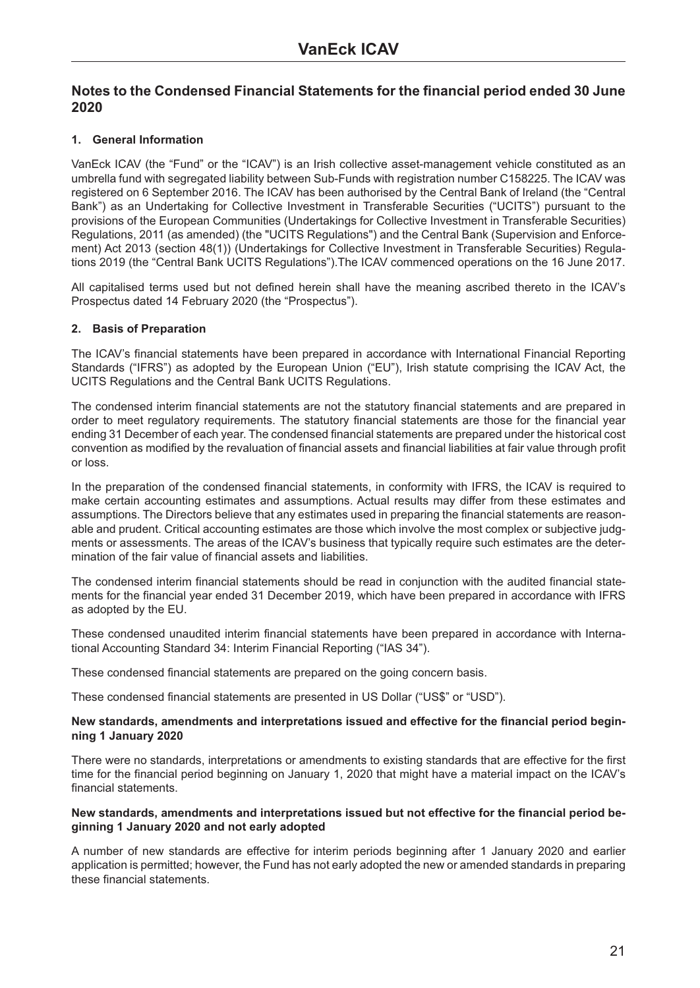### <span id="page-20-0"></span>**1. General Information**

VanEck ICAV (the "Fund" or the "ICAV") is an Irish collective asset-management vehicle constituted as an umbrella fund with segregated liability between Sub-Funds with registration number C158225. The ICAV was registered on 6 September 2016. The ICAV has been authorised by the Central Bank of Ireland (the "Central Bank") as an Undertaking for Collective Investment in Transferable Securities ("UCITS") pursuant to the provisions of the European Communities (Undertakings for Collective Investment in Transferable Securities) Regulations, 2011 (as amended) (the "UCITS Regulations") and the Central Bank (Supervision and Enforcement) Act 2013 (section 48(1)) (Undertakings for Collective Investment in Transferable Securities) Regulations 2019 (the "Central Bank UCITS Regulations").The ICAV commenced operations on the 16 June 2017.

All capitalised terms used but not defined herein shall have the meaning ascribed thereto in the ICAV's Prospectus dated 14 February 2020 (the "Prospectus").

#### **2. Basis of Preparation**

The ICAV's financial statements have been prepared in accordance with International Financial Reporting Standards ("IFRS") as adopted by the European Union ("EU"), Irish statute comprising the ICAV Act, the UCITS Regulations and the Central Bank UCITS Regulations.

The condensed interim financial statements are not the statutory financial statements and are prepared in order to meet regulatory requirements. The statutory financial statements are those for the financial year ending 31 December of each year. The condensed financial statements are prepared under the historical cost convention as modified by the revaluation of financial assets and financial liabilities at fair value through profit or loss.

In the preparation of the condensed financial statements, in conformity with IFRS, the ICAV is required to make certain accounting estimates and assumptions. Actual results may differ from these estimates and assumptions. The Directors believe that any estimates used in preparing the financial statements are reasonable and prudent. Critical accounting estimates are those which involve the most complex or subjective judgments or assessments. The areas of the ICAV's business that typically require such estimates are the determination of the fair value of financial assets and liabilities.

The condensed interim financial statements should be read in conjunction with the audited financial statements for the financial year ended 31 December 2019, which have been prepared in accordance with IFRS as adopted by the EU.

These condensed unaudited interim financial statements have been prepared in accordance with International Accounting Standard 34: Interim Financial Reporting ("IAS 34").

These condensed financial statements are prepared on the going concern basis.

These condensed financial statements are presented in US Dollar ("US\$" or "USD").

#### **New standards, amendments and interpretations issued and effective for the financial period beginning 1 January 2020**

There were no standards, interpretations or amendments to existing standards that are effective for the first time for the financial period beginning on January 1, 2020 that might have a material impact on the ICAV's financial statements.

#### **New standards, amendments and interpretations issued but not effective for the financial period beginning 1 January 2020 and not early adopted**

A number of new standards are effective for interim periods beginning after 1 January 2020 and earlier application is permitted; however, the Fund has not early adopted the new or amended standards in preparing these financial statements.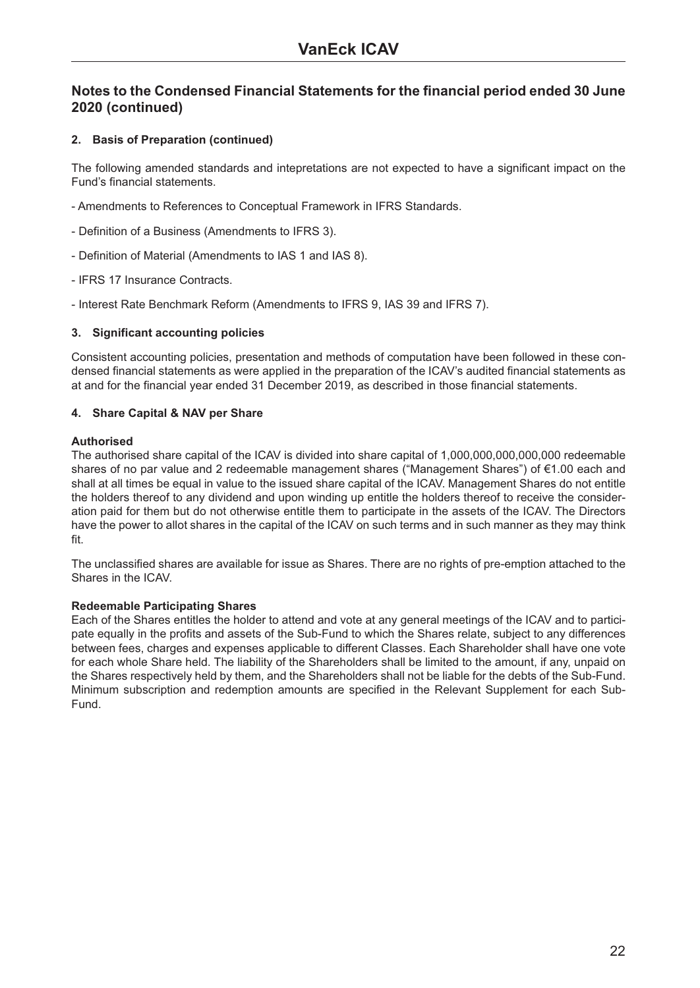#### **2. Basis of Preparation (continued)**

The following amended standards and intepretations are not expected to have a significant impact on the Fund's financial statements.

- Amendments to References to Conceptual Framework in IFRS Standards.
- Definition of a Business (Amendments to IFRS 3).
- Definition of Material (Amendments to IAS 1 and IAS 8).
- IFRS 17 Insurance Contracts.
- Interest Rate Benchmark Reform (Amendments to IFRS 9, IAS 39 and IFRS 7).

#### **3. Significant accounting policies**

Consistent accounting policies, presentation and methods of computation have been followed in these condensed financial statements as were applied in the preparation of the ICAV's audited financial statements as at and for the financial year ended 31 December 2019, as described in those financial statements.

#### **4. Share Capital & NAV per Share**

#### **Authorised**

The authorised share capital of the ICAV is divided into share capital of 1,000,000,000,000,000 redeemable shares of no par value and 2 redeemable management shares ("Management Shares") of €1.00 each and shall at all times be equal in value to the issued share capital of the ICAV. Management Shares do not entitle the holders thereof to any dividend and upon winding up entitle the holders thereof to receive the consideration paid for them but do not otherwise entitle them to participate in the assets of the ICAV. The Directors have the power to allot shares in the capital of the ICAV on such terms and in such manner as they may think fit.

The unclassified shares are available for issue as Shares. There are no rights of pre-emption attached to the Shares in the ICAV.

#### **Redeemable Participating Shares**

Each of the Shares entitles the holder to attend and vote at any general meetings of the ICAV and to participate equally in the profits and assets of the Sub-Fund to which the Shares relate, subject to any differences between fees, charges and expenses applicable to different Classes. Each Shareholder shall have one vote for each whole Share held. The liability of the Shareholders shall be limited to the amount, if any, unpaid on the Shares respectively held by them, and the Shareholders shall not be liable for the debts of the Sub-Fund. Minimum subscription and redemption amounts are specified in the Relevant Supplement for each Sub-Fund.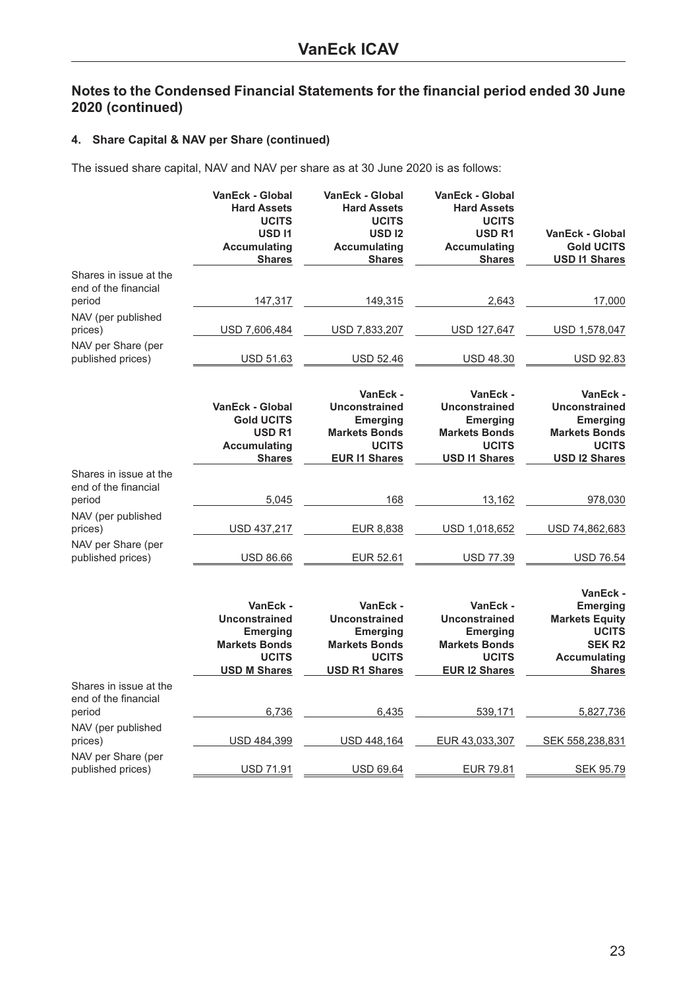#### **4. Share Capital & NAV per Share (continued)**

The issued share capital, NAV and NAV per share as at 30 June 2020 is as follows:

|                                                          | <b>VanEck - Global</b><br><b>Hard Assets</b><br><b>UCITS</b><br><b>USD11</b><br><b>Accumulating</b><br><b>Shares</b> | <b>VanEck - Global</b><br><b>Hard Assets</b><br><b>UCITS</b><br><b>USD12</b><br><b>Accumulating</b><br><b>Shares</b> | <b>VanEck - Global</b><br><b>Hard Assets</b><br><b>UCITS</b><br><b>USD R1</b><br><b>Accumulating</b><br><b>Shares</b> | <b>VanEck - Global</b><br><b>Gold UCITS</b><br><b>USD I1 Shares</b>                                                    |
|----------------------------------------------------------|----------------------------------------------------------------------------------------------------------------------|----------------------------------------------------------------------------------------------------------------------|-----------------------------------------------------------------------------------------------------------------------|------------------------------------------------------------------------------------------------------------------------|
| Shares in issue at the<br>end of the financial<br>period | 147,317                                                                                                              | 149,315                                                                                                              | 2,643                                                                                                                 | 17,000                                                                                                                 |
| NAV (per published<br>prices)                            | USD 7,606,484                                                                                                        | USD 7,833,207                                                                                                        | USD 127,647                                                                                                           | USD 1,578,047                                                                                                          |
| NAV per Share (per<br>published prices)                  | USD 51.63                                                                                                            | <b>USD 52.46</b>                                                                                                     | <b>USD 48.30</b>                                                                                                      | <b>USD 92.83</b>                                                                                                       |
|                                                          | <b>VanEck - Global</b><br><b>Gold UCITS</b><br>USD <sub>R1</sub><br><b>Accumulating</b><br><b>Shares</b>             | VanEck -<br><b>Unconstrained</b><br><b>Emerging</b><br><b>Markets Bonds</b><br><b>UCITS</b><br><b>EUR I1 Shares</b>  | VanEck -<br><b>Unconstrained</b><br><b>Emerging</b><br><b>Markets Bonds</b><br><b>UCITS</b><br><b>USD I1 Shares</b>   | VanEck -<br><b>Unconstrained</b><br><b>Emerging</b><br><b>Markets Bonds</b><br><b>UCITS</b><br><b>USD I2 Shares</b>    |
| Shares in issue at the<br>end of the financial<br>period | 5,045                                                                                                                | 168                                                                                                                  | 13,162                                                                                                                | 978,030                                                                                                                |
| NAV (per published<br>prices)                            | USD 437,217                                                                                                          | EUR 8,838                                                                                                            | USD 1,018,652                                                                                                         | USD 74,862,683                                                                                                         |
| NAV per Share (per<br>published prices)                  | <b>USD 86.66</b>                                                                                                     | EUR 52.61                                                                                                            | USD 77.39                                                                                                             | <b>USD 76.54</b>                                                                                                       |
|                                                          | VanEck -<br><b>Unconstrained</b><br><b>Emerging</b><br><b>Markets Bonds</b><br><b>UCITS</b><br><b>USD M Shares</b>   | VanEck -<br><b>Unconstrained</b><br><b>Emerging</b><br><b>Markets Bonds</b><br><b>UCITS</b><br><b>USD R1 Shares</b>  | VanEck -<br><b>Unconstrained</b><br>Emerging<br><b>Markets Bonds</b><br><b>UCITS</b><br><b>EUR I2 Shares</b>          | VanEck -<br><b>Emerging</b><br><b>Markets Equity</b><br><b>UCITS</b><br><b>SEK R2</b><br>Accumulating<br><b>Shares</b> |
| Shares in issue at the<br>end of the financial<br>period | 6,736                                                                                                                | 6,435                                                                                                                | 539,171                                                                                                               | 5,827,736                                                                                                              |
| NAV (per published<br>prices)                            | USD 484,399                                                                                                          | USD 448,164                                                                                                          | EUR 43,033,307                                                                                                        | SEK 558,238,831                                                                                                        |
| NAV per Share (per<br>published prices)                  | <b>USD 71.91</b>                                                                                                     | <b>USD 69.64</b>                                                                                                     | <b>EUR 79.81</b>                                                                                                      | <b>SEK 95.79</b>                                                                                                       |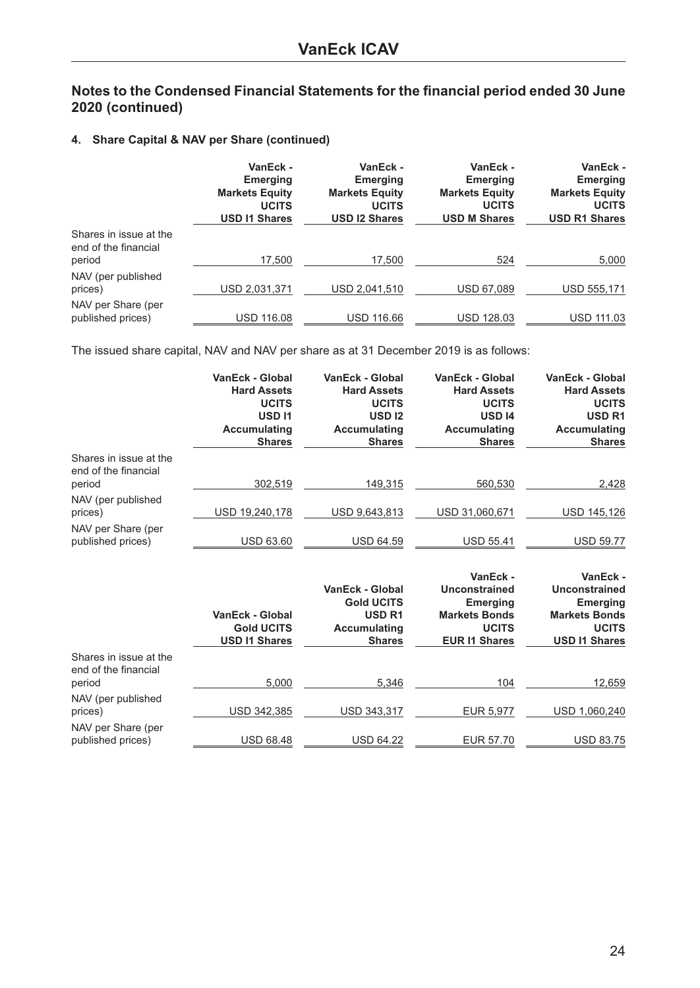### **4. Share Capital & NAV per Share (continued)**

|                                                          | VanEck -<br><b>Emerging</b><br><b>Markets Equity</b><br><b>UCITS</b><br><b>USD I1 Shares</b> | VanEck -<br><b>Emerging</b><br><b>Markets Equity</b><br><b>UCITS</b><br><b>USD 12 Shares</b> | VanEck -<br><b>Emerging</b><br><b>Markets Equity</b><br><b>UCITS</b><br><b>USD M Shares</b> | VanEck -<br><b>Emerging</b><br><b>Markets Equity</b><br><b>UCITS</b><br><b>USD R1 Shares</b> |
|----------------------------------------------------------|----------------------------------------------------------------------------------------------|----------------------------------------------------------------------------------------------|---------------------------------------------------------------------------------------------|----------------------------------------------------------------------------------------------|
| Shares in issue at the<br>end of the financial<br>period | 17,500                                                                                       | 17.500                                                                                       | 524                                                                                         | 5,000                                                                                        |
| NAV (per published<br>prices)                            | USD 2,031,371                                                                                | USD 2,041,510                                                                                | <b>USD 67.089</b>                                                                           | USD 555.171                                                                                  |
| NAV per Share (per<br>published prices)                  | <b>USD 116.08</b>                                                                            | <b>USD 116.66</b>                                                                            | <b>USD 128.03</b>                                                                           | <b>USD 111.03</b>                                                                            |

The issued share capital, NAV and NAV per share as at 31 December 2019 is as follows:

|                                                | <b>VanEck - Global</b><br><b>Hard Assets</b><br><b>UCITS</b><br><b>USD11</b><br><b>Accumulating</b><br><b>Shares</b> | <b>VanEck - Global</b><br><b>Hard Assets</b><br><b>UCITS</b><br><b>USD12</b><br><b>Accumulating</b><br><b>Shares</b> | VanEck - Global<br><b>Hard Assets</b><br><b>UCITS</b><br><b>USD 14</b><br><b>Accumulating</b><br><b>Shares</b> | VanEck - Global<br><b>Hard Assets</b><br><b>UCITS</b><br><b>USD R1</b><br><b>Accumulating</b><br><b>Shares</b> |
|------------------------------------------------|----------------------------------------------------------------------------------------------------------------------|----------------------------------------------------------------------------------------------------------------------|----------------------------------------------------------------------------------------------------------------|----------------------------------------------------------------------------------------------------------------|
| Shares in issue at the<br>end of the financial |                                                                                                                      |                                                                                                                      |                                                                                                                |                                                                                                                |
| period                                         | 302,519                                                                                                              | 149,315                                                                                                              | 560,530                                                                                                        | 2,428                                                                                                          |
| NAV (per published<br>prices)                  | USD 19,240,178                                                                                                       | USD 9,643,813                                                                                                        | USD 31,060,671                                                                                                 | USD 145,126                                                                                                    |
| NAV per Share (per<br>published prices)        | <b>USD 63.60</b>                                                                                                     | <b>USD 64.59</b>                                                                                                     | <b>USD 55.41</b>                                                                                               | <b>USD 59.77</b>                                                                                               |
|                                                | <b>VanEck - Global</b><br><b>Gold UCITS</b><br><b>USD I1 Shares</b>                                                  | <b>VanEck - Global</b><br><b>Gold UCITS</b><br><b>USD R1</b><br><b>Accumulating</b><br><b>Shares</b>                 | VanEck -<br>Unconstrained<br><b>Emerging</b><br><b>Markets Bonds</b><br><b>UCITS</b><br><b>EUR I1 Shares</b>   | VanEck -<br>Unconstrained<br><b>Emerging</b><br><b>Markets Bonds</b><br><b>UCITS</b><br><b>USD I1 Shares</b>   |
| Shares in issue at the<br>end of the financial |                                                                                                                      |                                                                                                                      | 104                                                                                                            |                                                                                                                |
| period                                         | 5,000                                                                                                                | 5,346                                                                                                                |                                                                                                                | 12,659                                                                                                         |
| NAV (per published<br>prices)                  | USD 342,385                                                                                                          | USD 343,317                                                                                                          | EUR 5,977                                                                                                      | USD 1,060,240                                                                                                  |
| NAV per Share (per<br>published prices)        |                                                                                                                      |                                                                                                                      |                                                                                                                |                                                                                                                |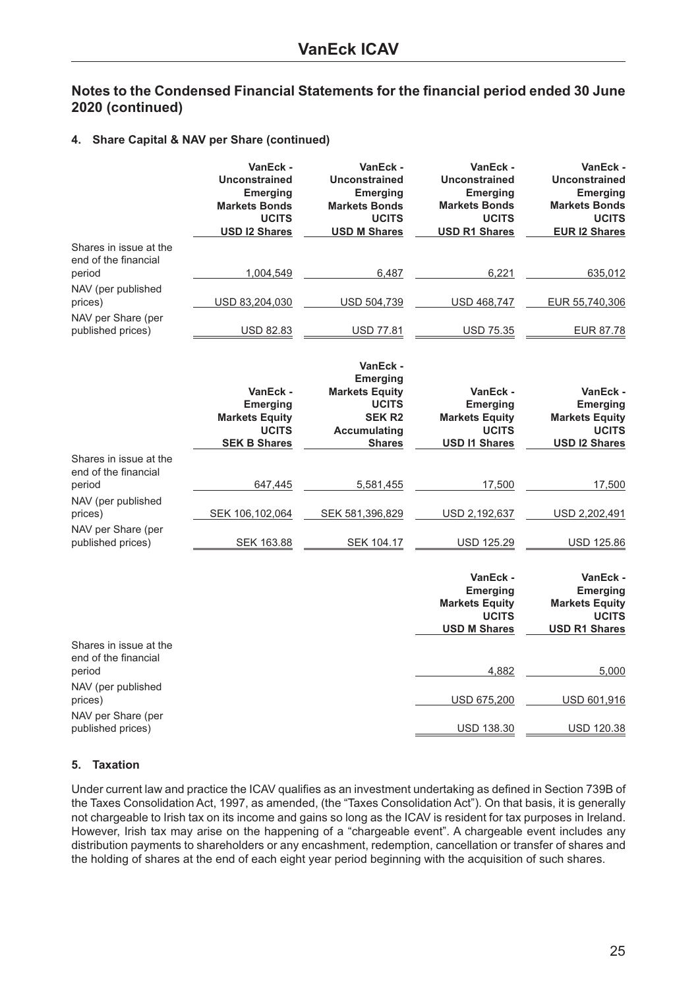#### **4. Share Capital & NAV per Share (continued)**

|                                                          | VanEck -<br><b>Unconstrained</b><br><b>Emerging</b><br><b>Markets Bonds</b><br><b>UCITS</b><br><b>USD I2 Shares</b> | VanEck -<br><b>Unconstrained</b><br><b>Emerging</b><br><b>Markets Bonds</b><br><b>UCITS</b><br><b>USD M Shares</b>            | VanEck -<br><b>Unconstrained</b><br><b>Emerging</b><br><b>Markets Bonds</b><br><b>UCITS</b><br><b>USD R1 Shares</b> | VanEck -<br><b>Unconstrained</b><br><b>Emerging</b><br><b>Markets Bonds</b><br><b>UCITS</b><br><b>EUR I2 Shares</b> |
|----------------------------------------------------------|---------------------------------------------------------------------------------------------------------------------|-------------------------------------------------------------------------------------------------------------------------------|---------------------------------------------------------------------------------------------------------------------|---------------------------------------------------------------------------------------------------------------------|
| Shares in issue at the                                   |                                                                                                                     |                                                                                                                               |                                                                                                                     |                                                                                                                     |
| end of the financial<br>period                           | 1,004,549                                                                                                           | 6,487                                                                                                                         | 6,221                                                                                                               | 635,012                                                                                                             |
| NAV (per published<br>prices)                            | USD 83,204,030                                                                                                      | USD 504,739                                                                                                                   | USD 468,747                                                                                                         | EUR 55,740,306                                                                                                      |
| NAV per Share (per<br>published prices)                  | USD 82.83                                                                                                           | <b>USD 77.81</b>                                                                                                              | USD 75.35                                                                                                           | EUR 87.78                                                                                                           |
|                                                          | VanEck -<br><b>Emerging</b><br><b>Markets Equity</b><br><b>UCITS</b><br><b>SEK B Shares</b>                         | VanEck -<br><b>Emerging</b><br><b>Markets Equity</b><br><b>UCITS</b><br><b>SEK R2</b><br><b>Accumulating</b><br><b>Shares</b> | VanEck -<br><b>Emerging</b><br><b>Markets Equity</b><br><b>UCITS</b><br><b>USD I1 Shares</b>                        | VanEck -<br><b>Emerging</b><br><b>Markets Equity</b><br><b>UCITS</b><br><b>USD I2 Shares</b>                        |
| Shares in issue at the<br>end of the financial           |                                                                                                                     |                                                                                                                               |                                                                                                                     |                                                                                                                     |
| period                                                   | 647,445                                                                                                             | 5,581,455                                                                                                                     | 17,500                                                                                                              | 17,500                                                                                                              |
| NAV (per published<br>prices)                            | SEK 106,102,064                                                                                                     | SEK 581,396,829                                                                                                               | USD 2,192,637                                                                                                       | USD 2,202,491                                                                                                       |
| NAV per Share (per<br>published prices)                  | SEK 163.88                                                                                                          | SEK 104.17                                                                                                                    | <b>USD 125.29</b>                                                                                                   | USD 125.86                                                                                                          |
|                                                          |                                                                                                                     |                                                                                                                               | VanEck -<br><b>Emerging</b><br><b>Markets Equity</b><br><b>UCITS</b><br><b>USD M Shares</b>                         | VanEck -<br><b>Emerging</b><br><b>Markets Equity</b><br><b>UCITS</b><br><b>USD R1 Shares</b>                        |
| Shares in issue at the<br>end of the financial<br>period |                                                                                                                     |                                                                                                                               | 4,882                                                                                                               | 5,000                                                                                                               |
| NAV (per published<br>prices)                            |                                                                                                                     |                                                                                                                               | USD 675,200                                                                                                         | USD 601,916                                                                                                         |
| NAV per Share (per<br>published prices)                  |                                                                                                                     |                                                                                                                               | USD 138.30                                                                                                          | USD 120.38                                                                                                          |

#### **5. Taxation**

Under current law and practice the ICAV qualifies as an investment undertaking as defined in Section 739B of the Taxes Consolidation Act, 1997, as amended, (the "Taxes Consolidation Act"). On that basis, it is generally not chargeable to Irish tax on its income and gains so long as the ICAV is resident for tax purposes in Ireland. However, Irish tax may arise on the happening of a "chargeable event". A chargeable event includes any distribution payments to shareholders or any encashment, redemption, cancellation or transfer of shares and the holding of shares at the end of each eight year period beginning with the acquisition of such shares.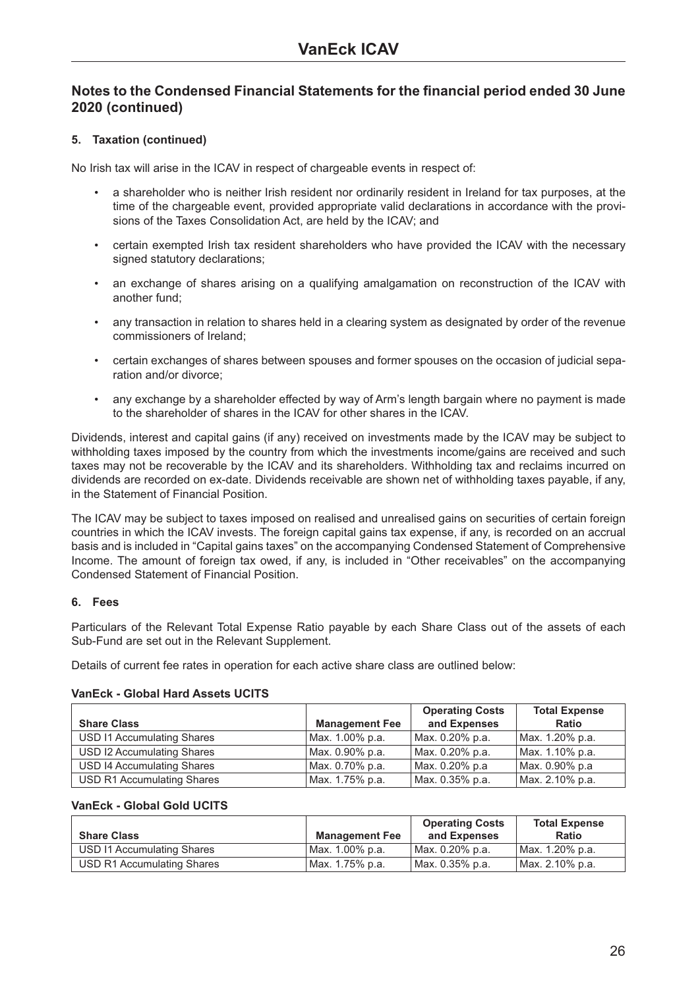#### **5. Taxation (continued)**

No Irish tax will arise in the ICAV in respect of chargeable events in respect of:

- a shareholder who is neither Irish resident nor ordinarily resident in Ireland for tax purposes, at the time of the chargeable event, provided appropriate valid declarations in accordance with the provisions of the Taxes Consolidation Act, are held by the ICAV; and
- certain exempted Irish tax resident shareholders who have provided the ICAV with the necessary signed statutory declarations;
- an exchange of shares arising on a qualifying amalgamation on reconstruction of the ICAV with another fund;
- any transaction in relation to shares held in a clearing system as designated by order of the revenue commissioners of Ireland;
- certain exchanges of shares between spouses and former spouses on the occasion of judicial separation and/or divorce;
- any exchange by a shareholder effected by way of Arm's length bargain where no payment is made to the shareholder of shares in the ICAV for other shares in the ICAV.

Dividends, interest and capital gains (if any) received on investments made by the ICAV may be subject to withholding taxes imposed by the country from which the investments income/gains are received and such taxes may not be recoverable by the ICAV and its shareholders. Withholding tax and reclaims incurred on dividends are recorded on ex-date. Dividends receivable are shown net of withholding taxes payable, if any, in the Statement of Financial Position.

The ICAV may be subject to taxes imposed on realised and unrealised gains on securities of certain foreign countries in which the ICAV invests. The foreign capital gains tax expense, if any, is recorded on an accrual basis and is included in "Capital gains taxes" on the accompanying Condensed Statement of Comprehensive Income. The amount of foreign tax owed, if any, is included in "Other receivables" on the accompanying Condensed Statement of Financial Position.

#### **6. Fees**

Particulars of the Relevant Total Expense Ratio payable by each Share Class out of the assets of each Sub-Fund are set out in the Relevant Supplement.

Details of current fee rates in operation for each active share class are outlined below:

#### **VanEck - Global Hard Assets UCITS**

|                                   |                       | <b>Operating Costs</b> | <b>Total Expense</b> |
|-----------------------------------|-----------------------|------------------------|----------------------|
| <b>Share Class</b>                | <b>Management Fee</b> | and Expenses           | <b>Ratio</b>         |
| USD I1 Accumulating Shares        | Max. 1.00% p.a.       | Max. 0.20% p.a.        | Max. 1.20% p.a.      |
| USD I2 Accumulating Shares        | Max. 0.90% p.a.       | Max. 0.20% p.a.        | Max. 1.10% p.a.      |
| <b>USD 14 Accumulating Shares</b> | Max. 0.70% p.a.       | Max. 0.20% p.a         | Max. 0.90% p.a       |
| <b>USD R1 Accumulating Shares</b> | Max. 1.75% p.a.       | Max. 0.35% p.a.        | Max. 2.10% p.a.      |

#### **VanEck - Global Gold UCITS**

|                            |                       | <b>Operating Costs</b> | <b>Total Expense</b> |
|----------------------------|-----------------------|------------------------|----------------------|
| <b>Share Class</b>         | <b>Management Fee</b> | and Expenses           | <b>Ratio</b>         |
| USD 11 Accumulating Shares | l Max. 1.00% p.a.     | l Max. 0.20% p.a.      | Max. 1.20% p.a.      |
| USD R1 Accumulating Shares | l Max. 1.75% p.a.     | Max. 0.35% p.a.        | Max. 2.10% p.a.      |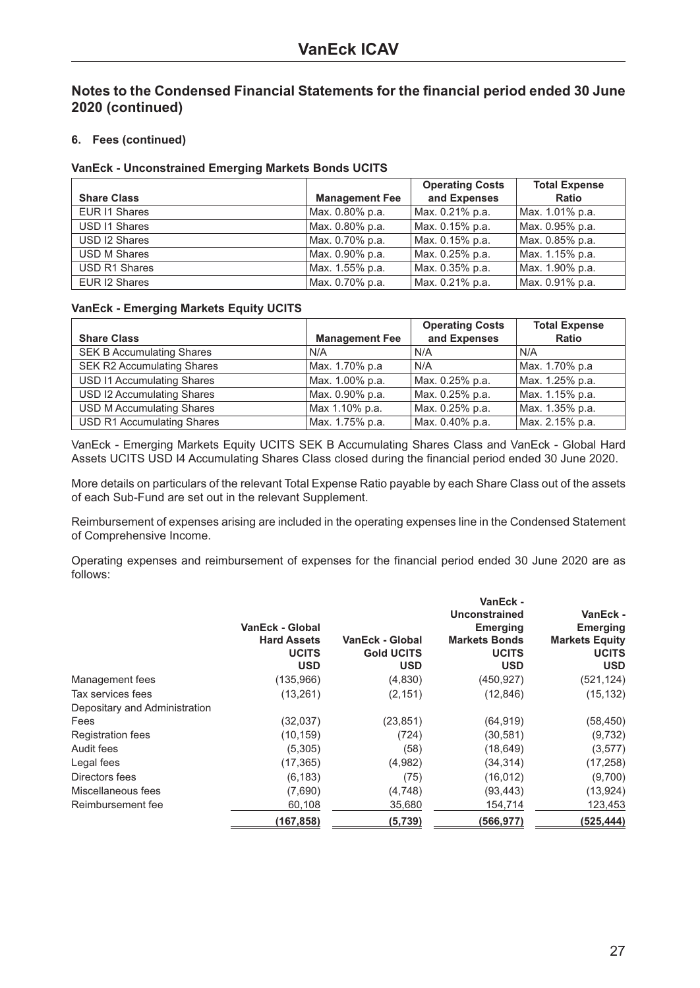#### **6. Fees (continued)**

#### **VanEck - Unconstrained Emerging Markets Bonds UCITS**

|                     |                       | <b>Operating Costs</b> | <b>Total Expense</b> |
|---------------------|-----------------------|------------------------|----------------------|
| <b>Share Class</b>  | <b>Management Fee</b> | and Expenses           | <b>Ratio</b>         |
| EUR I1 Shares       | Max. 0.80% p.a.       | Max. 0.21% p.a.        | Max. 1.01% p.a.      |
| USD 11 Shares       | Max. 0.80% p.a.       | Max. 0.15% p.a.        | Max. 0.95% p.a.      |
| USD I2 Shares       | Max. 0.70% p.a.       | Max. 0.15% p.a.        | Max. 0.85% p.a.      |
| <b>USD M Shares</b> | Max. 0.90% p.a.       | Max. 0.25% p.a.        | Max. 1.15% p.a.      |
| USD R1 Shares       | Max. 1.55% p.a.       | Max. 0.35% p.a.        | Max. 1.90% p.a.      |
| EUR I2 Shares       | Max. 0.70% p.a.       | Max. 0.21% p.a.        | Max. 0.91% p.a.      |

#### **VanEck - Emerging Markets Equity UCITS**

|                                   |                       | <b>Operating Costs</b> | <b>Total Expense</b> |
|-----------------------------------|-----------------------|------------------------|----------------------|
| <b>Share Class</b>                | <b>Management Fee</b> | and Expenses           | <b>Ratio</b>         |
| <b>SEK B Accumulating Shares</b>  | N/A                   | N/A                    | N/A                  |
| <b>SEK R2 Accumulating Shares</b> | Max. 1.70% p.a        | N/A                    | Max. 1.70% p.a       |
| <b>USD I1 Accumulating Shares</b> | Max. 1.00% p.a.       | Max. 0.25% p.a.        | Max. 1.25% p.a.      |
| USD I2 Accumulating Shares        | Max. 0.90% p.a.       | Max. 0.25% p.a.        | Max. 1.15% p.a.      |
| <b>USD M Accumulating Shares</b>  | Max 1.10% p.a.        | Max. 0.25% p.a.        | Max. 1.35% p.a.      |
| <b>USD R1 Accumulating Shares</b> | Max. 1.75% p.a.       | Max. 0.40% p.a.        | Max. 2.15% p.a.      |

VanEck - Emerging Markets Equity UCITS SEK B Accumulating Shares Class and VanEck - Global Hard Assets UCITS USD I4 Accumulating Shares Class closed during the financial period ended 30 June 2020.

More details on particulars of the relevant Total Expense Ratio payable by each Share Class out of the assets of each Sub-Fund are set out in the relevant Supplement.

Reimbursement of expenses arising are included in the operating expenses line in the Condensed Statement of Comprehensive Income.

Operating expenses and reimbursement of expenses for the financial period ended 30 June 2020 are as follows:

|                               |                    |                   | VanEck -             |                       |
|-------------------------------|--------------------|-------------------|----------------------|-----------------------|
|                               |                    |                   | Unconstrained        | VanEck -              |
|                               | VanEck - Global    |                   | <b>Emerging</b>      | <b>Emerging</b>       |
|                               | <b>Hard Assets</b> | VanEck - Global   | <b>Markets Bonds</b> | <b>Markets Equity</b> |
|                               | <b>UCITS</b>       | <b>Gold UCITS</b> | <b>UCITS</b>         | <b>UCITS</b>          |
|                               | <b>USD</b>         | <b>USD</b>        | <b>USD</b>           | <b>USD</b>            |
| Management fees               | (135,966)          | (4,830)           | (450, 927)           | (521, 124)            |
| Tax services fees             | (13,261)           | (2, 151)          | (12, 846)            | (15, 132)             |
| Depositary and Administration |                    |                   |                      |                       |
| Fees                          | (32,037)           | (23, 851)         | (64, 919)            | (58, 450)             |
| <b>Registration fees</b>      | (10, 159)          | (724)             | (30, 581)            | (9, 732)              |
| Audit fees                    | (5,305)            | (58)              | (18, 649)            | (3, 577)              |
| Legal fees                    | (17, 365)          | (4,982)           | (34, 314)            | (17, 258)             |
| Directors fees                | (6, 183)           | (75)              | (16, 012)            | (9,700)               |
| Miscellaneous fees            | (7,690)            | (4,748)           | (93, 443)            | (13, 924)             |
| Reimbursement fee             | 60,108             | 35,680            | 154,714              | 123,453               |
|                               | (167, 858)         | (5, 739)          | (566,977)            | (525,444)             |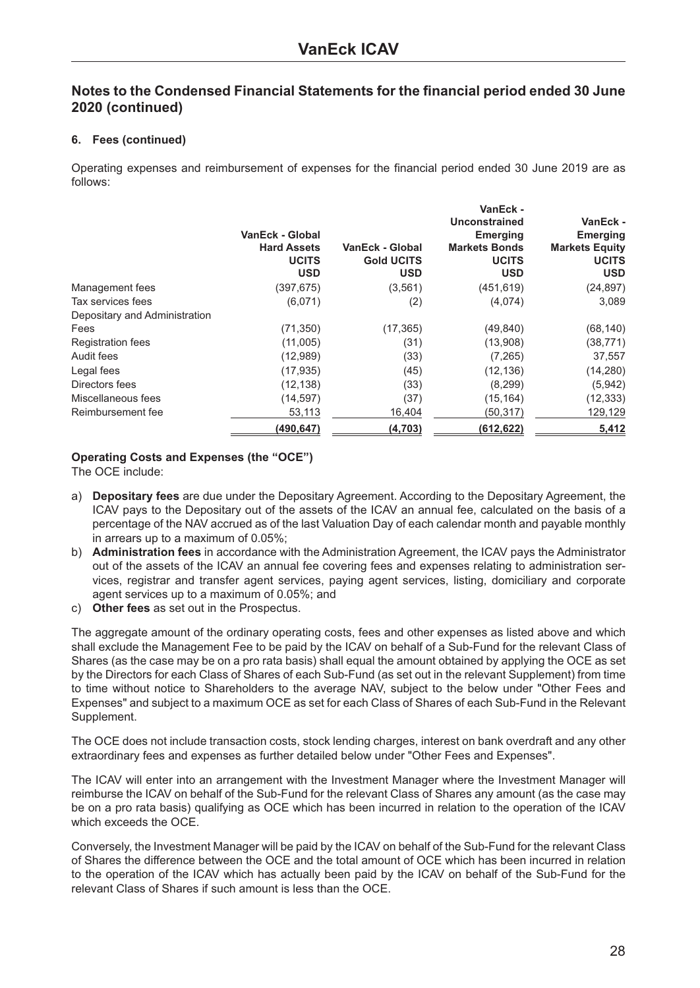#### **6. Fees (continued)**

Operating expenses and reimbursement of expenses for the financial period ended 30 June 2019 are as follows:

|                               | VanEck - Global<br><b>Hard Assets</b><br><b>UCITS</b><br><b>USD</b> | VanEck - Global<br><b>Gold UCITS</b><br><b>USD</b> | VanEck -<br>Unconstrained<br><b>Emerging</b><br><b>Markets Bonds</b><br><b>UCITS</b><br><b>USD</b> | VanEck -<br><b>Emerging</b><br><b>Markets Equity</b><br><b>UCITS</b><br><b>USD</b> |
|-------------------------------|---------------------------------------------------------------------|----------------------------------------------------|----------------------------------------------------------------------------------------------------|------------------------------------------------------------------------------------|
| Management fees               | (397,675)                                                           | (3, 561)                                           | (451, 619)                                                                                         | (24, 897)                                                                          |
| Tax services fees             | (6,071)                                                             | (2)                                                | (4,074)                                                                                            | 3,089                                                                              |
| Depositary and Administration |                                                                     |                                                    |                                                                                                    |                                                                                    |
| Fees                          | (71, 350)                                                           | (17, 365)                                          | (49, 840)                                                                                          | (68, 140)                                                                          |
| <b>Registration fees</b>      | (11,005)                                                            | (31)                                               | (13,908)                                                                                           | (38, 771)                                                                          |
| Audit fees                    | (12,989)                                                            | (33)                                               | (7,265)                                                                                            | 37,557                                                                             |
| Legal fees                    | (17, 935)                                                           | (45)                                               | (12, 136)                                                                                          | (14, 280)                                                                          |
| Directors fees                | (12, 138)                                                           | (33)                                               | (8,299)                                                                                            | (5,942)                                                                            |
| Miscellaneous fees            | (14, 597)                                                           | (37)                                               | (15, 164)                                                                                          | (12, 333)                                                                          |
| Reimbursement fee             | 53,113                                                              | 16,404                                             | (50,317)                                                                                           | 129,129                                                                            |
|                               | (490,647)                                                           | (4,703)                                            | (612, 622)                                                                                         | 5,412                                                                              |

#### **Operating Costs and Expenses (the "OCE")**

The OCE include:

- a) **Depositary fees** are due under the Depositary Agreement. According to the Depositary Agreement, the ICAV pays to the Depositary out of the assets of the ICAV an annual fee, calculated on the basis of a percentage of the NAV accrued as of the last Valuation Day of each calendar month and payable monthly in arrears up to a maximum of 0.05%;
- b) **Administration fees** in accordance with the Administration Agreement, the ICAV pays the Administrator out of the assets of the ICAV an annual fee covering fees and expenses relating to administration services, registrar and transfer agent services, paying agent services, listing, domiciliary and corporate agent services up to a maximum of 0.05%; and
- c) **Other fees** as set out in the Prospectus.

The aggregate amount of the ordinary operating costs, fees and other expenses as listed above and which shall exclude the Management Fee to be paid by the ICAV on behalf of a Sub-Fund for the relevant Class of Shares (as the case may be on a pro rata basis) shall equal the amount obtained by applying the OCE as set by the Directors for each Class of Shares of each Sub-Fund (as set out in the relevant Supplement) from time to time without notice to Shareholders to the average NAV, subject to the below under "Other Fees and Expenses" and subject to a maximum OCE as set for each Class of Shares of each Sub-Fund in the Relevant Supplement.

The OCE does not include transaction costs, stock lending charges, interest on bank overdraft and any other extraordinary fees and expenses as further detailed below under "Other Fees and Expenses".

The ICAV will enter into an arrangement with the Investment Manager where the Investment Manager will reimburse the ICAV on behalf of the Sub-Fund for the relevant Class of Shares any amount (as the case may be on a pro rata basis) qualifying as OCE which has been incurred in relation to the operation of the ICAV which exceeds the OCE.

Conversely, the Investment Manager will be paid by the ICAV on behalf of the Sub-Fund for the relevant Class of Shares the difference between the OCE and the total amount of OCE which has been incurred in relation to the operation of the ICAV which has actually been paid by the ICAV on behalf of the Sub-Fund for the relevant Class of Shares if such amount is less than the OCE.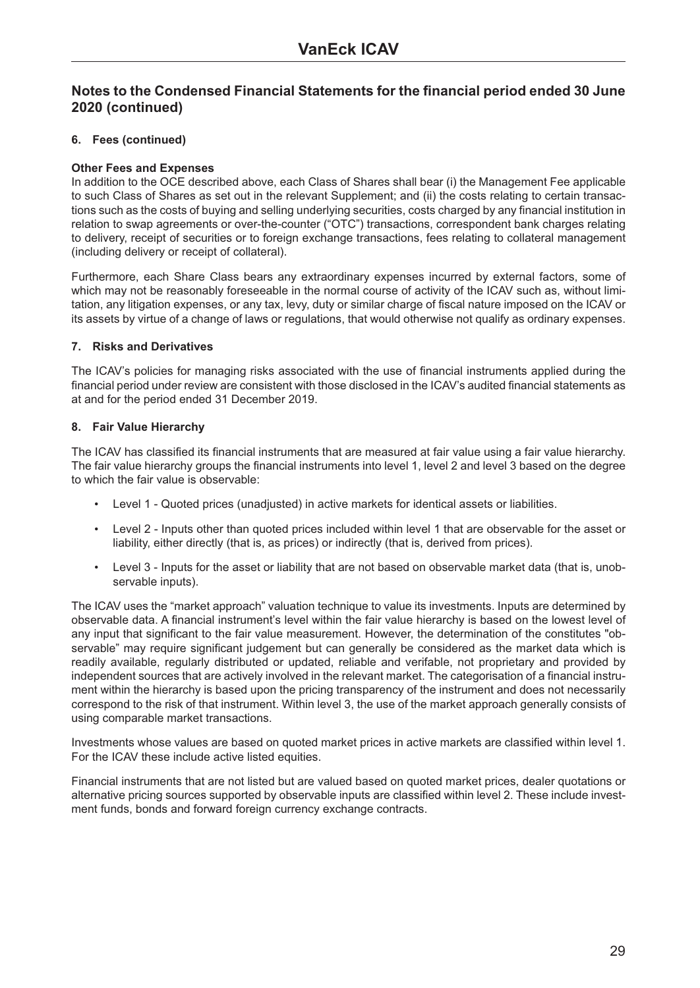#### **6. Fees (continued)**

#### **Other Fees and Expenses**

In addition to the OCE described above, each Class of Shares shall bear (i) the Management Fee applicable to such Class of Shares as set out in the relevant Supplement; and (ii) the costs relating to certain transactions such as the costs of buying and selling underlying securities, costs charged by any financial institution in relation to swap agreements or over-the-counter ("OTC") transactions, correspondent bank charges relating to delivery, receipt of securities or to foreign exchange transactions, fees relating to collateral management (including delivery or receipt of collateral).

Furthermore, each Share Class bears any extraordinary expenses incurred by external factors, some of which may not be reasonably foreseeable in the normal course of activity of the ICAV such as, without limitation, any litigation expenses, or any tax, levy, duty or similar charge of fiscal nature imposed on the ICAV or its assets by virtue of a change of laws or regulations, that would otherwise not qualify as ordinary expenses.

#### **7. Risks and Derivatives**

The ICAV's policies for managing risks associated with the use of financial instruments applied during the financial period under review are consistent with those disclosed in the ICAV's audited financial statements as at and for the period ended 31 December 2019.

#### **8. Fair Value Hierarchy**

The ICAV has classified its financial instruments that are measured at fair value using a fair value hierarchy. The fair value hierarchy groups the financial instruments into level 1, level 2 and level 3 based on the degree to which the fair value is observable:

- Level 1 Quoted prices (unadjusted) in active markets for identical assets or liabilities.
- Level 2 Inputs other than quoted prices included within level 1 that are observable for the asset or liability, either directly (that is, as prices) or indirectly (that is, derived from prices).
- Level 3 Inputs for the asset or liability that are not based on observable market data (that is, unobservable inputs).

The ICAV uses the "market approach" valuation technique to value its investments. Inputs are determined by observable data. A financial instrument's level within the fair value hierarchy is based on the lowest level of any input that significant to the fair value measurement. However, the determination of the constitutes "observable" may require significant judgement but can generally be considered as the market data which is readily available, regularly distributed or updated, reliable and verifable, not proprietary and provided by independent sources that are actively involved in the relevant market. The categorisation of a financial instrument within the hierarchy is based upon the pricing transparency of the instrument and does not necessarily correspond to the risk of that instrument. Within level 3, the use of the market approach generally consists of using comparable market transactions.

Investments whose values are based on quoted market prices in active markets are classified within level 1. For the ICAV these include active listed equities.

Financial instruments that are not listed but are valued based on quoted market prices, dealer quotations or alternative pricing sources supported by observable inputs are classified within level 2. These include investment funds, bonds and forward foreign currency exchange contracts.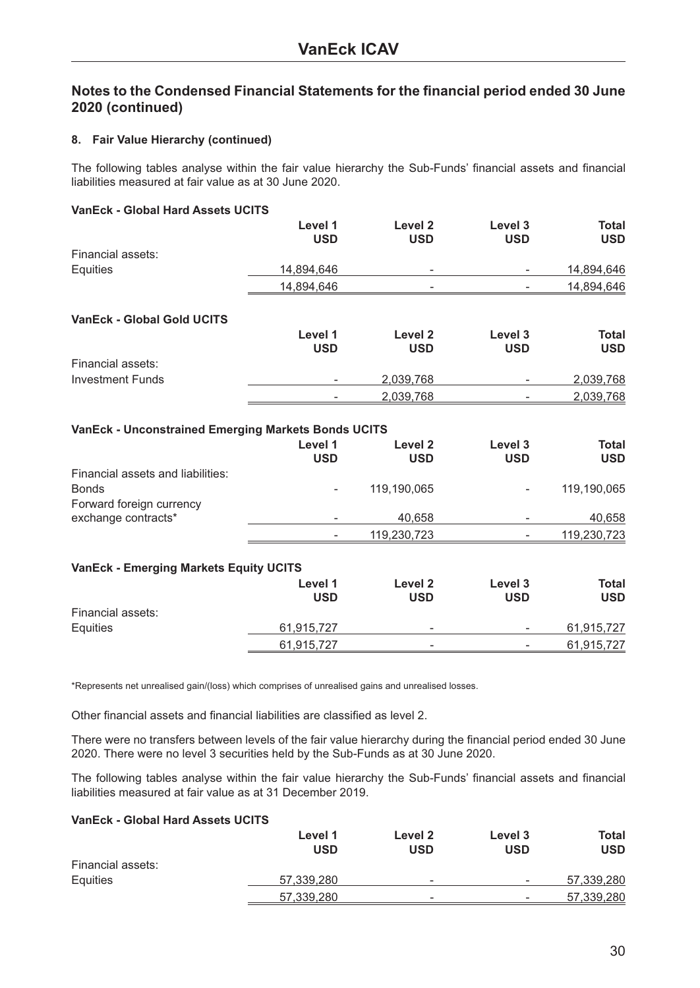#### **8. Fair Value Hierarchy (continued)**

The following tables analyse within the fair value hierarchy the Sub-Funds' financial assets and financial liabilities measured at fair value as at 30 June 2020.

#### **VanEck - Global Hard Assets UCITS**

|                   | Level 1<br>USD | Level 2<br><b>USD</b>    | Level 3<br>USD           | <b>Total</b><br><b>USD</b> |
|-------------------|----------------|--------------------------|--------------------------|----------------------------|
| Financial assets: |                |                          |                          |                            |
| Equities          | 14,894,646     | $\overline{\phantom{a}}$ | $\overline{\phantom{0}}$ | 14,894,646                 |
|                   | 14,894,646     | $\overline{\phantom{0}}$ | $\overline{\phantom{0}}$ | 14,894,646                 |

#### **VanEck - Global Gold UCITS**

|                   | Level 1<br><b>USD</b>    | Level 2<br><b>USD</b> | Level 3<br>USD           | Total<br><b>USD</b> |
|-------------------|--------------------------|-----------------------|--------------------------|---------------------|
| Financial assets: |                          |                       |                          |                     |
| Investment Funds  | $\overline{\phantom{0}}$ | 2,039,768             | $\overline{\phantom{0}}$ | 2,039,768           |
|                   | $\overline{\phantom{a}}$ | 2,039,768             | $\overline{\phantom{0}}$ | 2,039,768           |

#### **VanEck - Unconstrained Emerging Markets Bonds UCITS**

|                                   | Level 1<br><b>USD</b> | Level 2<br><b>USD</b> | Level 3<br><b>USD</b> | <b>Total</b><br><b>USD</b> |
|-----------------------------------|-----------------------|-----------------------|-----------------------|----------------------------|
| Financial assets and liabilities: |                       |                       |                       |                            |
| <b>Bonds</b>                      |                       | 119,190,065           |                       | 119,190,065                |
| Forward foreign currency          |                       |                       |                       |                            |
| exchange contracts*               |                       | 40,658                |                       | 40,658                     |
|                                   |                       | 119,230,723           |                       | 119,230,723                |
|                                   |                       |                       |                       |                            |

#### **VanEck - Emerging Markets Equity UCITS**

|                   | Level 1<br><b>USD</b> | Level 2<br><b>USD</b>    | Level 3<br><b>USD</b>    | Total<br><b>USD</b> |
|-------------------|-----------------------|--------------------------|--------------------------|---------------------|
| Financial assets: |                       |                          |                          |                     |
| Equities          | 61,915,727            | $\overline{\phantom{0}}$ | $\overline{\phantom{0}}$ | 61,915,727          |
|                   | 61,915,727            | -                        | -                        | 61,915,727          |

\*Represents net unrealised gain/(loss) which comprises of unrealised gains and unrealised losses.

Other financial assets and financial liabilities are classified as level 2.

There were no transfers between levels of the fair value hierarchy during the financial period ended 30 June 2020. There were no level 3 securities held by the Sub-Funds as at 30 June 2020.

The following tables analyse within the fair value hierarchy the Sub-Funds' financial assets and financial liabilities measured at fair value as at 31 December 2019.

#### **VanEck - Global Hard Assets UCITS**

|                   | Level 1<br><b>USD</b> | Level 2<br><b>USD</b>    | Level 3<br>USD           | Total<br><b>USD</b> |
|-------------------|-----------------------|--------------------------|--------------------------|---------------------|
| Financial assets: |                       |                          |                          |                     |
| Equities          | 57,339,280            | $\overline{\phantom{0}}$ | $\overline{\phantom{0}}$ | 57,339,280          |
|                   | 57,339,280            | $\overline{\phantom{0}}$ | -                        | 57,339,280          |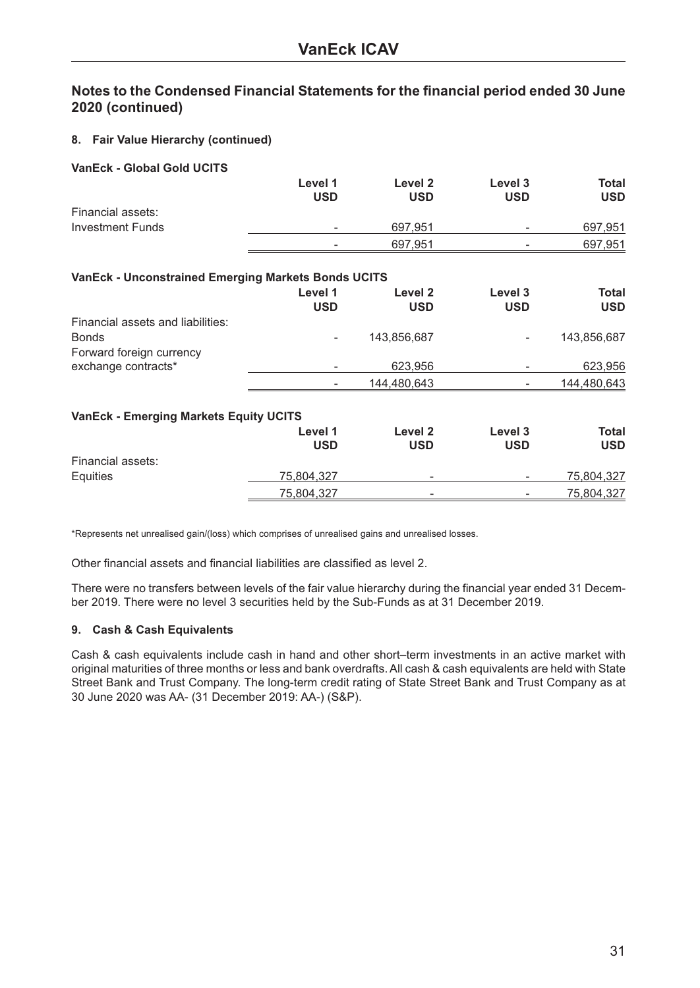#### **8. Fair Value Hierarchy (continued)**

#### **VanEck - Global Gold UCITS**

|                   | Level 1<br><b>USD</b> | Level 2<br><b>USD</b> | Level 3<br>USD           | Total<br><b>USD</b> |
|-------------------|-----------------------|-----------------------|--------------------------|---------------------|
| Financial assets: |                       |                       |                          |                     |
| Investment Funds  | -                     | 697.951               | $\overline{\phantom{0}}$ | 697,951             |
|                   | ۰                     | 697,951               | $\overline{\phantom{0}}$ | 697,951             |

#### **VanEck - Unconstrained Emerging Markets Bonds UCITS**

|                                   | Level 1<br><b>USD</b> | Level 2<br><b>USD</b> | Level 3<br><b>USD</b> | Total<br><b>USD</b> |
|-----------------------------------|-----------------------|-----------------------|-----------------------|---------------------|
| Financial assets and liabilities: |                       |                       |                       |                     |
| <b>Bonds</b>                      | -                     | 143.856.687           | ۰                     | 143.856.687         |
| Forward foreign currency          |                       |                       |                       |                     |
| exchange contracts*               | -                     | 623.956               |                       | 623,956             |
|                                   |                       | 144,480,643           |                       | 144,480,643         |

#### **VanEck - Emerging Markets Equity UCITS**

|                   | Level 1<br><b>USD</b> | Level 2<br><b>USD</b>    | Level 3<br>USD           | Total<br><b>USD</b> |
|-------------------|-----------------------|--------------------------|--------------------------|---------------------|
| Financial assets: |                       |                          |                          |                     |
| Equities          | 75,804,327            | $\overline{\phantom{0}}$ | $\overline{\phantom{0}}$ | 75,804,327          |
|                   | 75,804,327            | $\overline{\phantom{a}}$ | -                        | 75,804,327          |

\*Represents net unrealised gain/(loss) which comprises of unrealised gains and unrealised losses.

Other financial assets and financial liabilities are classified as level 2.

There were no transfers between levels of the fair value hierarchy during the financial year ended 31 December 2019. There were no level 3 securities held by the Sub-Funds as at 31 December 2019.

#### **9. Cash & Cash Equivalents**

Cash & cash equivalents include cash in hand and other short–term investments in an active market with original maturities of three months or less and bank overdrafts. All cash & cash equivalents are held with State Street Bank and Trust Company. The long-term credit rating of State Street Bank and Trust Company as at 30 June 2020 was AA- (31 December 2019: AA-) (S&P).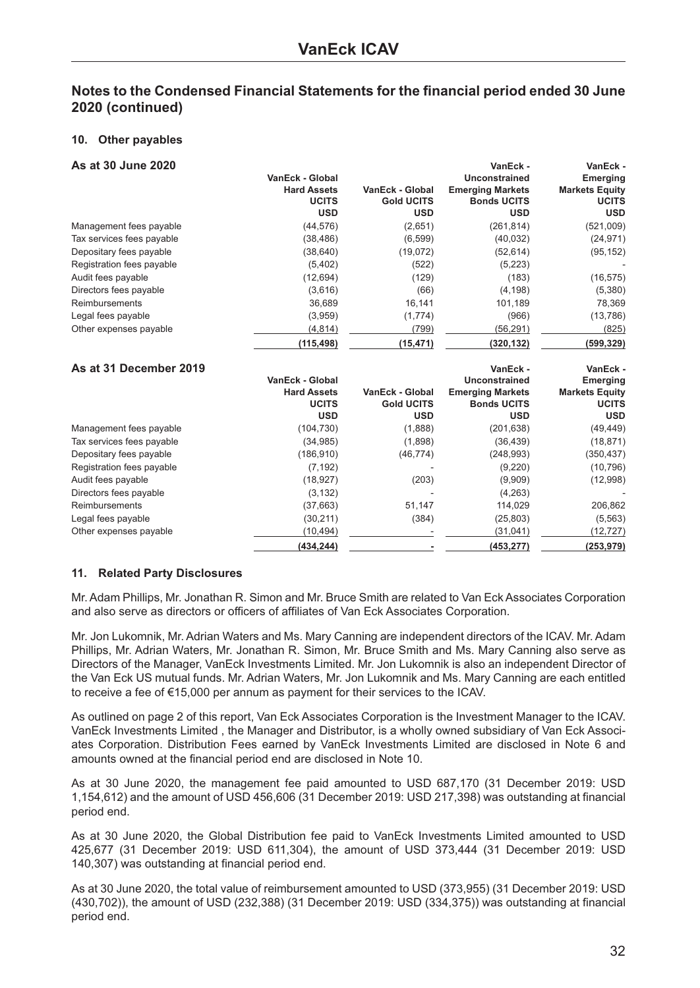#### **10. Other payables**

| As at 30 June 2020        |                        |                        | VanEck -                | VanEck -              |
|---------------------------|------------------------|------------------------|-------------------------|-----------------------|
|                           | VanEck - Global        |                        | Unconstrained           | <b>Emerging</b>       |
|                           | <b>Hard Assets</b>     | VanEck - Global        | <b>Emerging Markets</b> | <b>Markets Equity</b> |
|                           | <b>UCITS</b>           | <b>Gold UCITS</b>      | <b>Bonds UCITS</b>      | <b>UCITS</b>          |
|                           | <b>USD</b>             | <b>USD</b>             | <b>USD</b>              | <b>USD</b>            |
| Management fees payable   | (44, 576)              | (2,651)                | (261, 814)              | (521,009)             |
| Tax services fees payable | (38, 486)              | (6, 599)               | (40, 032)               | (24, 971)             |
| Depositary fees payable   | (38, 640)              | (19,072)               | (52, 614)               | (95, 152)             |
| Registration fees payable | (5,402)                | (522)                  | (5,223)                 |                       |
| Audit fees payable        | (12, 694)              | (129)                  | (183)                   | (16, 575)             |
| Directors fees payable    | (3,616)                | (66)                   | (4, 198)                | (5,380)               |
| Reimbursements            | 36,689                 | 16,141                 | 101,189                 | 78,369                |
| Legal fees payable        | (3,959)                | (1,774)                | (966)                   | (13,786)              |
| Other expenses payable    | (4, 814)               | (799)                  | (56, 291)               | (825)                 |
|                           | (115, 498)             | (15, 471)              | (320, 132)              | (599, 329)            |
| As at 31 December 2019    |                        |                        | VanEck -                | VanEck -              |
|                           | <b>VanEck - Global</b> |                        | <b>Unconstrained</b>    | <b>Emerging</b>       |
|                           | <b>Hard Assets</b>     | <b>VanEck - Global</b> | <b>Emerging Markets</b> | <b>Markets Equity</b> |
|                           | <b>UCITS</b>           | <b>Gold UCITS</b>      | <b>Bonds UCITS</b>      | <b>UCITS</b>          |
|                           | <b>USD</b>             | <b>USD</b>             | <b>USD</b>              | <b>USD</b>            |
| Management fees payable   | (104, 730)             | (1,888)                | (201, 638)              | (49, 449)             |
| Tax services fees payable | (34, 985)              | (1,898)                | (36, 439)               | (18, 871)             |
| Depositary fees payable   | (186, 910)             | (46, 774)              | (248, 993)              | (350, 437)            |
| Registration fees payable | (7, 192)               |                        | (9,220)                 | (10, 796)             |
| Audit fees payable        | (18, 927)              | (203)                  | (9,909)                 | (12,998)              |
| Directors fees payable    | (3, 132)               |                        | (4,263)                 |                       |
| Reimbursements            | (37,663)               | 51,147                 | 114,029                 | 206,862               |
| Legal fees payable        | (30, 211)              | (384)                  | (25, 803)               | (5, 563)              |
| Other expenses payable    | (10, 494)              |                        | (31, 041)               | (12, 727)             |
|                           | (434, 244)             |                        | (453, 277)              | (253, 979)            |

#### **11. Related Party Disclosures**

Mr. Adam Phillips, Mr. Jonathan R. Simon and Mr. Bruce Smith are related to Van Eck Associates Corporation and also serve as directors or officers of affiliates of Van Eck Associates Corporation.

Mr. Jon Lukomnik, Mr. Adrian Waters and Ms. Mary Canning are independent directors of the ICAV. Mr. Adam Phillips, Mr. Adrian Waters, Mr. Jonathan R. Simon, Mr. Bruce Smith and Ms. Mary Canning also serve as Directors of the Manager, VanEck Investments Limited. Mr. Jon Lukomnik is also an independent Director of the Van Eck US mutual funds. Mr. Adrian Waters, Mr. Jon Lukomnik and Ms. Mary Canning are each entitled to receive a fee of €15,000 per annum as payment for their services to the ICAV.

As outlined on page 2 of this report, Van Eck Associates Corporation is the Investment Manager to the ICAV. VanEck Investments Limited , the Manager and Distributor, is a wholly owned subsidiary of Van Eck Associates Corporation. Distribution Fees earned by VanEck Investments Limited are disclosed in Note 6 and amounts owned at the financial period end are disclosed in Note 10.

As at 30 June 2020, the management fee paid amounted to USD 687,170 (31 December 2019: USD 1,154,612) and the amount of USD 456,606 (31 December 2019: USD 217,398) was outstanding at financial period end.

As at 30 June 2020, the Global Distribution fee paid to VanEck Investments Limited amounted to USD 425,677 (31 December 2019: USD 611,304), the amount of USD 373,444 (31 December 2019: USD 140,307) was outstanding at financial period end.

As at 30 June 2020, the total value of reimbursement amounted to USD (373,955) (31 December 2019: USD (430,702)), the amount of USD (232,388) (31 December 2019: USD (334,375)) was outstanding at financial period end.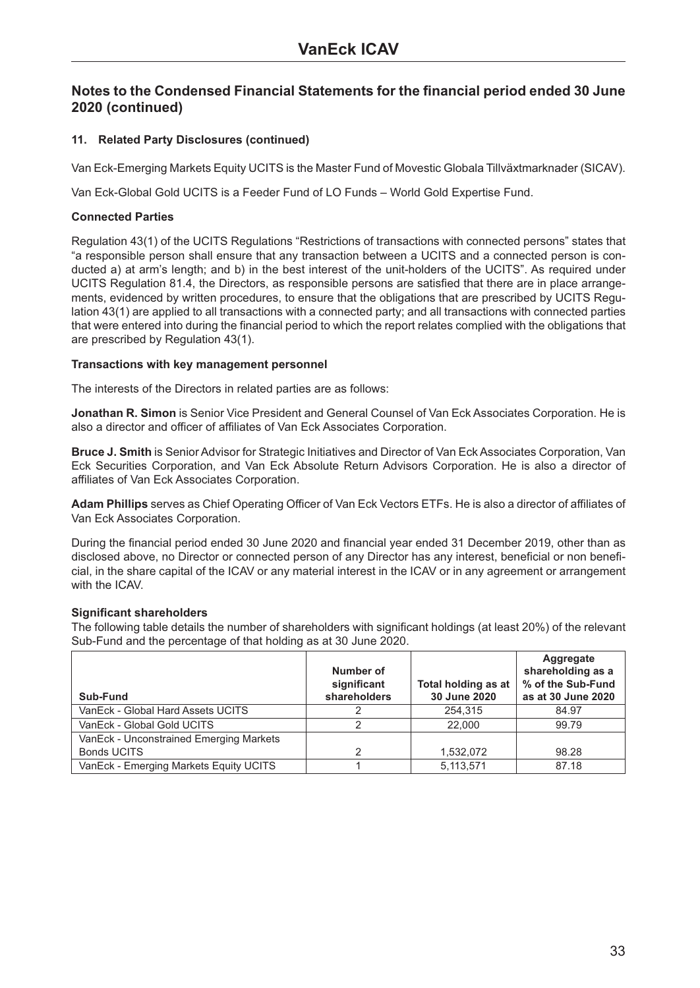#### **11. Related Party Disclosures (continued)**

Van Eck-Emerging Markets Equity UCITS is the Master Fund of Movestic Globala Tillväxtmarknader (SICAV).

Van Eck-Global Gold UCITS is a Feeder Fund of LO Funds – World Gold Expertise Fund.

#### **Connected Parties**

Regulation 43(1) of the UCITS Regulations "Restrictions of transactions with connected persons" states that "a responsible person shall ensure that any transaction between a UCITS and a connected person is conducted a) at arm's length; and b) in the best interest of the unit-holders of the UCITS". As required under UCITS Regulation 81.4, the Directors, as responsible persons are satisfied that there are in place arrangements, evidenced by written procedures, to ensure that the obligations that are prescribed by UCITS Regulation 43(1) are applied to all transactions with a connected party; and all transactions with connected parties that were entered into during the financial period to which the report relates complied with the obligations that are prescribed by Regulation 43(1).

#### **Transactions with key management personnel**

The interests of the Directors in related parties are as follows:

**Jonathan R. Simon** is Senior Vice President and General Counsel of Van Eck Associates Corporation. He is also a director and officer of affiliates of Van Eck Associates Corporation.

**Bruce J. Smith** is Senior Advisor for Strategic Initiatives and Director of Van Eck Associates Corporation, Van Eck Securities Corporation, and Van Eck Absolute Return Advisors Corporation. He is also a director of affiliates of Van Eck Associates Corporation.

**Adam Phillips** serves as Chief Operating Officer of Van Eck Vectors ETFs. He is also a director of affiliates of Van Eck Associates Corporation.

During the financial period ended 30 June 2020 and financial year ended 31 December 2019, other than as disclosed above, no Director or connected person of any Director has any interest, beneficial or non beneficial, in the share capital of the ICAV or any material interest in the ICAV or in any agreement or arrangement with the ICAV.

#### **Significant shareholders**

The following table details the number of shareholders with significant holdings (at least 20%) of the relevant Sub-Fund and the percentage of that holding as at 30 June 2020.

| Sub-Fund                                | Number of<br>significant<br>shareholders | Total holding as at<br>30 June 2020 | Aggregate<br>shareholding as a<br>% of the Sub-Fund<br>as at 30 June 2020 |
|-----------------------------------------|------------------------------------------|-------------------------------------|---------------------------------------------------------------------------|
| VanEck - Global Hard Assets UCITS       | っ                                        | 254.315                             | 84.97                                                                     |
| VanEck - Global Gold UCITS              |                                          | 22,000                              | 99.79                                                                     |
| VanEck - Unconstrained Emerging Markets |                                          |                                     |                                                                           |
| <b>Bonds UCITS</b>                      |                                          | 1,532,072                           | 98.28                                                                     |
| VanEck - Emerging Markets Equity UCITS  |                                          | 5,113,571                           | 87.18                                                                     |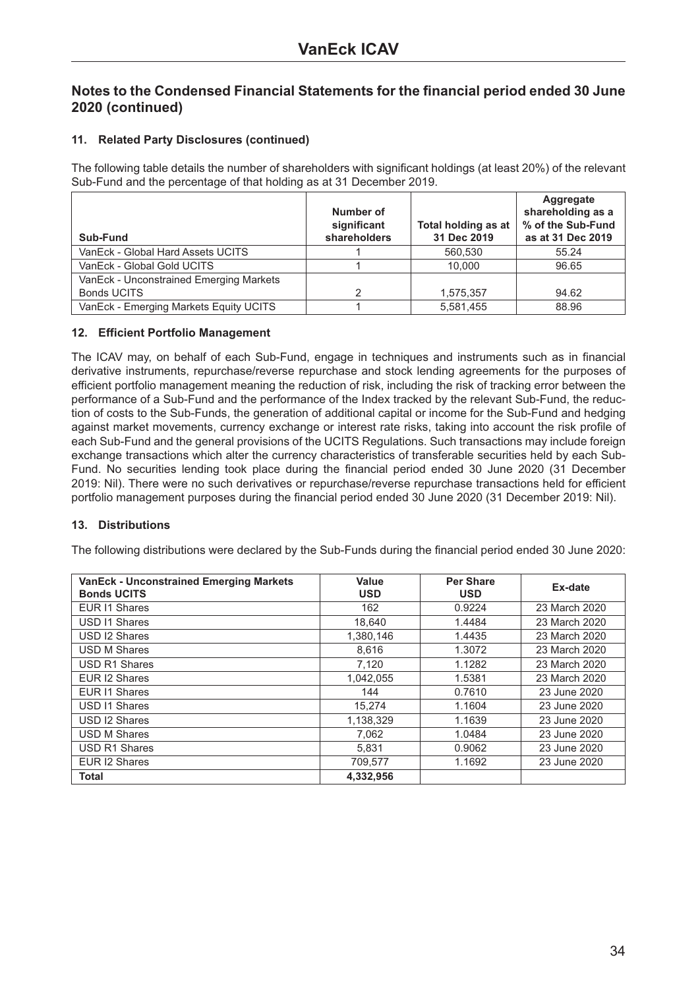#### **11. Related Party Disclosures (continued)**

The following table details the number of shareholders with significant holdings (at least 20%) of the relevant Sub-Fund and the percentage of that holding as at 31 December 2019.

| Sub-Fund                                | Number of<br>significant<br>shareholders | Total holding as at<br>31 Dec 2019 | Aggregate<br>shareholding as a<br>% of the Sub-Fund<br>as at 31 Dec 2019 |
|-----------------------------------------|------------------------------------------|------------------------------------|--------------------------------------------------------------------------|
| VanEck - Global Hard Assets UCITS       |                                          | 560.530                            | 55.24                                                                    |
| VanEck - Global Gold UCITS              |                                          | 10.000                             | 96.65                                                                    |
| VanEck - Unconstrained Emerging Markets |                                          |                                    |                                                                          |
| <b>Bonds UCITS</b>                      | 2                                        | 1.575.357                          | 94.62                                                                    |
| VanEck - Emerging Markets Equity UCITS  |                                          | 5,581,455                          | 88.96                                                                    |

#### **12. Efficient Portfolio Management**

The ICAV may, on behalf of each Sub-Fund, engage in techniques and instruments such as in financial derivative instruments, repurchase/reverse repurchase and stock lending agreements for the purposes of efficient portfolio management meaning the reduction of risk, including the risk of tracking error between the performance of a Sub-Fund and the performance of the Index tracked by the relevant Sub-Fund, the reduction of costs to the Sub-Funds, the generation of additional capital or income for the Sub-Fund and hedging against market movements, currency exchange or interest rate risks, taking into account the risk profile of each Sub-Fund and the general provisions of the UCITS Regulations. Such transactions may include foreign exchange transactions which alter the currency characteristics of transferable securities held by each Sub-Fund. No securities lending took place during the financial period ended 30 June 2020 (31 December 2019: Nil). There were no such derivatives or repurchase/reverse repurchase transactions held for efficient portfolio management purposes during the financial period ended 30 June 2020 (31 December 2019: Nil).

#### **13. Distributions**

The following distributions were declared by the Sub-Funds during the financial period ended 30 June 2020:

| <b>VanEck - Unconstrained Emerging Markets</b><br><b>Bonds UCITS</b> | Value<br><b>USD</b> | <b>Per Share</b><br><b>USD</b> | Ex-date       |
|----------------------------------------------------------------------|---------------------|--------------------------------|---------------|
| EUR I1 Shares                                                        | 162                 | 0.9224                         | 23 March 2020 |
| USD 11 Shares                                                        | 18.640              | 1.4484                         | 23 March 2020 |
| USD 12 Shares                                                        | 1,380,146           | 1.4435                         | 23 March 2020 |
| USD M Shares                                                         | 8.616               | 1.3072                         | 23 March 2020 |
| USD R1 Shares                                                        | 7,120               | 1.1282                         | 23 March 2020 |
| EUR I2 Shares                                                        | 1,042,055           | 1.5381                         | 23 March 2020 |
| EUR I1 Shares                                                        | 144                 | 0.7610                         | 23 June 2020  |
| USD 11 Shares                                                        | 15.274              | 1.1604                         | 23 June 2020  |
| USD I2 Shares                                                        | 1,138,329           | 1.1639                         | 23 June 2020  |
| <b>USD M Shares</b>                                                  | 7.062               | 1.0484                         | 23 June 2020  |
| <b>USD R1 Shares</b>                                                 | 5.831               | 0.9062                         | 23 June 2020  |
| EUR I2 Shares                                                        | 709.577             | 1.1692                         | 23 June 2020  |
| <b>Total</b>                                                         | 4,332,956           |                                |               |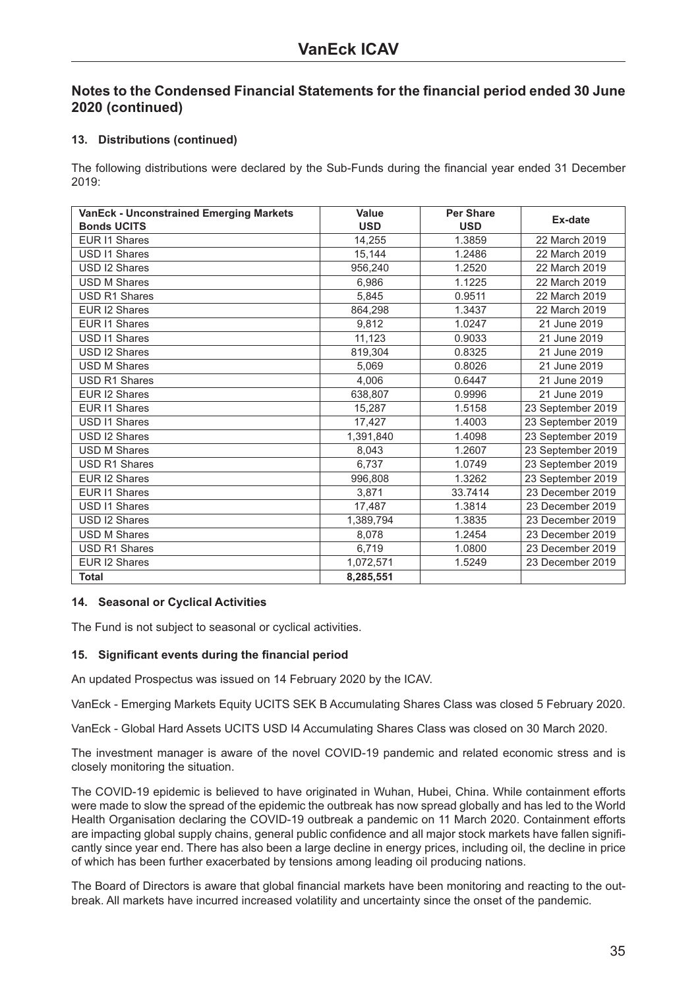#### **13. Distributions (continued)**

The following distributions were declared by the Sub-Funds during the financial year ended 31 December 2019:

| <b>VanEck - Unconstrained Emerging Markets</b> | Value      | <b>Per Share</b> | Ex-date           |
|------------------------------------------------|------------|------------------|-------------------|
| <b>Bonds UCITS</b>                             | <b>USD</b> | <b>USD</b>       |                   |
| <b>EUR I1 Shares</b>                           | 14,255     | 1.3859           | 22 March 2019     |
| USD I1 Shares                                  | 15,144     | 1.2486           | 22 March 2019     |
| USD I2 Shares                                  | 956,240    | 1.2520           | 22 March 2019     |
| <b>USD M Shares</b>                            | 6.986      | 1.1225           | 22 March 2019     |
| <b>USD R1 Shares</b>                           | 5.845      | 0.9511           | 22 March 2019     |
| EUR I2 Shares                                  | 864,298    | 1.3437           | 22 March 2019     |
| <b>EUR I1 Shares</b>                           | 9.812      | 1.0247           | 21 June 2019      |
| <b>USD I1 Shares</b>                           | 11,123     | 0.9033           | 21 June 2019      |
| USD I2 Shares                                  | 819,304    | 0.8325           | 21 June 2019      |
| <b>USD M Shares</b>                            | 5.069      | 0.8026           | 21 June 2019      |
| <b>USD R1 Shares</b>                           | 4.006      | 0.6447           | 21 June 2019      |
| EUR I2 Shares                                  | 638,807    | 0.9996           | 21 June 2019      |
| <b>EUR I1 Shares</b>                           | 15,287     | 1.5158           | 23 September 2019 |
| <b>USD I1 Shares</b>                           | 17,427     | 1.4003           | 23 September 2019 |
| USD I2 Shares                                  | 1,391,840  | 1.4098           | 23 September 2019 |
| <b>USD M Shares</b>                            | 8,043      | 1.2607           | 23 September 2019 |
| <b>USD R1 Shares</b>                           | 6.737      | 1.0749           | 23 September 2019 |
| EUR I2 Shares                                  | 996,808    | 1.3262           | 23 September 2019 |
| EUR I1 Shares                                  | 3,871      | 33.7414          | 23 December 2019  |
| USD I1 Shares                                  | 17,487     | 1.3814           | 23 December 2019  |
| USD I2 Shares                                  | 1,389,794  | 1.3835           | 23 December 2019  |
| <b>USD M Shares</b>                            | 8,078      | 1.2454           | 23 December 2019  |
| <b>USD R1 Shares</b>                           | 6,719      | 1.0800           | 23 December 2019  |
| EUR I2 Shares                                  | 1,072,571  | 1.5249           | 23 December 2019  |
| <b>Total</b>                                   | 8,285,551  |                  |                   |

#### **14. Seasonal or Cyclical Activities**

The Fund is not subject to seasonal or cyclical activities.

#### **15. Significant events during the financial period**

An updated Prospectus was issued on 14 February 2020 by the ICAV.

VanEck - Emerging Markets Equity UCITS SEK B Accumulating Shares Class was closed 5 February 2020.

VanEck - Global Hard Assets UCITS USD I4 Accumulating Shares Class was closed on 30 March 2020.

The investment manager is aware of the novel COVID-19 pandemic and related economic stress and is closely monitoring the situation.

The COVID-19 epidemic is believed to have originated in Wuhan, Hubei, China. While containment efforts were made to slow the spread of the epidemic the outbreak has now spread globally and has led to the World Health Organisation declaring the COVID-19 outbreak a pandemic on 11 March 2020. Containment efforts are impacting global supply chains, general public confidence and all major stock markets have fallen significantly since year end. There has also been a large decline in energy prices, including oil, the decline in price of which has been further exacerbated by tensions among leading oil producing nations.

The Board of Directors is aware that global financial markets have been monitoring and reacting to the outbreak. All markets have incurred increased volatility and uncertainty since the onset of the pandemic.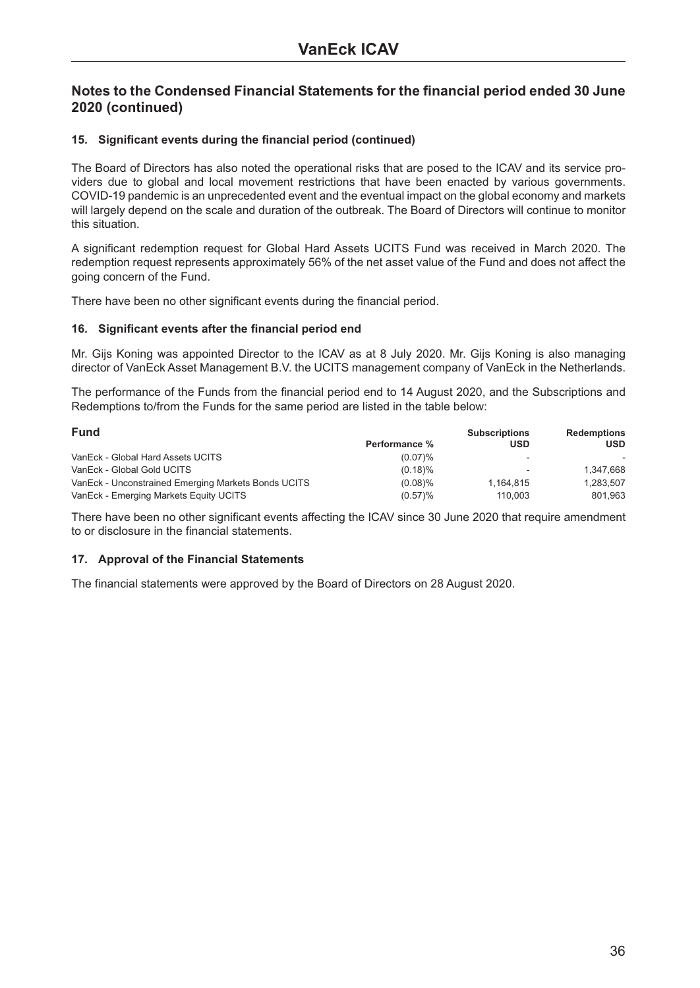#### **15. Significant events during the financial period (continued)**

The Board of Directors has also noted the operational risks that are posed to the ICAV and its service providers due to global and local movement restrictions that have been enacted by various governments. COVID-19 pandemic is an unprecedented event and the eventual impact on the global economy and markets will largely depend on the scale and duration of the outbreak. The Board of Directors will continue to monitor this situation.

A significant redemption request for Global Hard Assets UCITS Fund was received in March 2020. The redemption request represents approximately 56% of the net asset value of the Fund and does not affect the going concern of the Fund.

There have been no other significant events during the financial period.

#### **16. Significant events after the financial period end**

Mr. Gijs Koning was appointed Director to the ICAV as at 8 July 2020. Mr. Gijs Koning is also managing director of VanEck Asset Management B.V. the UCITS management company of VanEck in the Netherlands.

The performance of the Funds from the financial period end to 14 August 2020, and the Subscriptions and Redemptions to/from the Funds for the same period are listed in the table below:

| <b>Fund</b>                                         |                      | <b>Subscriptions</b>     | <b>Redemptions</b> |
|-----------------------------------------------------|----------------------|--------------------------|--------------------|
|                                                     | <b>Performance %</b> | <b>USD</b>               | <b>USD</b>         |
| VanEck - Global Hard Assets UCITS                   | (0.07)%              | $\overline{\phantom{0}}$ |                    |
| VanEck - Global Gold UCITS                          | $(0.18)\%$           | $\overline{\phantom{a}}$ | 1.347.668          |
| VanEck - Unconstrained Emerging Markets Bonds UCITS | (0.08)%              | 1.164.815                | 1,283,507          |
| VanEck - Emerging Markets Equity UCITS              | $(0.57)\%$           | 110.003                  | 801.963            |

There have been no other significant events affecting the ICAV since 30 June 2020 that require amendment to or disclosure in the financial statements.

#### **17. Approval of the Financial Statements**

The financial statements were approved by the Board of Directors on 28 August 2020.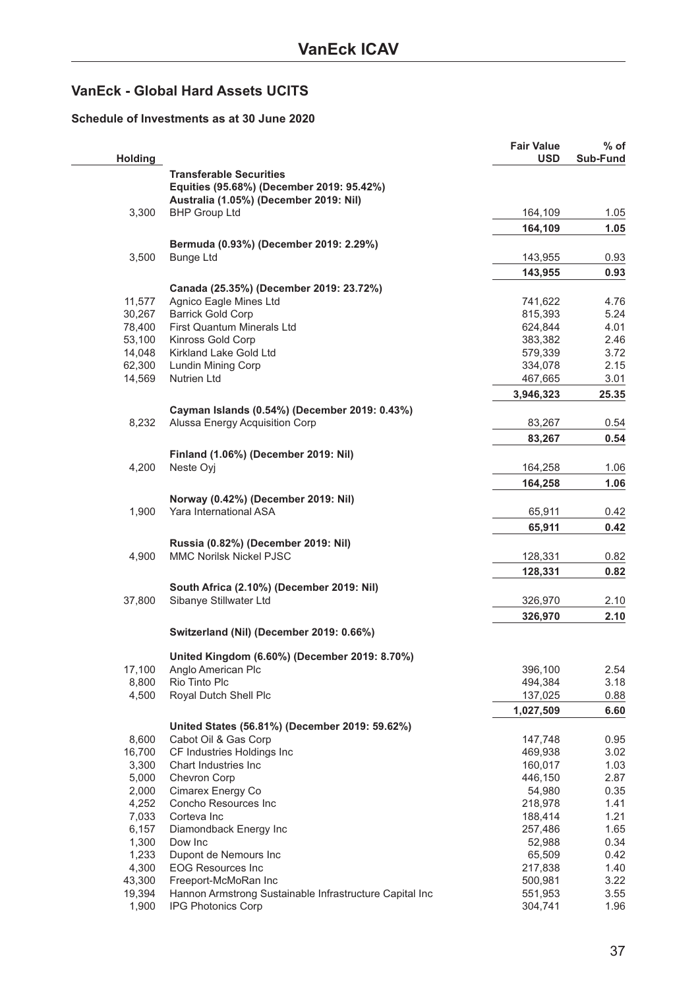## <span id="page-36-0"></span>**VanEck - Global Hard Assets UCITS**

#### **Schedule of Investments as at 30 June 2020**

| <b>Holding</b>   |                                                                                      | <b>Fair Value</b><br><b>USD</b> | $%$ of<br>Sub-Fund |
|------------------|--------------------------------------------------------------------------------------|---------------------------------|--------------------|
|                  | <b>Transferable Securities</b><br>Equities (95.68%) (December 2019: 95.42%)          |                                 |                    |
|                  | Australia (1.05%) (December 2019: Nil)                                               |                                 |                    |
| 3,300            | <b>BHP Group Ltd</b>                                                                 | 164,109                         | 1.05               |
|                  |                                                                                      | 164,109                         | 1.05               |
|                  | Bermuda (0.93%) (December 2019: 2.29%)                                               |                                 |                    |
| 3,500            | <b>Bunge Ltd</b>                                                                     | 143,955                         | 0.93               |
|                  |                                                                                      | 143,955                         | 0.93               |
|                  | Canada (25.35%) (December 2019: 23.72%)                                              |                                 |                    |
| 11,577           | Agnico Eagle Mines Ltd                                                               | 741,622                         | 4.76               |
| 30,267           | <b>Barrick Gold Corp</b>                                                             | 815,393                         | 5.24               |
| 78,400           | First Quantum Minerals Ltd                                                           | 624,844                         | 4.01               |
| 53,100           | Kinross Gold Corp                                                                    | 383,382                         | 2.46               |
| 14,048           | Kirkland Lake Gold Ltd                                                               | 579,339                         | 3.72               |
| 62,300<br>14,569 | Lundin Mining Corp<br><b>Nutrien Ltd</b>                                             | 334,078                         | 2.15               |
|                  |                                                                                      | 467,665                         | 3.01               |
|                  |                                                                                      | 3,946,323                       | 25.35              |
|                  | Cayman Islands (0.54%) (December 2019: 0.43%)                                        |                                 |                    |
| 8,232            | Alussa Energy Acquisition Corp                                                       | 83,267                          | 0.54               |
|                  |                                                                                      | 83,267                          | 0.54               |
|                  | Finland (1.06%) (December 2019: Nil)                                                 |                                 |                    |
| 4,200            | Neste Oyj                                                                            | 164,258                         | 1.06               |
|                  |                                                                                      | 164,258                         | 1.06               |
|                  | Norway (0.42%) (December 2019: Nil)                                                  |                                 |                    |
| 1,900            | Yara International ASA                                                               | 65,911                          | 0.42               |
|                  |                                                                                      | 65,911                          | 0.42               |
|                  | Russia (0.82%) (December 2019: Nil)                                                  |                                 |                    |
| 4,900            | MMC Norilsk Nickel PJSC                                                              | 128,331                         | 0.82               |
|                  |                                                                                      | 128,331                         | 0.82               |
|                  | South Africa (2.10%) (December 2019: Nil)                                            |                                 |                    |
| 37,800           | Sibanye Stillwater Ltd                                                               | 326,970                         | 2.10               |
|                  |                                                                                      | 326,970                         | 2.10               |
|                  | Switzerland (Nil) (December 2019: 0.66%)                                             |                                 |                    |
|                  |                                                                                      |                                 |                    |
|                  | United Kingdom (6.60%) (December 2019: 8.70%)<br>Anglo American Plc                  |                                 |                    |
| 17,100<br>8,800  | Rio Tinto Plc                                                                        | 396,100<br>494,384              | 2.54<br>3.18       |
| 4,500            | Royal Dutch Shell Plc                                                                | 137,025                         | 0.88               |
|                  |                                                                                      | 1,027,509                       | 6.60               |
|                  |                                                                                      |                                 |                    |
| 8,600            | United States (56.81%) (December 2019: 59.62%)<br>Cabot Oil & Gas Corp               | 147,748                         | 0.95               |
| 16,700           | CF Industries Holdings Inc                                                           | 469,938                         | 3.02               |
| 3,300            | Chart Industries Inc.                                                                | 160,017                         | 1.03               |
| 5,000            | Chevron Corp                                                                         | 446,150                         | 2.87               |
| 2,000            | Cimarex Energy Co                                                                    | 54,980                          | 0.35               |
| 4,252            | Concho Resources Inc                                                                 | 218,978                         | 1.41               |
| 7,033            | Corteva Inc                                                                          | 188,414                         | 1.21               |
| 6,157            | Diamondback Energy Inc                                                               | 257,486                         | 1.65               |
| 1,300            | Dow Inc                                                                              | 52,988                          | 0.34               |
| 1,233            | Dupont de Nemours Inc                                                                | 65,509                          | 0.42               |
| 4,300            | <b>EOG Resources Inc</b>                                                             | 217,838                         | 1.40               |
| 43,300           | Freeport-McMoRan Inc                                                                 | 500,981                         | 3.22               |
| 19,394<br>1,900  | Hannon Armstrong Sustainable Infrastructure Capital Inc<br><b>IPG Photonics Corp</b> | 551,953<br>304,741              | 3.55<br>1.96       |
|                  |                                                                                      |                                 |                    |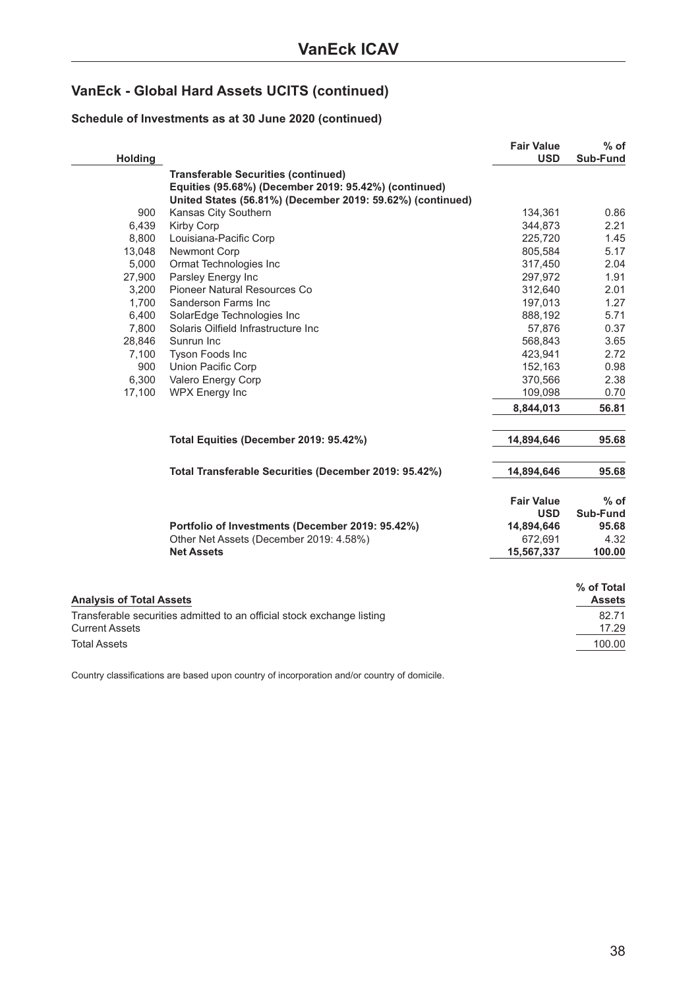## **VanEck - Global Hard Assets UCITS (continued)**

### **Schedule of Investments as at 30 June 2020 (continued)**

| <b>Holding</b>                  |                                                                        | <b>Fair Value</b><br><b>USD</b> | $%$ of<br>Sub-Fund |
|---------------------------------|------------------------------------------------------------------------|---------------------------------|--------------------|
|                                 | <b>Transferable Securities (continued)</b>                             |                                 |                    |
|                                 | Equities (95.68%) (December 2019: 95.42%) (continued)                  |                                 |                    |
|                                 | United States (56.81%) (December 2019: 59.62%) (continued)             |                                 |                    |
| 900                             | Kansas City Southern                                                   | 134,361                         | 0.86               |
| 6,439                           | Kirby Corp                                                             | 344,873                         | 2.21               |
| 8,800                           | Louisiana-Pacific Corp                                                 | 225,720                         | 1.45               |
| 13,048                          | Newmont Corp                                                           | 805,584                         | 5.17               |
| 5,000                           | Ormat Technologies Inc                                                 | 317,450                         | 2.04               |
| 27,900                          | Parsley Energy Inc                                                     | 297,972                         | 1.91               |
| 3,200                           | Pioneer Natural Resources Co                                           | 312,640                         | 2.01               |
| 1,700                           | Sanderson Farms Inc                                                    | 197,013                         | 1.27               |
| 6,400                           | SolarEdge Technologies Inc                                             | 888,192                         | 5.71               |
| 7,800                           | Solaris Oilfield Infrastructure Inc                                    | 57,876                          | 0.37               |
| 28,846                          | Sunrun Inc                                                             | 568,843                         | 3.65               |
| 7,100                           | Tyson Foods Inc                                                        | 423,941                         | 2.72               |
| 900                             | Union Pacific Corp                                                     | 152,163                         | 0.98               |
| 6,300                           | Valero Energy Corp                                                     | 370,566                         | 2.38               |
| 17,100                          | WPX Energy Inc                                                         | 109,098                         | 0.70               |
|                                 |                                                                        | 8,844,013                       | 56.81              |
|                                 | Total Equities (December 2019: 95.42%)                                 | 14,894,646                      | 95.68              |
|                                 | Total Transferable Securities (December 2019: 95.42%)                  | 14,894,646                      | 95.68              |
|                                 |                                                                        | <b>Fair Value</b>               | $%$ of             |
|                                 |                                                                        | <b>USD</b>                      | Sub-Fund           |
|                                 | Portfolio of Investments (December 2019: 95.42%)                       | 14,894,646                      | 95.68              |
|                                 | Other Net Assets (December 2019: 4.58%)                                | 672,691                         | 4.32               |
|                                 | <b>Net Assets</b>                                                      | 15,567,337                      | 100.00             |
|                                 |                                                                        |                                 | % of Total         |
| <b>Analysis of Total Assets</b> |                                                                        |                                 | <b>Assets</b>      |
|                                 | Transferable securities admitted to an official stock exchange listing |                                 | 82.71              |
| <b>Current Assets</b>           |                                                                        |                                 | 17.29              |
| <b>Total Assets</b>             |                                                                        |                                 | 100.00             |
|                                 |                                                                        |                                 |                    |

Country classifications are based upon country of incorporation and/or country of domicile.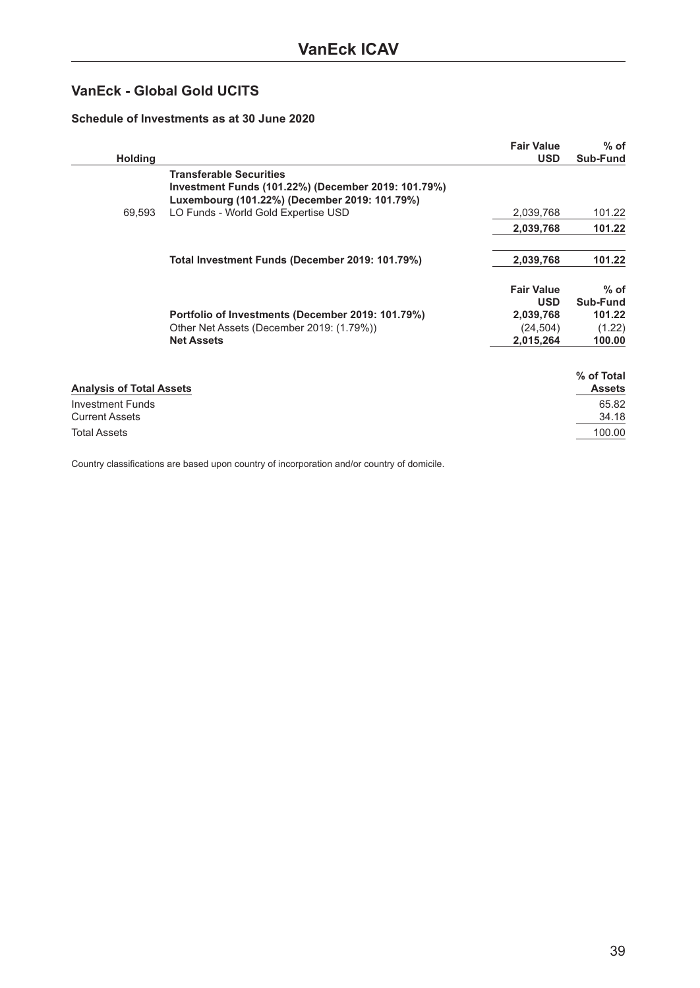## <span id="page-38-0"></span>**VanEck - Global Gold UCITS**

#### **Schedule of Investments as at 30 June 2020**

| <b>Holding</b>                                   |                                                                                                                                        | <b>Fair Value</b><br><b>USD</b> | $%$ of<br>Sub-Fund |
|--------------------------------------------------|----------------------------------------------------------------------------------------------------------------------------------------|---------------------------------|--------------------|
|                                                  | <b>Transferable Securities</b><br>Investment Funds (101.22%) (December 2019: 101.79%)<br>Luxembourg (101.22%) (December 2019: 101.79%) |                                 |                    |
| 69,593                                           | LO Funds - World Gold Expertise USD                                                                                                    | 2,039,768                       | 101.22             |
|                                                  |                                                                                                                                        | 2,039,768                       | 101.22             |
|                                                  | Total Investment Funds (December 2019: 101.79%)                                                                                        | 2,039,768                       | 101.22             |
|                                                  |                                                                                                                                        | <b>Fair Value</b><br><b>USD</b> | $%$ of<br>Sub-Fund |
|                                                  | Portfolio of Investments (December 2019: 101.79%)                                                                                      | 2,039,768                       | 101.22             |
|                                                  | Other Net Assets (December 2019: (1.79%))                                                                                              | (24, 504)                       | (1.22)             |
|                                                  | <b>Net Assets</b>                                                                                                                      | 2,015,264                       | 100.00             |
|                                                  |                                                                                                                                        |                                 | % of Total         |
| <b>Analysis of Total Assets</b>                  |                                                                                                                                        |                                 | <b>Assets</b>      |
| <b>Investment Funds</b><br><b>Current Assets</b> |                                                                                                                                        |                                 | 65.82<br>34.18     |
| <b>Total Assets</b>                              |                                                                                                                                        |                                 | 100.00             |

Country classifications are based upon country of incorporation and/or country of domicile.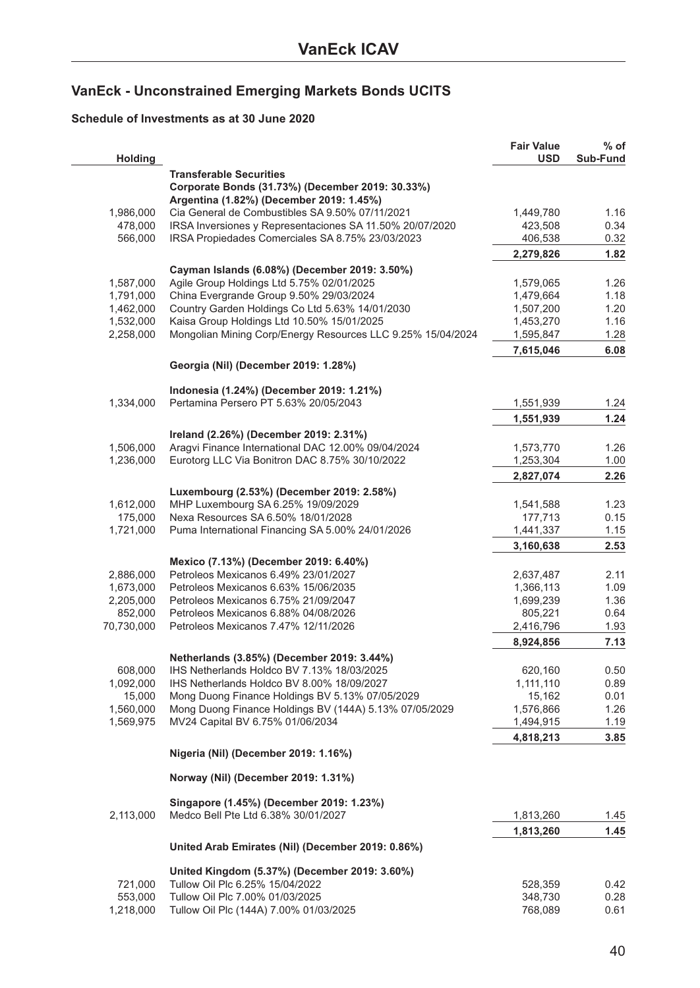## <span id="page-39-0"></span>**VanEck - Unconstrained Emerging Markets Bonds UCITS**

#### **Schedule of Investments as at 30 June 2020**

| <b>Holding</b>         |                                                                                               | <b>Fair Value</b><br><b>USD</b> | % of<br>Sub-Fund |
|------------------------|-----------------------------------------------------------------------------------------------|---------------------------------|------------------|
|                        | <b>Transferable Securities</b>                                                                |                                 |                  |
|                        | Corporate Bonds (31.73%) (December 2019: 30.33%)                                              |                                 |                  |
|                        | Argentina (1.82%) (December 2019: 1.45%)                                                      |                                 |                  |
| 1,986,000              | Cia General de Combustibles SA 9.50% 07/11/2021                                               | 1,449,780                       | 1.16             |
| 478,000                | IRSA Inversiones y Representaciones SA 11.50% 20/07/2020                                      | 423,508                         | 0.34             |
| 566,000                | IRSA Propiedades Comerciales SA 8.75% 23/03/2023                                              | 406,538                         | 0.32             |
|                        |                                                                                               | 2,279,826                       | 1.82             |
|                        | Cayman Islands (6.08%) (December 2019: 3.50%)                                                 |                                 |                  |
| 1,587,000              | Agile Group Holdings Ltd 5.75% 02/01/2025                                                     | 1,579,065                       | 1.26             |
| 1,791,000              | China Evergrande Group 9.50% 29/03/2024                                                       | 1,479,664<br>1,507,200          | 1.18<br>1.20     |
| 1,462,000<br>1,532,000 | Country Garden Holdings Co Ltd 5.63% 14/01/2030<br>Kaisa Group Holdings Ltd 10.50% 15/01/2025 | 1,453,270                       | 1.16             |
| 2,258,000              | Mongolian Mining Corp/Energy Resources LLC 9.25% 15/04/2024                                   | 1,595,847                       | 1.28             |
|                        |                                                                                               | 7,615,046                       | 6.08             |
|                        | Georgia (Nil) (December 2019: 1.28%)                                                          |                                 |                  |
|                        | Indonesia (1.24%) (December 2019: 1.21%)                                                      |                                 |                  |
| 1,334,000              | Pertamina Persero PT 5.63% 20/05/2043                                                         | 1,551,939                       | 1.24             |
|                        |                                                                                               | 1,551,939                       | 1.24             |
|                        | Ireland (2.26%) (December 2019: 2.31%)                                                        |                                 |                  |
| 1,506,000              | Aragvi Finance International DAC 12.00% 09/04/2024                                            | 1,573,770                       | 1.26             |
| 1,236,000              | Eurotorg LLC Via Bonitron DAC 8.75% 30/10/2022                                                | 1,253,304                       | 1.00             |
|                        |                                                                                               | 2,827,074                       | 2.26             |
|                        | Luxembourg (2.53%) (December 2019: 2.58%)                                                     |                                 |                  |
| 1,612,000              | MHP Luxembourg SA 6.25% 19/09/2029                                                            | 1,541,588                       | 1.23             |
| 175,000                | Nexa Resources SA 6.50% 18/01/2028                                                            | 177,713                         | 0.15             |
| 1,721,000              | Puma International Financing SA 5.00% 24/01/2026                                              | 1,441,337                       | 1.15             |
|                        |                                                                                               | 3,160,638                       | 2.53             |
|                        | Mexico (7.13%) (December 2019: 6.40%)                                                         |                                 |                  |
| 2,886,000              | Petroleos Mexicanos 6.49% 23/01/2027                                                          | 2,637,487                       | 2.11             |
| 1,673,000              | Petroleos Mexicanos 6.63% 15/06/2035                                                          | 1,366,113                       | 1.09             |
| 2,205,000              | Petroleos Mexicanos 6.75% 21/09/2047                                                          | 1,699,239                       | 1.36             |
| 852,000                | Petroleos Mexicanos 6.88% 04/08/2026                                                          | 805,221                         | 0.64             |
| 70,730,000             | Petroleos Mexicanos 7.47% 12/11/2026                                                          | 2,416,796                       | 1.93             |
|                        |                                                                                               | 8,924,856                       | 7.13             |
|                        | Netherlands (3.85%) (December 2019: 3.44%)                                                    |                                 |                  |
| 608,000                | IHS Netherlands Holdco BV 7.13% 18/03/2025                                                    | 620,160                         | 0.50             |
| 1,092,000              | IHS Netherlands Holdco BV 8.00% 18/09/2027                                                    | 1,111,110                       | 0.89             |
| 15,000                 | Mong Duong Finance Holdings BV 5.13% 07/05/2029                                               | 15,162                          | 0.01             |
| 1,560,000              | Mong Duong Finance Holdings BV (144A) 5.13% 07/05/2029                                        | 1,576,866                       | 1.26             |
| 1,569,975              | MV24 Capital BV 6.75% 01/06/2034                                                              | 1,494,915                       | 1.19             |
|                        |                                                                                               | 4,818,213                       | 3.85             |
|                        | Nigeria (Nil) (December 2019: 1.16%)                                                          |                                 |                  |
|                        | Norway (Nil) (December 2019: 1.31%)                                                           |                                 |                  |
|                        |                                                                                               |                                 |                  |
|                        | Singapore (1.45%) (December 2019: 1.23%)<br>Medco Bell Pte Ltd 6.38% 30/01/2027               | 1,813,260                       |                  |
| 2,113,000              |                                                                                               |                                 | 1.45<br>1.45     |
|                        | United Arab Emirates (Nil) (December 2019: 0.86%)                                             | 1,813,260                       |                  |
|                        |                                                                                               |                                 |                  |
|                        | United Kingdom (5.37%) (December 2019: 3.60%)                                                 |                                 |                  |
| 721,000                | Tullow Oil Plc 6.25% 15/04/2022                                                               | 528,359                         | 0.42             |
| 553,000                | Tullow Oil Plc 7.00% 01/03/2025<br>Tullow Oil Plc (144A) 7.00% 01/03/2025                     | 348,730                         | 0.28             |
| 1,218,000              |                                                                                               | 768,089                         | 0.61             |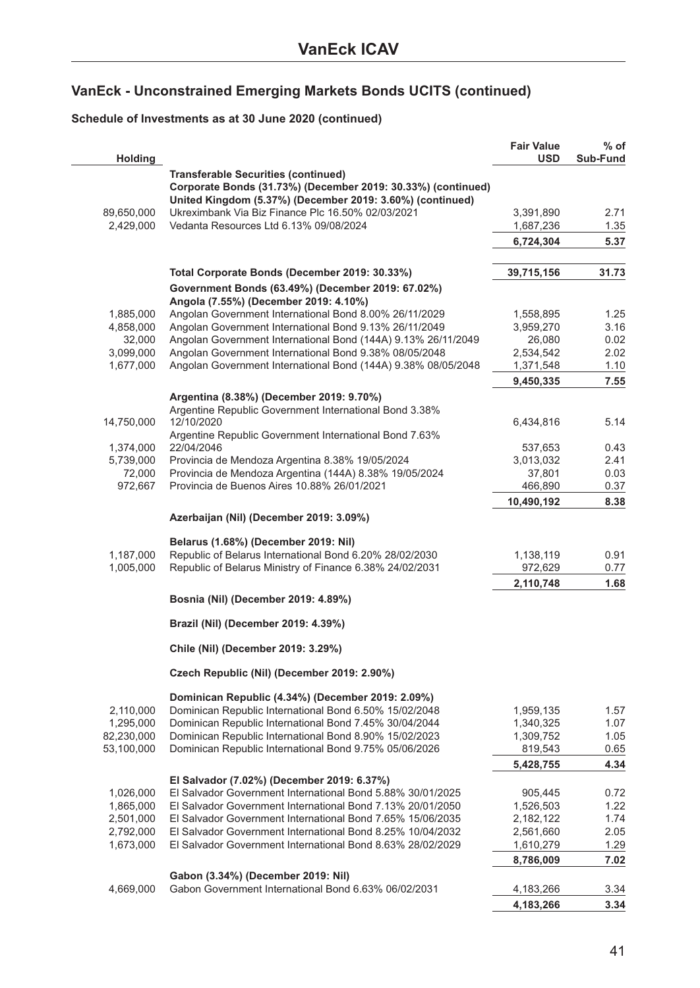### **Schedule of Investments as at 30 June 2020 (continued)**

| <b>Holding</b> |                                                                                                            | <b>Fair Value</b><br><b>USD</b> | % of<br>Sub-Fund |
|----------------|------------------------------------------------------------------------------------------------------------|---------------------------------|------------------|
|                | <b>Transferable Securities (continued)</b><br>Corporate Bonds (31.73%) (December 2019: 30.33%) (continued) |                                 |                  |
|                | United Kingdom (5.37%) (December 2019: 3.60%) (continued)                                                  |                                 |                  |
| 89,650,000     | Ukreximbank Via Biz Finance Plc 16.50% 02/03/2021                                                          | 3,391,890                       | 2.71             |
| 2,429,000      | Vedanta Resources Ltd 6.13% 09/08/2024                                                                     | 1,687,236                       | 1.35             |
|                |                                                                                                            | 6,724,304                       | 5.37             |
|                | Total Corporate Bonds (December 2019: 30.33%)                                                              | 39,715,156                      | 31.73            |
|                | Government Bonds (63.49%) (December 2019: 67.02%)                                                          |                                 |                  |
|                | Angola (7.55%) (December 2019: 4.10%)                                                                      |                                 |                  |
| 1,885,000      | Angolan Government International Bond 8.00% 26/11/2029                                                     | 1,558,895                       | 1.25             |
| 4,858,000      | Angolan Government International Bond 9.13% 26/11/2049                                                     | 3,959,270                       | 3.16             |
| 32,000         | Angolan Government International Bond (144A) 9.13% 26/11/2049                                              | 26,080                          | 0.02             |
| 3,099,000      | Angolan Government International Bond 9.38% 08/05/2048                                                     | 2,534,542                       | 2.02             |
| 1,677,000      | Angolan Government International Bond (144A) 9.38% 08/05/2048                                              | 1,371,548                       | 1.10             |
|                |                                                                                                            | 9,450,335                       | 7.55             |
|                | Argentina (8.38%) (December 2019: 9.70%)                                                                   |                                 |                  |
|                | Argentine Republic Government International Bond 3.38%                                                     |                                 |                  |
| 14,750,000     | 12/10/2020                                                                                                 | 6,434,816                       | 5.14             |
|                | Argentine Republic Government International Bond 7.63%                                                     |                                 |                  |
| 1,374,000      | 22/04/2046                                                                                                 | 537,653                         | 0.43             |
| 5,739,000      | Provincia de Mendoza Argentina 8.38% 19/05/2024                                                            | 3,013,032                       | 2.41             |
| 72,000         | Provincia de Mendoza Argentina (144A) 8.38% 19/05/2024<br>Provincia de Buenos Aires 10.88% 26/01/2021      | 37,801                          | 0.03             |
| 972,667        |                                                                                                            | 466,890                         | 0.37             |
|                |                                                                                                            | 10,490,192                      | 8.38             |
|                | Azerbaijan (Nil) (December 2019: 3.09%)                                                                    |                                 |                  |
|                | Belarus (1.68%) (December 2019: Nil)                                                                       |                                 |                  |
| 1,187,000      | Republic of Belarus International Bond 6.20% 28/02/2030                                                    | 1,138,119                       | 0.91             |
| 1,005,000      | Republic of Belarus Ministry of Finance 6.38% 24/02/2031                                                   | 972,629                         | 0.77             |
|                |                                                                                                            | 2,110,748                       | 1.68             |
|                | Bosnia (Nil) (December 2019: 4.89%)                                                                        |                                 |                  |
|                | Brazil (Nil) (December 2019: 4.39%)                                                                        |                                 |                  |
|                | Chile (Nil) (December 2019: 3.29%)                                                                         |                                 |                  |
|                | Czech Republic (Nil) (December 2019: 2.90%)                                                                |                                 |                  |
|                | Dominican Republic (4.34%) (December 2019: 2.09%)                                                          |                                 |                  |
| 2,110,000      | Dominican Republic International Bond 6.50% 15/02/2048                                                     | 1,959,135                       | 1.57             |
| 1,295,000      | Dominican Republic International Bond 7.45% 30/04/2044                                                     | 1,340,325                       | 1.07             |
| 82,230,000     | Dominican Republic International Bond 8.90% 15/02/2023                                                     | 1,309,752                       | 1.05             |
| 53,100,000     | Dominican Republic International Bond 9.75% 05/06/2026                                                     | 819,543                         | 0.65             |
|                |                                                                                                            | 5,428,755                       | 4.34             |
|                | El Salvador (7.02%) (December 2019: 6.37%)                                                                 |                                 |                  |
| 1,026,000      | El Salvador Government International Bond 5.88% 30/01/2025                                                 | 905,445                         | 0.72             |
| 1,865,000      | El Salvador Government International Bond 7.13% 20/01/2050                                                 | 1,526,503                       | 1.22             |
| 2,501,000      | El Salvador Government International Bond 7.65% 15/06/2035                                                 | 2,182,122                       | 1.74             |
| 2,792,000      | El Salvador Government International Bond 8.25% 10/04/2032                                                 | 2,561,660                       | 2.05             |
| 1,673,000      | El Salvador Government International Bond 8.63% 28/02/2029                                                 | 1,610,279                       | 1.29             |
|                |                                                                                                            | 8,786,009                       | 7.02             |
| 4,669,000      | Gabon (3.34%) (December 2019: Nil)<br>Gabon Government International Bond 6.63% 06/02/2031                 | 4,183,266                       | 3.34             |
|                |                                                                                                            | 4,183,266                       | 3.34             |
|                |                                                                                                            |                                 |                  |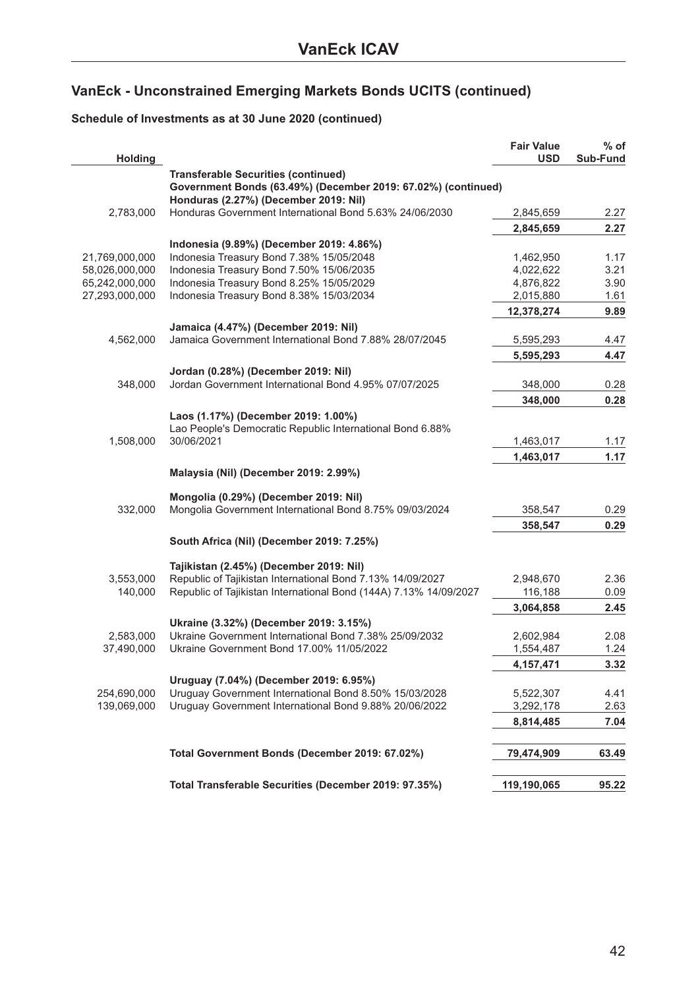### **Schedule of Investments as at 30 June 2020 (continued)**

|                |                                                                                                        | <b>Fair Value</b> | $%$ of   |
|----------------|--------------------------------------------------------------------------------------------------------|-------------------|----------|
| <b>Holding</b> |                                                                                                        | <b>USD</b>        | Sub-Fund |
|                | <b>Transferable Securities (continued)</b>                                                             |                   |          |
|                | Government Bonds (63.49%) (December 2019: 67.02%) (continued)<br>Honduras (2.27%) (December 2019: Nil) |                   |          |
| 2,783,000      | Honduras Government International Bond 5.63% 24/06/2030                                                | 2,845,659         | 2.27     |
|                |                                                                                                        | 2,845,659         | 2.27     |
|                | Indonesia (9.89%) (December 2019: 4.86%)                                                               |                   |          |
| 21,769,000,000 | Indonesia Treasury Bond 7.38% 15/05/2048                                                               | 1,462,950         | 1.17     |
| 58,026,000,000 | Indonesia Treasury Bond 7.50% 15/06/2035                                                               | 4,022,622         | 3.21     |
| 65,242,000,000 | Indonesia Treasury Bond 8.25% 15/05/2029                                                               | 4,876,822         | 3.90     |
| 27,293,000,000 | Indonesia Treasury Bond 8.38% 15/03/2034                                                               | 2,015,880         | 1.61     |
|                |                                                                                                        |                   |          |
|                |                                                                                                        | 12,378,274        | 9.89     |
|                | Jamaica (4.47%) (December 2019: Nil)                                                                   |                   |          |
| 4,562,000      | Jamaica Government International Bond 7.88% 28/07/2045                                                 | 5,595,293         | 4.47     |
|                |                                                                                                        | 5,595,293         | 4.47     |
|                | Jordan (0.28%) (December 2019: Nil)                                                                    |                   |          |
| 348,000        | Jordan Government International Bond 4.95% 07/07/2025                                                  | 348,000           | 0.28     |
|                |                                                                                                        | 348,000           | 0.28     |
|                |                                                                                                        |                   |          |
|                | Laos (1.17%) (December 2019: 1.00%)                                                                    |                   |          |
|                | Lao People's Democratic Republic International Bond 6.88%                                              |                   |          |
| 1,508,000      | 30/06/2021                                                                                             | 1,463,017         | 1.17     |
|                |                                                                                                        | 1,463,017         | 1.17     |
|                | Malaysia (Nil) (December 2019: 2.99%)                                                                  |                   |          |
|                |                                                                                                        |                   |          |
|                | Mongolia (0.29%) (December 2019: Nil)                                                                  |                   |          |
| 332,000        | Mongolia Government International Bond 8.75% 09/03/2024                                                | 358,547           | 0.29     |
|                |                                                                                                        | 358,547           | 0.29     |
|                | South Africa (Nil) (December 2019: 7.25%)                                                              |                   |          |
|                |                                                                                                        |                   |          |
|                | Tajikistan (2.45%) (December 2019: Nil)                                                                |                   |          |
| 3,553,000      | Republic of Tajikistan International Bond 7.13% 14/09/2027                                             | 2,948,670         | 2.36     |
| 140,000        | Republic of Tajikistan International Bond (144A) 7.13% 14/09/2027                                      | 116,188           | 0.09     |
|                |                                                                                                        | 3,064,858         | 2.45     |
|                |                                                                                                        |                   |          |
|                | Ukraine (3.32%) (December 2019: 3.15%)<br>Ukraine Government International Bond 7.38% 25/09/2032       |                   |          |
| 2,583,000      | Ukraine Government Bond 17.00% 11/05/2022                                                              | 2,602,984         | 2.08     |
| 37,490,000     |                                                                                                        | 1,554,487         | 1.24     |
|                |                                                                                                        | 4, 157, 471       | 3.32     |
|                | Uruguay (7.04%) (December 2019: 6.95%)                                                                 |                   |          |
| 254,690,000    | Uruguay Government International Bond 8.50% 15/03/2028                                                 | 5,522,307         | 4.41     |
| 139,069,000    | Uruguay Government International Bond 9.88% 20/06/2022                                                 | 3,292,178         | 2.63     |
|                |                                                                                                        | 8,814,485         | 7.04     |
|                |                                                                                                        |                   |          |
|                | Total Government Bonds (December 2019: 67.02%)                                                         | 79,474,909        | 63.49    |
|                |                                                                                                        |                   |          |
|                |                                                                                                        |                   |          |
|                | Total Transferable Securities (December 2019: 97.35%)                                                  | 119,190,065       | 95.22    |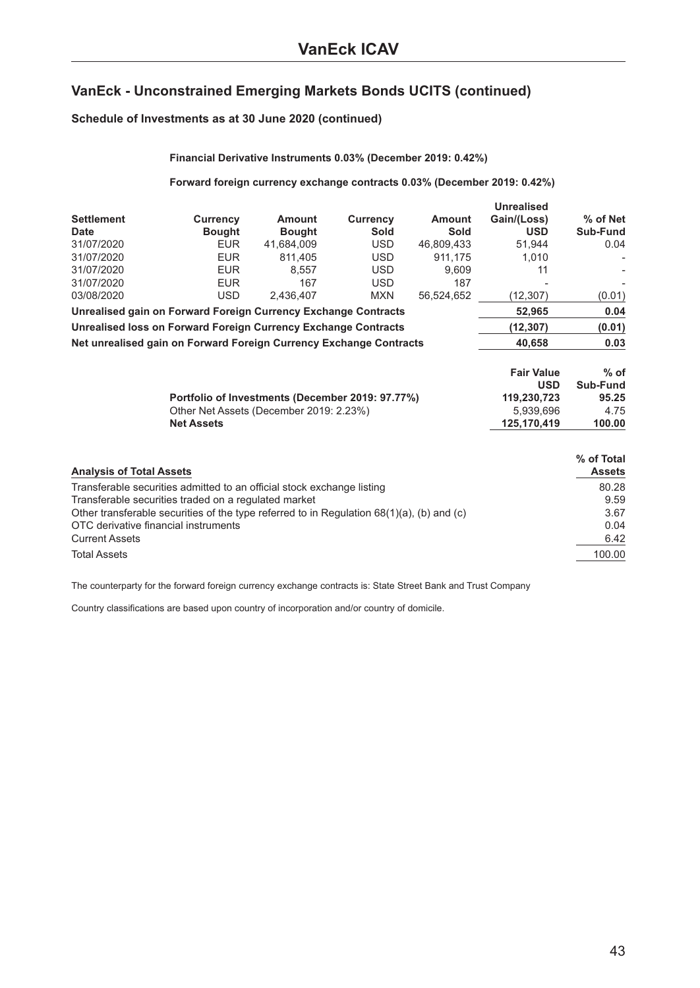#### **Schedule of Investments as at 30 June 2020 (continued)**

|                                              | Financial Derivative Instruments 0.03% (December 2019: 0.42%)                                                                                                                                                                                                          |                                       |                                              |                                     |                                                          |                                                 |
|----------------------------------------------|------------------------------------------------------------------------------------------------------------------------------------------------------------------------------------------------------------------------------------------------------------------------|---------------------------------------|----------------------------------------------|-------------------------------------|----------------------------------------------------------|-------------------------------------------------|
|                                              | Forward foreign currency exchange contracts 0.03% (December 2019: 0.42%)                                                                                                                                                                                               |                                       |                                              |                                     |                                                          |                                                 |
| <b>Settlement</b><br>Date<br>31/07/2020      | <b>Currency</b><br><b>Bought</b><br><b>EUR</b>                                                                                                                                                                                                                         | Amount<br><b>Bought</b><br>41,684,009 | <b>Currency</b><br><b>Sold</b><br><b>USD</b> | <b>Amount</b><br>Sold<br>46,809,433 | <b>Unrealised</b><br>Gain/(Loss)<br><b>USD</b><br>51,944 | % of Net<br>Sub-Fund<br>0.04                    |
| 31/07/2020<br>31/07/2020<br>31/07/2020       | <b>EUR</b><br><b>EUR</b><br><b>EUR</b>                                                                                                                                                                                                                                 | 811,405<br>8.557<br>167               | <b>USD</b><br><b>USD</b><br><b>USD</b>       | 911,175<br>9.609<br>187             | 1,010<br>11                                              |                                                 |
| 03/08/2020                                   | <b>USD</b><br>Unrealised gain on Forward Foreign Currency Exchange Contracts                                                                                                                                                                                           | 2,436,407                             | <b>MXN</b>                                   | 56.524.652                          | (12, 307)<br>52.965                                      | (0.01)<br>0.04                                  |
|                                              | Unrealised loss on Forward Foreign Currency Exchange Contracts                                                                                                                                                                                                         |                                       |                                              |                                     | (12, 307)                                                | (0.01)                                          |
|                                              | Net unrealised gain on Forward Foreign Currency Exchange Contracts                                                                                                                                                                                                     |                                       |                                              |                                     | 40,658                                                   | 0.03                                            |
|                                              |                                                                                                                                                                                                                                                                        |                                       |                                              |                                     | <b>Fair Value</b><br><b>USD</b>                          | $%$ of<br>Sub-Fund                              |
|                                              | Portfolio of Investments (December 2019: 97.77%)<br>Other Net Assets (December 2019: 2.23%)<br><b>Net Assets</b>                                                                                                                                                       |                                       |                                              |                                     | 119,230,723<br>5,939,696<br>125,170,419                  | 95.25<br>4.75<br>100.00                         |
| <b>Analysis of Total Assets</b>              |                                                                                                                                                                                                                                                                        |                                       |                                              |                                     |                                                          | % of Total<br><b>Assets</b>                     |
| <b>Current Assets</b><br><b>Total Assets</b> | Transferable securities admitted to an official stock exchange listing<br>Transferable securities traded on a regulated market<br>Other transferable securities of the type referred to in Regulation $68(1)(a)$ , (b) and (c)<br>OTC derivative financial instruments |                                       |                                              |                                     |                                                          | 80.28<br>9.59<br>3.67<br>0.04<br>6.42<br>100.00 |
|                                              |                                                                                                                                                                                                                                                                        |                                       |                                              |                                     |                                                          |                                                 |

The counterparty for the forward foreign currency exchange contracts is: State Street Bank and Trust Company

Country classifications are based upon country of incorporation and/or country of domicile.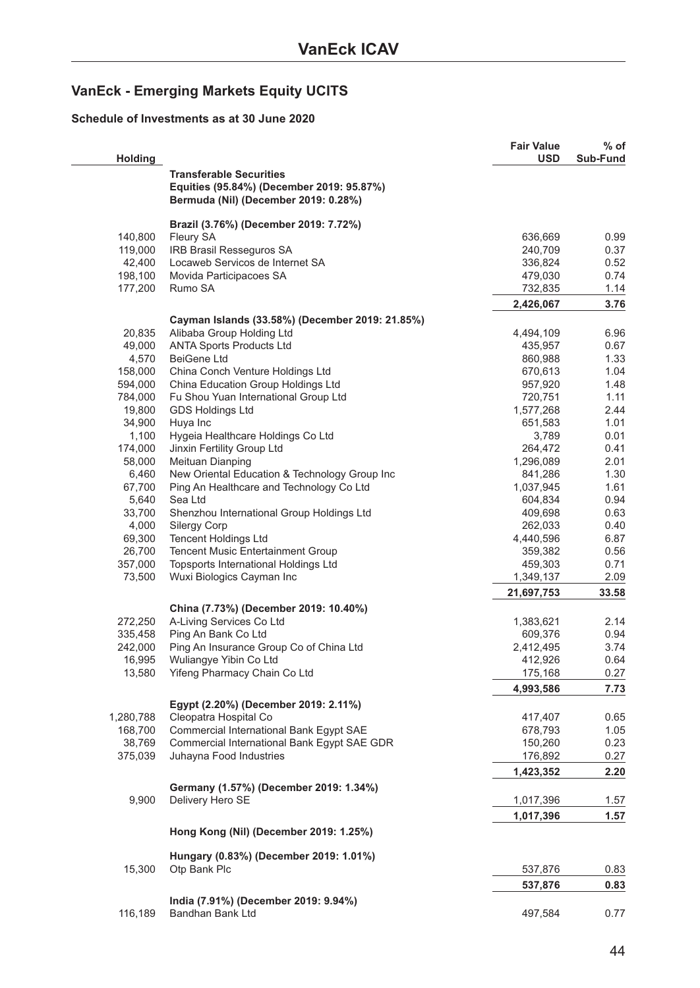## <span id="page-43-0"></span>**VanEck - Emerging Markets Equity UCITS**

#### **Schedule of Investments as at 30 June 2020**

| <b>Holding</b>    |                                                                           | <b>Fair Value</b><br><b>USD</b> | % of<br>Sub-Fund |
|-------------------|---------------------------------------------------------------------------|---------------------------------|------------------|
|                   | <b>Transferable Securities</b>                                            |                                 |                  |
|                   | Equities (95.84%) (December 2019: 95.87%)                                 |                                 |                  |
|                   | Bermuda (Nil) (December 2019: 0.28%)                                      |                                 |                  |
|                   | Brazil (3.76%) (December 2019: 7.72%)                                     |                                 |                  |
| 140,800           | Fleury SA                                                                 | 636,669                         | 0.99             |
| 119,000           | IRB Brasil Resseguros SA                                                  | 240,709                         | 0.37             |
| 42,400            | Locaweb Servicos de Internet SA                                           | 336,824                         | 0.52             |
| 198,100           | Movida Participacoes SA                                                   | 479,030                         | 0.74             |
| 177,200           | Rumo SA                                                                   | 732,835                         | 1.14             |
|                   |                                                                           | 2,426,067                       | 3.76             |
|                   | Cayman Islands (33.58%) (December 2019: 21.85%)                           |                                 |                  |
| 20,835            | Alibaba Group Holding Ltd                                                 | 4,494,109                       | 6.96             |
| 49,000            | <b>ANTA Sports Products Ltd</b>                                           | 435,957                         | 0.67             |
| 4,570             | <b>BeiGene Ltd</b>                                                        | 860,988                         | 1.33             |
| 158,000           | China Conch Venture Holdings Ltd                                          | 670,613                         | 1.04             |
| 594,000           | China Education Group Holdings Ltd                                        | 957,920                         | 1.48             |
| 784,000           | Fu Shou Yuan International Group Ltd                                      | 720,751                         | 1.11             |
| 19,800            | <b>GDS Holdings Ltd</b>                                                   | 1,577,268                       | 2.44             |
| 34,900            | Huya Inc                                                                  | 651,583                         | 1.01             |
| 1,100             | Hygeia Healthcare Holdings Co Ltd                                         | 3,789                           | 0.01             |
| 174,000           | Jinxin Fertility Group Ltd                                                | 264,472                         | 0.41             |
| 58,000            | Meituan Dianping                                                          | 1,296,089                       | 2.01             |
| 6,460             | New Oriental Education & Technology Group Inc                             | 841,286                         | 1.30             |
| 67,700            | Ping An Healthcare and Technology Co Ltd                                  | 1,037,945                       | 1.61             |
| 5,640             | Sea Ltd                                                                   | 604,834                         | 0.94             |
| 33,700            | Shenzhou International Group Holdings Ltd                                 | 409,698                         | 0.63             |
| 4,000             | <b>Silergy Corp</b>                                                       | 262,033                         | 0.40             |
| 69,300            | <b>Tencent Holdings Ltd</b>                                               | 4,440,596                       | 6.87             |
| 26,700<br>357,000 | Tencent Music Entertainment Group<br>Topsports International Holdings Ltd | 359,382                         | 0.56<br>0.71     |
| 73,500            | Wuxi Biologics Cayman Inc                                                 | 459,303<br>1,349,137            | 2.09             |
|                   |                                                                           | 21,697,753                      | 33.58            |
|                   | China (7.73%) (December 2019: 10.40%)                                     |                                 |                  |
| 272,250           | A-Living Services Co Ltd                                                  | 1,383,621                       | 2.14             |
| 335,458           | Ping An Bank Co Ltd                                                       | 609,376                         | 0.94             |
| 242,000           | Ping An Insurance Group Co of China Ltd                                   | 2,412,495                       | 3.74             |
| 16,995            | Wuliangye Yibin Co Ltd                                                    | 412,926                         | 0.64             |
| 13,580            | Yifeng Pharmacy Chain Co Ltd                                              | 175,168                         | 0.27             |
|                   |                                                                           | 4,993,586                       | 7.73             |
|                   | Egypt (2.20%) (December 2019: 2.11%)                                      |                                 |                  |
| 1,280,788         | Cleopatra Hospital Co                                                     | 417,407                         | 0.65             |
| 168,700           | Commercial International Bank Egypt SAE                                   | 678,793                         | 1.05             |
| 38,769            | Commercial International Bank Egypt SAE GDR                               | 150,260                         | 0.23             |
| 375,039           | Juhayna Food Industries                                                   | 176,892                         | 0.27             |
|                   |                                                                           | 1,423,352                       | 2.20             |
|                   | Germany (1.57%) (December 2019: 1.34%)                                    |                                 |                  |
| 9,900             | Delivery Hero SE                                                          | 1,017,396                       | 1.57             |
|                   |                                                                           | 1,017,396                       | 1.57             |
|                   | Hong Kong (Nil) (December 2019: 1.25%)                                    |                                 |                  |
|                   | Hungary (0.83%) (December 2019: 1.01%)                                    |                                 |                  |
| 15,300            | Otp Bank Plc                                                              | 537,876                         | 0.83             |
|                   |                                                                           | 537,876                         | 0.83             |
|                   | India (7.91%) (December 2019: 9.94%)                                      |                                 |                  |
| 116,189           | Bandhan Bank Ltd                                                          | 497,584                         | 0.77             |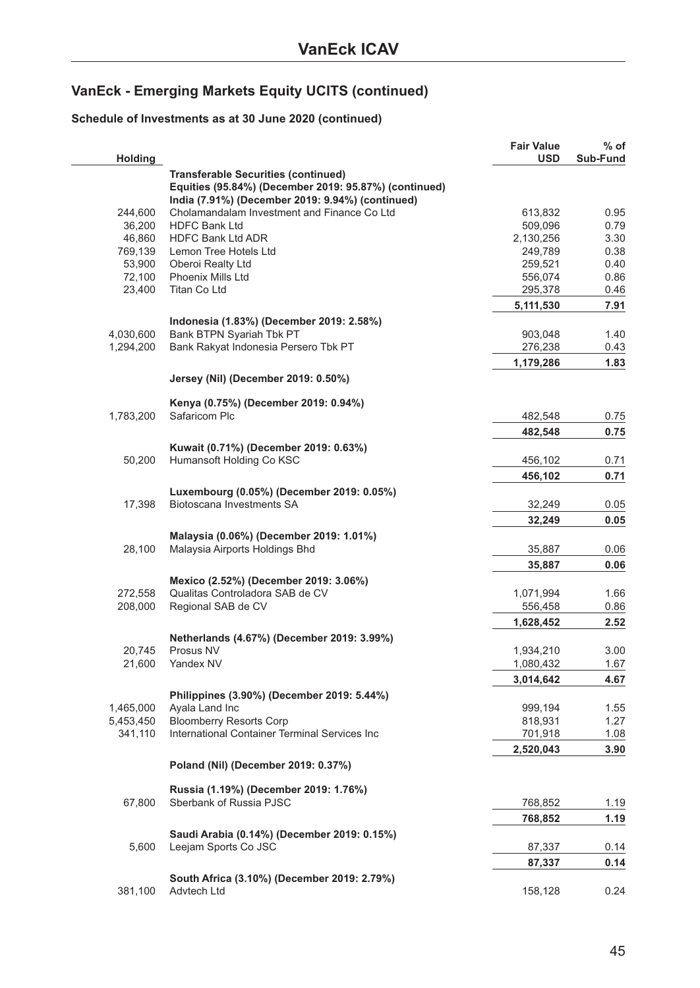### **Schedule of Investments as at 30 June 2020 (continued)**

| Holding   |                                                       | <b>Fair Value</b><br><b>USD</b> | % of<br>Sub-Fund |
|-----------|-------------------------------------------------------|---------------------------------|------------------|
|           | <b>Transferable Securities (continued)</b>            |                                 |                  |
|           | Equities (95.84%) (December 2019: 95.87%) (continued) |                                 |                  |
|           | India (7.91%) (December 2019: 9.94%) (continued)      |                                 |                  |
| 244,600   | Cholamandalam Investment and Finance Co Ltd           | 613,832                         | 0.95             |
| 36,200    | <b>HDFC Bank Ltd</b>                                  | 509,096                         | 0.79             |
| 46,860    | <b>HDFC Bank Ltd ADR</b>                              | 2,130,256                       | 3.30             |
| 769,139   | Lemon Tree Hotels Ltd                                 | 249,789                         | 0.38             |
| 53,900    | Oberoi Realty Ltd                                     | 259,521                         | 0.40             |
| 72,100    | Phoenix Mills Ltd                                     | 556,074                         | 0.86             |
| 23,400    | Titan Co Ltd                                          | 295,378                         | 0.46             |
|           |                                                       | 5,111,530                       | 7.91             |
|           | Indonesia (1.83%) (December 2019: 2.58%)              |                                 |                  |
| 4,030,600 | Bank BTPN Syariah Tbk PT                              | 903,048                         | 1.40             |
| 1,294,200 | Bank Rakyat Indonesia Persero Tbk PT                  | 276,238                         | 0.43             |
|           |                                                       | 1,179,286                       | 1.83             |
|           |                                                       |                                 |                  |
|           | Jersey (Nil) (December 2019: 0.50%)                   |                                 |                  |
|           | Kenya (0.75%) (December 2019: 0.94%)                  |                                 |                  |
| 1,783,200 | Safaricom Plc                                         | 482,548                         | 0.75             |
|           |                                                       |                                 |                  |
|           |                                                       | 482,548                         | 0.75             |
|           | Kuwait (0.71%) (December 2019: 0.63%)                 |                                 |                  |
| 50,200    | Humansoft Holding Co KSC                              | 456,102                         | 0.71             |
|           |                                                       | 456,102                         | 0.71             |
|           | Luxembourg (0.05%) (December 2019: 0.05%)             |                                 |                  |
| 17,398    | Biotoscana Investments SA                             | 32,249                          | 0.05             |
|           |                                                       | 32,249                          | 0.05             |
|           | Malaysia (0.06%) (December 2019: 1.01%)               |                                 |                  |
| 28,100    | Malaysia Airports Holdings Bhd                        | 35,887                          | 0.06             |
|           |                                                       |                                 |                  |
|           |                                                       | 35,887                          | 0.06             |
|           | Mexico (2.52%) (December 2019: 3.06%)                 |                                 |                  |
| 272,558   | Qualitas Controladora SAB de CV                       | 1,071,994                       | 1.66             |
| 208,000   | Regional SAB de CV                                    | 556,458                         | 0.86             |
|           |                                                       | 1,628,452                       | 2.52             |
|           | Netherlands (4.67%) (December 2019: 3.99%)            |                                 |                  |
| 20,745    | Prosus NV                                             | 1,934,210                       | 3.00             |
| 21,600    | Yandex NV                                             | 1,080,432                       | 1.67             |
|           |                                                       | 3,014,642                       | 4.67             |
|           | Philippines (3.90%) (December 2019: 5.44%)            |                                 |                  |
| 1,465,000 | Ayala Land Inc                                        | 999,194                         | 1.55             |
| 5,453,450 | <b>Bloomberry Resorts Corp</b>                        | 818,931                         | 1.27             |
| 341,110   | International Container Terminal Services Inc         | 701,918                         | 1.08             |
|           |                                                       | 2,520,043                       | 3.90             |
|           |                                                       |                                 |                  |
|           | Poland (Nil) (December 2019: 0.37%)                   |                                 |                  |
|           | Russia (1.19%) (December 2019: 1.76%)                 |                                 |                  |
| 67,800    | Sberbank of Russia PJSC                               | 768,852                         | 1.19             |
|           |                                                       |                                 |                  |
|           |                                                       | 768,852                         | 1.19             |
|           | Saudi Arabia (0.14%) (December 2019: 0.15%)           |                                 |                  |
| 5,600     | Leejam Sports Co JSC                                  | 87,337                          | 0.14             |
|           |                                                       | 87,337                          | 0.14             |
|           | South Africa (3.10%) (December 2019: 2.79%)           |                                 |                  |
| 381,100   | Advtech Ltd                                           | 158,128                         | 0.24             |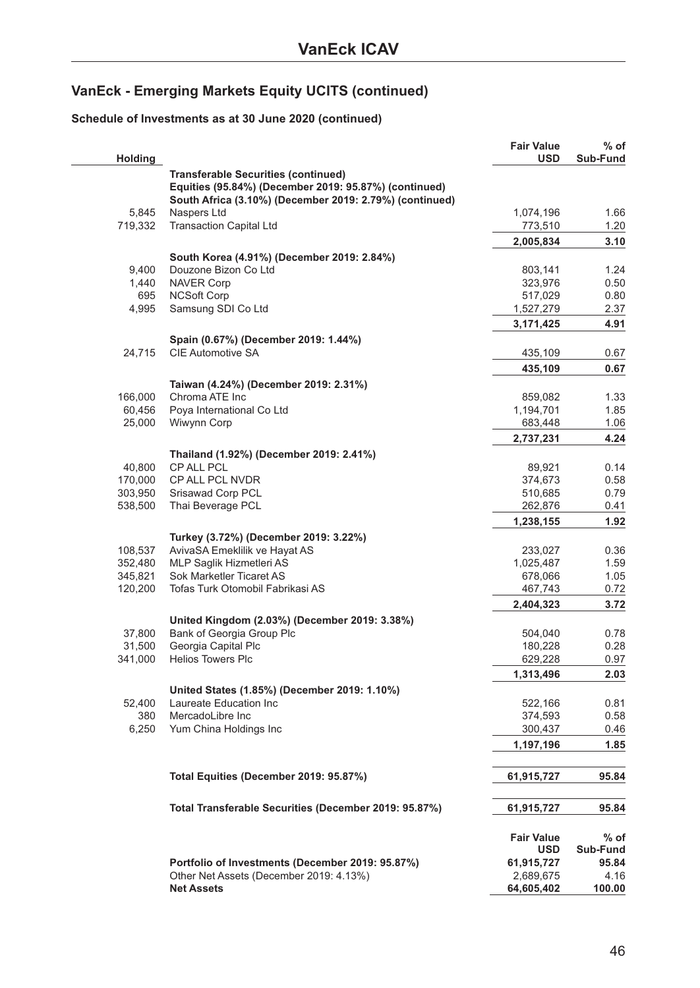### **Schedule of Investments as at 30 June 2020 (continued)**

| <b>Holding</b> |                                                         | <b>Fair Value</b><br><b>USD</b> | $%$ of<br>Sub-Fund |
|----------------|---------------------------------------------------------|---------------------------------|--------------------|
|                | <b>Transferable Securities (continued)</b>              |                                 |                    |
|                | Equities (95.84%) (December 2019: 95.87%) (continued)   |                                 |                    |
|                | South Africa (3.10%) (December 2019: 2.79%) (continued) |                                 |                    |
| 5,845          | Naspers Ltd                                             | 1,074,196                       | 1.66               |
| 719,332        | <b>Transaction Capital Ltd</b>                          | 773,510                         | 1.20               |
|                |                                                         | 2,005,834                       | 3.10               |
|                |                                                         |                                 |                    |
|                | South Korea (4.91%) (December 2019: 2.84%)              |                                 |                    |
| 9,400          | Douzone Bizon Co Ltd                                    | 803,141                         | 1.24               |
| 1,440          | <b>NAVER Corp</b>                                       | 323,976                         | 0.50               |
| 695            | <b>NCSoft Corp</b>                                      | 517,029                         | 0.80               |
| 4,995          | Samsung SDI Co Ltd                                      | 1,527,279                       | 2.37               |
|                |                                                         | 3,171,425                       | 4.91               |
|                | Spain (0.67%) (December 2019: 1.44%)                    |                                 |                    |
| 24,715         | CIE Automotive SA                                       | 435,109                         | 0.67               |
|                |                                                         | 435,109                         | 0.67               |
|                | Taiwan (4.24%) (December 2019: 2.31%)                   |                                 |                    |
| 166,000        | Chroma ATE Inc                                          | 859,082                         | 1.33               |
| 60,456         | Poya International Co Ltd                               | 1,194,701                       | 1.85               |
| 25,000         | Wiwynn Corp                                             | 683,448                         | 1.06               |
|                |                                                         |                                 |                    |
|                |                                                         | 2,737,231                       | 4.24               |
|                | Thailand (1.92%) (December 2019: 2.41%)                 |                                 |                    |
| 40,800         | CP ALL PCL                                              | 89,921                          | 0.14               |
| 170,000        | CP ALL PCL NVDR                                         | 374,673                         | 0.58               |
| 303,950        | Srisawad Corp PCL                                       | 510,685                         | 0.79               |
| 538,500        | Thai Beverage PCL                                       | 262,876                         | 0.41               |
|                |                                                         | 1,238,155                       | 1.92               |
|                | Turkey (3.72%) (December 2019: 3.22%)                   |                                 |                    |
| 108,537        | AvivaSA Emeklilik ve Hayat AS                           | 233,027                         | 0.36               |
| 352,480        | MLP Saglik Hizmetleri AS                                | 1,025,487                       | 1.59               |
| 345,821        | Sok Marketler Ticaret AS                                | 678,066                         | 1.05               |
| 120,200        | Tofas Turk Otomobil Fabrikasi AS                        | 467,743                         | 0.72               |
|                |                                                         |                                 | 3.72               |
|                |                                                         | 2,404,323                       |                    |
|                | United Kingdom (2.03%) (December 2019: 3.38%)           |                                 |                    |
| 37,800         | Bank of Georgia Group Plc                               | 504,040                         | 0.78               |
| 31,500         | Georgia Capital Plc                                     | 180,228                         | 0.28               |
| 341,000        | <b>Helios Towers Plc</b>                                | 629,228                         | 0.97               |
|                |                                                         | 1,313,496                       | 2.03               |
|                | United States (1.85%) (December 2019: 1.10%)            |                                 |                    |
| 52,400         | Laureate Education Inc                                  | 522,166                         | 0.81               |
| 380            | MercadoLibre Inc                                        | 374,593                         | 0.58               |
| 6,250          | Yum China Holdings Inc                                  | 300,437                         | 0.46               |
|                |                                                         | 1,197,196                       | 1.85               |
|                |                                                         |                                 |                    |
|                | Total Equities (December 2019: 95.87%)                  | 61,915,727                      | 95.84              |
|                | Total Transferable Securities (December 2019: 95.87%)   | 61,915,727                      | 95.84              |
|                |                                                         |                                 |                    |
|                |                                                         | <b>Fair Value</b>               | % of               |
|                |                                                         | <b>USD</b>                      | Sub-Fund           |
|                | Portfolio of Investments (December 2019: 95.87%)        | 61,915,727                      | 95.84              |
|                | Other Net Assets (December 2019: 4.13%)                 | 2,689,675                       | 4.16               |
|                | <b>Net Assets</b>                                       | 64,605,402                      | 100.00             |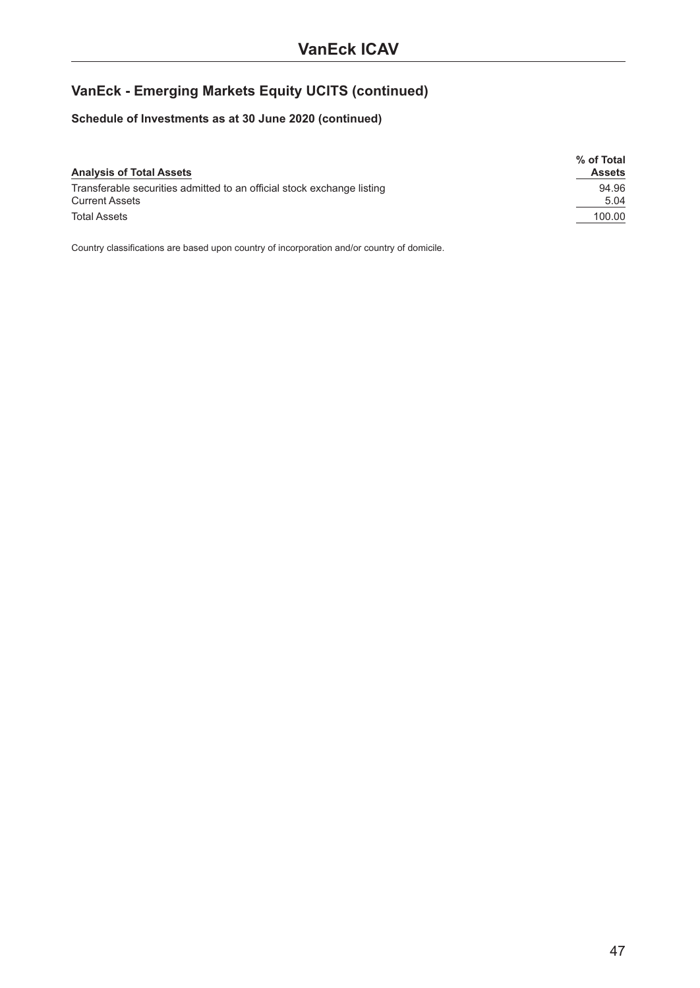### **Schedule of Investments as at 30 June 2020 (continued)**

|                                                                        | % of Total    |
|------------------------------------------------------------------------|---------------|
| <b>Analysis of Total Assets</b>                                        | <b>Assets</b> |
| Transferable securities admitted to an official stock exchange listing | 94.96         |
| <b>Current Assets</b>                                                  | 5.04          |
| <b>Total Assets</b>                                                    | 100.00        |

Country classifications are based upon country of incorporation and/or country of domicile.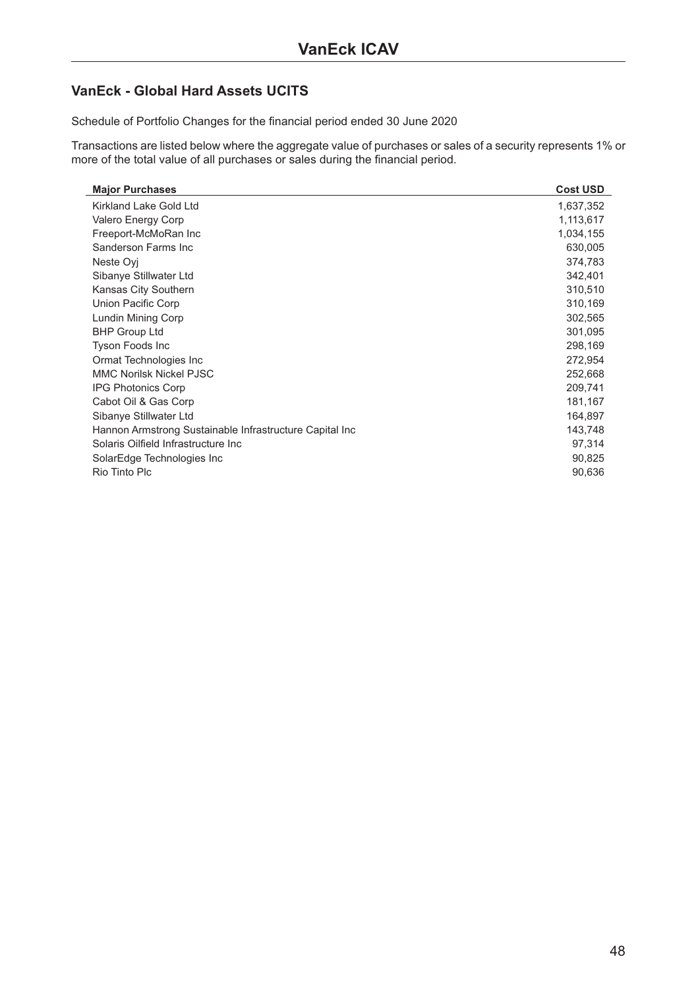### <span id="page-47-0"></span>**VanEck - Global Hard Assets UCITS**

Schedule of Portfolio Changes for the financial period ended 30 June 2020

Transactions are listed below where the aggregate value of purchases or sales of a security represents 1% or more of the total value of all purchases or sales during the financial period.

| <b>Major Purchases</b>                                  | <b>Cost USD</b> |
|---------------------------------------------------------|-----------------|
| Kirkland Lake Gold Ltd                                  | 1,637,352       |
| Valero Energy Corp                                      | 1,113,617       |
| Freeport-McMoRan Inc                                    | 1,034,155       |
| Sanderson Farms Inc.                                    | 630,005         |
| Neste Ovi                                               | 374,783         |
| Sibanye Stillwater Ltd                                  | 342,401         |
| Kansas City Southern                                    | 310,510         |
| Union Pacific Corp                                      | 310,169         |
| Lundin Mining Corp                                      | 302,565         |
| <b>BHP Group Ltd</b>                                    | 301,095         |
| <b>Tyson Foods Inc</b>                                  | 298,169         |
| Ormat Technologies Inc.                                 | 272,954         |
| <b>MMC Norilsk Nickel PJSC</b>                          | 252,668         |
| <b>IPG Photonics Corp</b>                               | 209,741         |
| Cabot Oil & Gas Corp                                    | 181,167         |
| Sibanye Stillwater Ltd                                  | 164,897         |
| Hannon Armstrong Sustainable Infrastructure Capital Inc | 143,748         |
| Solaris Oilfield Infrastructure Inc                     | 97,314          |
| SolarEdge Technologies Inc                              | 90,825          |
| Rio Tinto Plc                                           | 90,636          |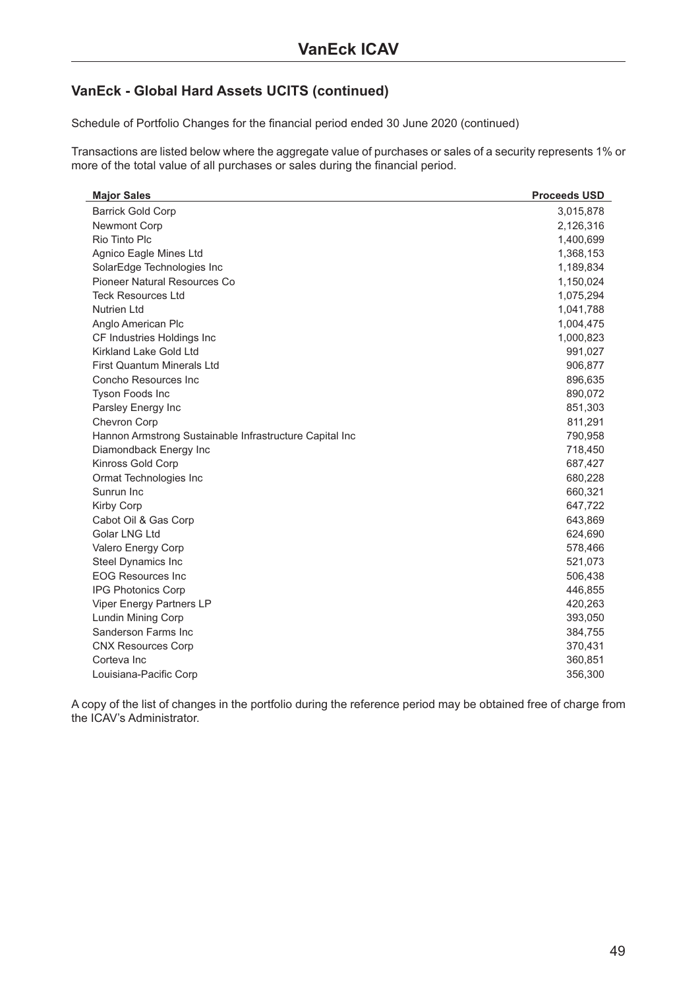### **VanEck - Global Hard Assets UCITS (continued)**

Schedule of Portfolio Changes for the financial period ended 30 June 2020 (continued)

Transactions are listed below where the aggregate value of purchases or sales of a security represents 1% or more of the total value of all purchases or sales during the financial period.

| <b>Major Sales</b>                                      | <b>Proceeds USD</b> |
|---------------------------------------------------------|---------------------|
| <b>Barrick Gold Corp</b>                                | 3,015,878           |
| <b>Newmont Corp</b>                                     | 2,126,316           |
| Rio Tinto Plc                                           | 1,400,699           |
| Agnico Eagle Mines Ltd                                  | 1,368,153           |
| SolarEdge Technologies Inc                              | 1,189,834           |
| Pioneer Natural Resources Co                            | 1,150,024           |
| <b>Teck Resources Ltd</b>                               | 1,075,294           |
| <b>Nutrien Ltd</b>                                      | 1,041,788           |
| Anglo American Plc                                      | 1,004,475           |
| CF Industries Holdings Inc                              | 1,000,823           |
| <b>Kirkland Lake Gold Ltd</b>                           | 991,027             |
| <b>First Quantum Minerals Ltd</b>                       | 906,877             |
| Concho Resources Inc                                    | 896,635             |
| Tyson Foods Inc                                         | 890,072             |
| Parsley Energy Inc                                      | 851,303             |
| Chevron Corp                                            | 811,291             |
| Hannon Armstrong Sustainable Infrastructure Capital Inc | 790,958             |
| Diamondback Energy Inc                                  | 718,450             |
| Kinross Gold Corp                                       | 687,427             |
| Ormat Technologies Inc                                  | 680,228             |
| Sunrun Inc                                              | 660,321             |
| Kirby Corp                                              | 647,722             |
| Cabot Oil & Gas Corp                                    | 643,869             |
| Golar LNG Ltd                                           | 624,690             |
| Valero Energy Corp                                      | 578,466             |
| Steel Dynamics Inc                                      | 521,073             |
| <b>EOG Resources Inc</b>                                | 506,438             |
| IPG Photonics Corp                                      | 446,855             |
| Viper Energy Partners LP                                | 420,263             |
| Lundin Mining Corp                                      | 393,050             |
| Sanderson Farms Inc                                     | 384,755             |
| <b>CNX Resources Corp</b>                               | 370,431             |
| Corteva Inc                                             | 360,851             |
| Louisiana-Pacific Corp                                  | 356,300             |

A copy of the list of changes in the portfolio during the reference period may be obtained free of charge from the ICAV's Administrator.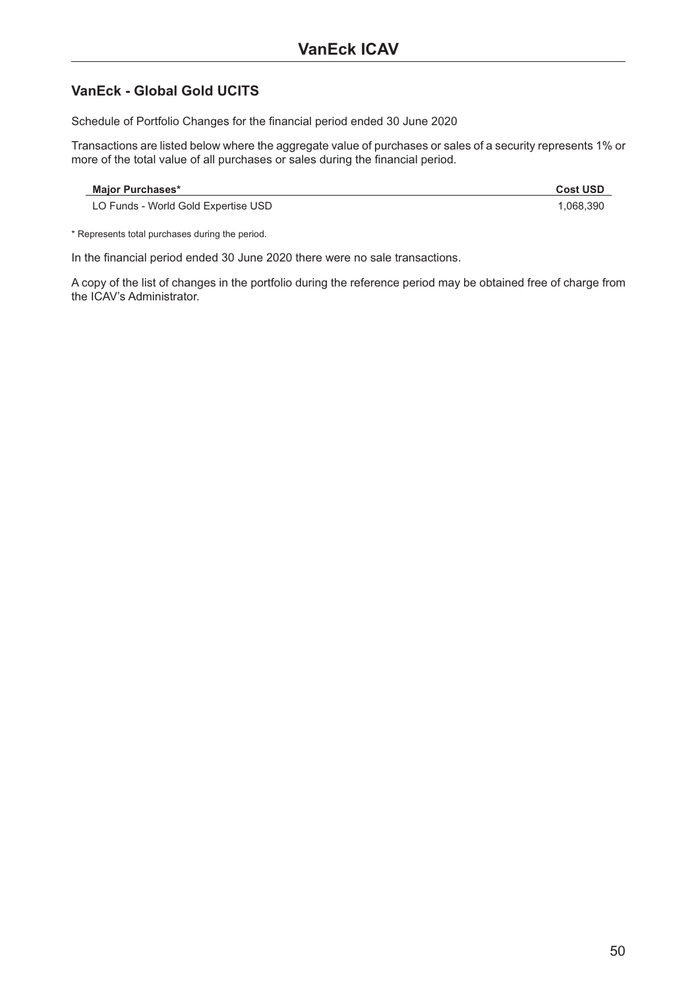### **VanEck - Global Gold UCITS**

Schedule of Portfolio Changes for the financial period ended 30 June 2020

Transactions are listed below where the aggregate value of purchases or sales of a security represents 1% or more of the total value of all purchases or sales during the financial period.

| <b>Maior Purchases*</b>             | <b>Cost USD</b> |
|-------------------------------------|-----------------|
| LO Funds - World Gold Expertise USD | .068.390        |

\* Represents total purchases during the period.

In the financial period ended 30 June 2020 there were no sale transactions.

A copy of the list of changes in the portfolio during the reference period may be obtained free of charge from the ICAV's Administrator.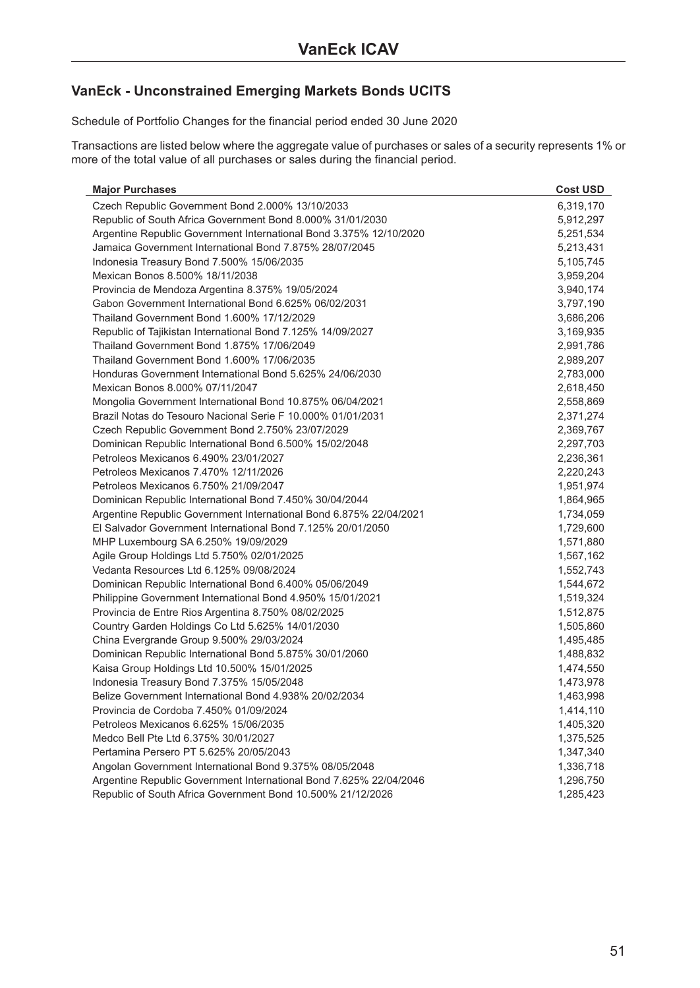### **VanEck - Unconstrained Emerging Markets Bonds UCITS**

Schedule of Portfolio Changes for the financial period ended 30 June 2020

Transactions are listed below where the aggregate value of purchases or sales of a security represents 1% or more of the total value of all purchases or sales during the financial period.

| <b>Major Purchases</b>                                             | <b>Cost USD</b> |
|--------------------------------------------------------------------|-----------------|
| Czech Republic Government Bond 2.000% 13/10/2033                   | 6,319,170       |
| Republic of South Africa Government Bond 8.000% 31/01/2030         | 5,912,297       |
| Argentine Republic Government International Bond 3.375% 12/10/2020 | 5,251,534       |
| Jamaica Government International Bond 7.875% 28/07/2045            | 5,213,431       |
| Indonesia Treasury Bond 7.500% 15/06/2035                          | 5,105,745       |
| Mexican Bonos 8.500% 18/11/2038                                    | 3,959,204       |
| Provincia de Mendoza Argentina 8.375% 19/05/2024                   | 3,940,174       |
| Gabon Government International Bond 6.625% 06/02/2031              | 3,797,190       |
| Thailand Government Bond 1.600% 17/12/2029                         | 3,686,206       |
| Republic of Tajikistan International Bond 7.125% 14/09/2027        | 3,169,935       |
| Thailand Government Bond 1.875% 17/06/2049                         | 2,991,786       |
| Thailand Government Bond 1.600% 17/06/2035                         | 2,989,207       |
| Honduras Government International Bond 5.625% 24/06/2030           | 2,783,000       |
| Mexican Bonos 8.000% 07/11/2047                                    | 2,618,450       |
| Mongolia Government International Bond 10.875% 06/04/2021          | 2,558,869       |
| Brazil Notas do Tesouro Nacional Serie F 10.000% 01/01/2031        | 2,371,274       |
| Czech Republic Government Bond 2.750% 23/07/2029                   | 2,369,767       |
| Dominican Republic International Bond 6.500% 15/02/2048            | 2,297,703       |
| Petroleos Mexicanos 6.490% 23/01/2027                              | 2,236,361       |
| Petroleos Mexicanos 7.470% 12/11/2026                              | 2,220,243       |
| Petroleos Mexicanos 6.750% 21/09/2047                              | 1,951,974       |
| Dominican Republic International Bond 7.450% 30/04/2044            | 1,864,965       |
| Argentine Republic Government International Bond 6.875% 22/04/2021 | 1,734,059       |
| El Salvador Government International Bond 7.125% 20/01/2050        | 1,729,600       |
| MHP Luxembourg SA 6.250% 19/09/2029                                | 1,571,880       |
| Agile Group Holdings Ltd 5.750% 02/01/2025                         | 1,567,162       |
| Vedanta Resources Ltd 6.125% 09/08/2024                            | 1,552,743       |
| Dominican Republic International Bond 6.400% 05/06/2049            | 1,544,672       |
| Philippine Government International Bond 4.950% 15/01/2021         | 1,519,324       |
| Provincia de Entre Rios Argentina 8.750% 08/02/2025                | 1,512,875       |
| Country Garden Holdings Co Ltd 5.625% 14/01/2030                   | 1,505,860       |
| China Evergrande Group 9.500% 29/03/2024                           | 1,495,485       |
| Dominican Republic International Bond 5.875% 30/01/2060            | 1,488,832       |
| Kaisa Group Holdings Ltd 10.500% 15/01/2025                        | 1,474,550       |
| Indonesia Treasury Bond 7.375% 15/05/2048                          | 1,473,978       |
| Belize Government International Bond 4.938% 20/02/2034             | 1,463,998       |
| Provincia de Cordoba 7.450% 01/09/2024                             | 1,414,110       |
| Petroleos Mexicanos 6.625% 15/06/2035                              | 1,405,320       |
| Medco Bell Pte Ltd 6.375% 30/01/2027                               | 1,375,525       |
| Pertamina Persero PT 5.625% 20/05/2043                             | 1,347,340       |
| Angolan Government International Bond 9.375% 08/05/2048            | 1,336,718       |
| Argentine Republic Government International Bond 7.625% 22/04/2046 | 1,296,750       |
| Republic of South Africa Government Bond 10.500% 21/12/2026        | 1,285,423       |
|                                                                    |                 |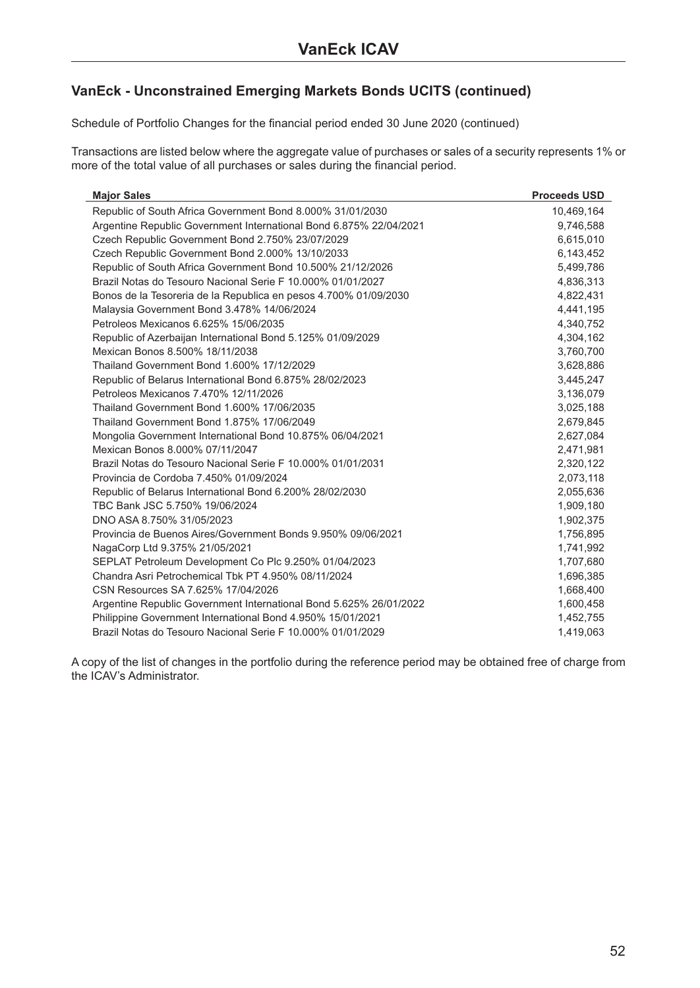Schedule of Portfolio Changes for the financial period ended 30 June 2020 (continued)

Transactions are listed below where the aggregate value of purchases or sales of a security represents 1% or more of the total value of all purchases or sales during the financial period.

| <b>Major Sales</b>                                                 | <b>Proceeds USD</b> |
|--------------------------------------------------------------------|---------------------|
| Republic of South Africa Government Bond 8.000% 31/01/2030         | 10,469,164          |
| Argentine Republic Government International Bond 6.875% 22/04/2021 | 9,746,588           |
| Czech Republic Government Bond 2.750% 23/07/2029                   | 6,615,010           |
| Czech Republic Government Bond 2.000% 13/10/2033                   | 6,143,452           |
| Republic of South Africa Government Bond 10.500% 21/12/2026        | 5,499,786           |
| Brazil Notas do Tesouro Nacional Serie F 10.000% 01/01/2027        | 4,836,313           |
| Bonos de la Tesoreria de la Republica en pesos 4.700% 01/09/2030   | 4,822,431           |
| Malaysia Government Bond 3.478% 14/06/2024                         | 4,441,195           |
| Petroleos Mexicanos 6.625% 15/06/2035                              | 4,340,752           |
| Republic of Azerbaijan International Bond 5.125% 01/09/2029        | 4,304,162           |
| Mexican Bonos 8.500% 18/11/2038                                    | 3,760,700           |
| Thailand Government Bond 1,600% 17/12/2029                         | 3,628,886           |
| Republic of Belarus International Bond 6.875% 28/02/2023           | 3,445,247           |
| Petroleos Mexicanos 7.470% 12/11/2026                              | 3,136,079           |
| Thailand Government Bond 1,600% 17/06/2035                         | 3,025,188           |
| Thailand Government Bond 1.875% 17/06/2049                         | 2,679,845           |
| Mongolia Government International Bond 10.875% 06/04/2021          | 2,627,084           |
| Mexican Bonos 8,000% 07/11/2047                                    | 2,471,981           |
| Brazil Notas do Tesouro Nacional Serie F 10.000% 01/01/2031        | 2,320,122           |
| Provincia de Cordoba 7.450% 01/09/2024                             | 2,073,118           |
| Republic of Belarus International Bond 6.200% 28/02/2030           | 2,055,636           |
| TBC Bank JSC 5.750% 19/06/2024                                     | 1,909,180           |
| DNO ASA 8.750% 31/05/2023                                          | 1,902,375           |
| Provincia de Buenos Aires/Government Bonds 9.950% 09/06/2021       | 1,756,895           |
| NagaCorp Ltd 9.375% 21/05/2021                                     | 1,741,992           |
| SEPLAT Petroleum Development Co Plc 9.250% 01/04/2023              | 1,707,680           |
| Chandra Asri Petrochemical Tbk PT 4.950% 08/11/2024                | 1,696,385           |
| CSN Resources SA 7.625% 17/04/2026                                 | 1,668,400           |
| Argentine Republic Government International Bond 5.625% 26/01/2022 | 1,600,458           |
| Philippine Government International Bond 4.950% 15/01/2021         | 1,452,755           |
| Brazil Notas do Tesouro Nacional Serie F 10.000% 01/01/2029        | 1,419,063           |

A copy of the list of changes in the portfolio during the reference period may be obtained free of charge from the ICAV's Administrator.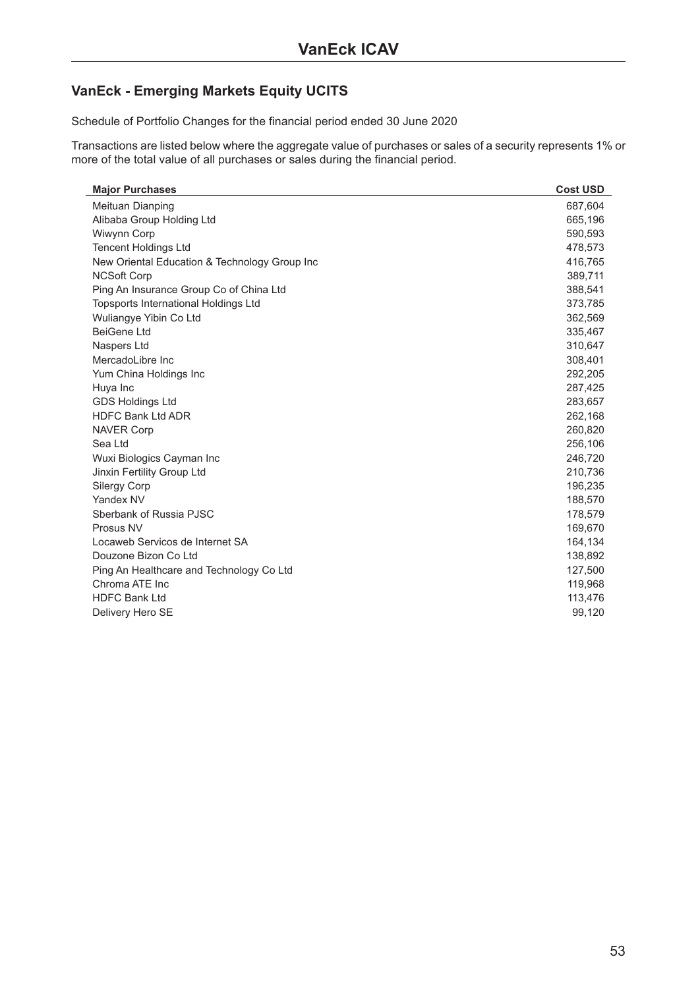### **VanEck - Emerging Markets Equity UCITS**

Schedule of Portfolio Changes for the financial period ended 30 June 2020

Transactions are listed below where the aggregate value of purchases or sales of a security represents 1% or more of the total value of all purchases or sales during the financial period.

| <b>Major Purchases</b>                        | <b>Cost USD</b> |
|-----------------------------------------------|-----------------|
| Meituan Dianping                              | 687,604         |
| Alibaba Group Holding Ltd                     | 665,196         |
| Wiwynn Corp                                   | 590,593         |
| <b>Tencent Holdings Ltd</b>                   | 478,573         |
| New Oriental Education & Technology Group Inc | 416,765         |
| <b>NCSoft Corp</b>                            | 389,711         |
| Ping An Insurance Group Co of China Ltd       | 388,541         |
| <b>Topsports International Holdings Ltd</b>   | 373,785         |
| Wuliangye Yibin Co Ltd                        | 362,569         |
| <b>BeiGene Ltd</b>                            | 335,467         |
| Naspers Ltd                                   | 310,647         |
| MercadoLibre Inc                              | 308,401         |
| Yum China Holdings Inc                        | 292,205         |
| Huya Inc                                      | 287,425         |
| <b>GDS Holdings Ltd</b>                       | 283,657         |
| <b>HDFC Bank Ltd ADR</b>                      | 262,168         |
| <b>NAVER Corp</b>                             | 260,820         |
| Sea Ltd                                       | 256,106         |
| Wuxi Biologics Cayman Inc                     | 246,720         |
| Jinxin Fertility Group Ltd                    | 210,736         |
| <b>Silergy Corp</b>                           | 196,235         |
| Yandex NV                                     | 188,570         |
| Sberbank of Russia PJSC                       | 178,579         |
| Prosus NV                                     | 169,670         |
| Locaweb Servicos de Internet SA               | 164,134         |
| Douzone Bizon Co Ltd                          | 138,892         |
| Ping An Healthcare and Technology Co Ltd      | 127,500         |
| Chroma ATE Inc                                | 119,968         |
| <b>HDFC Bank Ltd</b>                          | 113,476         |
| Delivery Hero SE                              | 99,120          |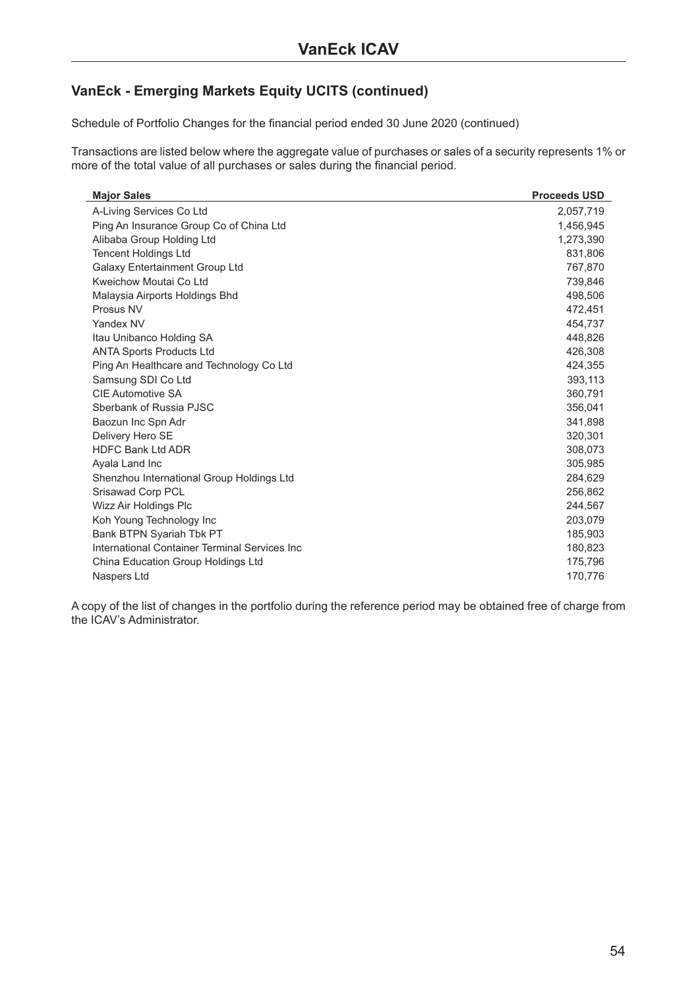Schedule of Portfolio Changes for the financial period ended 30 June 2020 (continued)

Transactions are listed below where the aggregate value of purchases or sales of a security represents 1% or more of the total value of all purchases or sales during the financial period.

| <b>Major Sales</b>                            | <b>Proceeds USD</b> |
|-----------------------------------------------|---------------------|
| A-Living Services Co Ltd                      | 2,057,719           |
| Ping An Insurance Group Co of China Ltd       | 1,456,945           |
| Alibaba Group Holding Ltd                     | 1,273,390           |
| <b>Tencent Holdings Ltd</b>                   | 831,806             |
| <b>Galaxy Entertainment Group Ltd</b>         | 767,870             |
| Kweichow Moutai Co Ltd                        | 739,846             |
| Malaysia Airports Holdings Bhd                | 498,506             |
| Prosus NV                                     | 472,451             |
| Yandex NV                                     | 454,737             |
| Itau Unibanco Holding SA                      | 448,826             |
| <b>ANTA Sports Products Ltd</b>               | 426,308             |
| Ping An Healthcare and Technology Co Ltd      | 424,355             |
| Samsung SDI Co Ltd                            | 393,113             |
| <b>CIE Automotive SA</b>                      | 360,791             |
| Sberbank of Russia PJSC                       | 356,041             |
| Baozun Inc Spn Adr                            | 341,898             |
| Delivery Hero SE                              | 320,301             |
| <b>HDFC Bank Ltd ADR</b>                      | 308,073             |
| Ayala Land Inc                                | 305,985             |
| Shenzhou International Group Holdings Ltd     | 284,629             |
| Srisawad Corp PCL                             | 256,862             |
| Wizz Air Holdings Plc                         | 244,567             |
| Koh Young Technology Inc                      | 203,079             |
| Bank BTPN Syariah Tbk PT                      | 185,903             |
| International Container Terminal Services Inc | 180,823             |
| China Education Group Holdings Ltd            | 175,796             |
| Naspers Ltd                                   | 170,776             |

A copy of the list of changes in the portfolio during the reference period may be obtained free of charge from the ICAV's Administrator.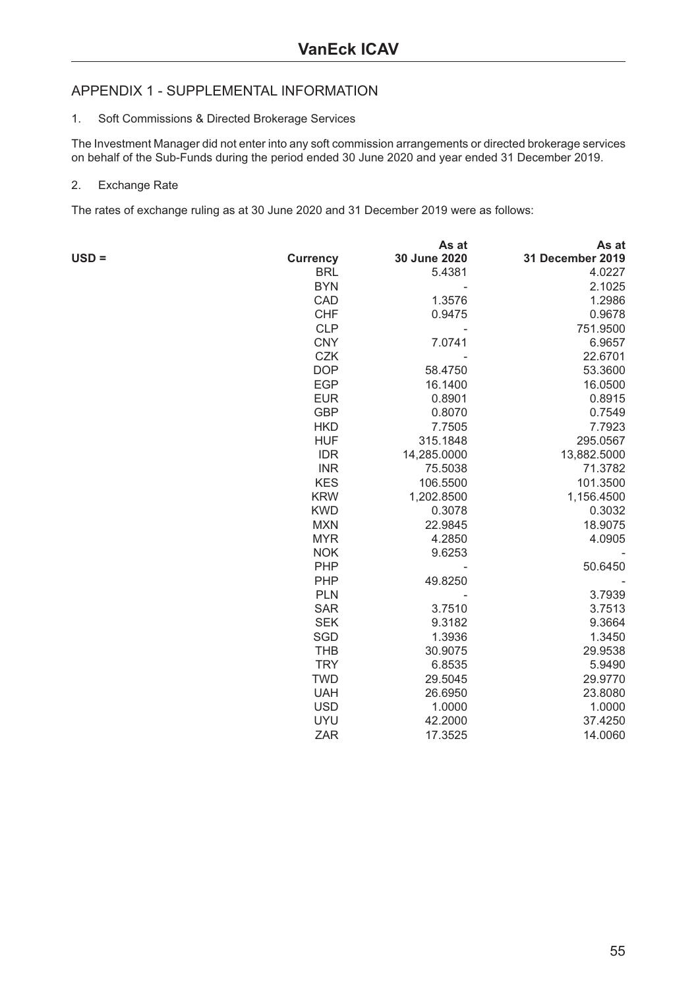### <span id="page-54-0"></span>APPENDIX 1 - SUPPLEMENTAL INFORMATION

#### 1. Soft Commissions & Directed Brokerage Services

The Investment Manager did not enter into any soft commission arrangements or directed brokerage services on behalf of the Sub-Funds during the period ended 30 June 2020 and year ended 31 December 2019.

#### 2. Exchange Rate

The rates of exchange ruling as at 30 June 2020 and 31 December 2019 were as follows:

|         |                 | As at        | As at            |
|---------|-----------------|--------------|------------------|
| $USD =$ | <b>Currency</b> | 30 June 2020 | 31 December 2019 |
|         | <b>BRL</b>      | 5.4381       | 4.0227           |
|         | <b>BYN</b>      |              | 2.1025           |
|         | CAD             | 1.3576       | 1.2986           |
|         | <b>CHF</b>      | 0.9475       | 0.9678           |
|         | <b>CLP</b>      |              | 751.9500         |
|         | <b>CNY</b>      | 7.0741       | 6.9657           |
|         | <b>CZK</b>      |              | 22.6701          |
|         | <b>DOP</b>      | 58.4750      | 53.3600          |
|         | <b>EGP</b>      | 16.1400      | 16.0500          |
|         | <b>EUR</b>      | 0.8901       | 0.8915           |
|         | <b>GBP</b>      | 0.8070       | 0.7549           |
|         | <b>HKD</b>      | 7.7505       | 7.7923           |
|         | <b>HUF</b>      | 315.1848     | 295.0567         |
|         | <b>IDR</b>      | 14,285.0000  | 13,882.5000      |
|         | <b>INR</b>      | 75.5038      | 71.3782          |
|         | <b>KES</b>      | 106.5500     | 101.3500         |
|         | <b>KRW</b>      | 1,202.8500   | 1,156.4500       |
|         | <b>KWD</b>      | 0.3078       | 0.3032           |
|         | <b>MXN</b>      | 22.9845      | 18.9075          |
|         | <b>MYR</b>      | 4.2850       | 4.0905           |
|         | <b>NOK</b>      | 9.6253       |                  |
|         | PHP             |              | 50.6450          |
|         | <b>PHP</b>      | 49.8250      |                  |
|         | <b>PLN</b>      |              | 3.7939           |
|         | <b>SAR</b>      | 3.7510       | 3.7513           |
|         | <b>SEK</b>      | 9.3182       | 9.3664           |
|         | SGD             | 1.3936       | 1.3450           |
|         | <b>THB</b>      | 30.9075      | 29.9538          |
|         | <b>TRY</b>      | 6.8535       | 5.9490           |
|         | <b>TWD</b>      | 29.5045      | 29.9770          |
|         | <b>UAH</b>      | 26.6950      | 23.8080          |
|         | <b>USD</b>      | 1.0000       | 1.0000           |
|         | <b>UYU</b>      | 42.2000      | 37.4250          |
|         | <b>ZAR</b>      | 17.3525      | 14.0060          |